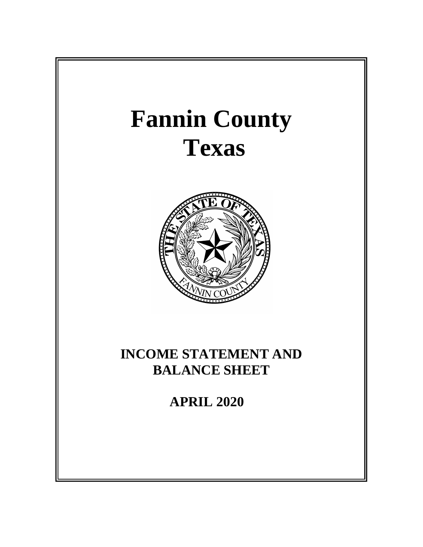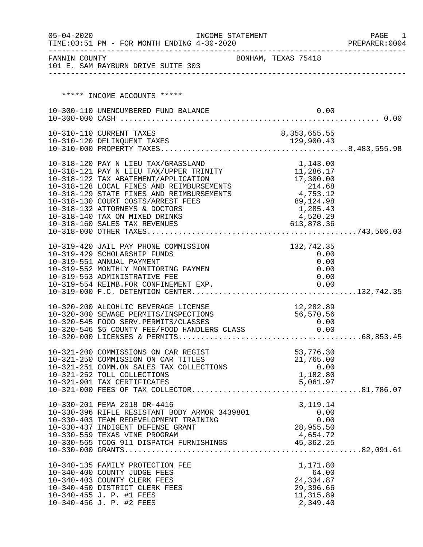| $05 - 04 - 2020$ | TIME: 03:51 PM - FOR MONTH ENDING 4-30-2020                                       | INCOME STATEMENT    |                         | PAGE<br>- 1<br>PREPARER: 0004 |
|------------------|-----------------------------------------------------------------------------------|---------------------|-------------------------|-------------------------------|
| FANNIN COUNTY    | 101 E. SAM RAYBURN DRIVE SUITE 303                                                | BONHAM, TEXAS 75418 |                         |                               |
|                  |                                                                                   |                     |                         |                               |
|                  | ***** INCOME ACCOUNTS *****                                                       |                     |                         |                               |
|                  | 10-300-110 UNENCUMBERED FUND BALANCE                                              |                     | 0.00                    |                               |
|                  |                                                                                   |                     |                         |                               |
|                  | 10-310-110 CURRENT TAXES                                                          |                     | 8,353,655.55            |                               |
|                  |                                                                                   |                     |                         |                               |
|                  | 10-318-120 PAY N LIEU TAX/GRASSLAND                                               |                     | 1,143.00                |                               |
|                  | 10-318-121 PAY N LIEU TAX/UPPER TRINITY                                           |                     | 11,286.17               |                               |
|                  | 10-318-122 TAX ABATEMENT/APPLICATION<br>10-318-128 LOCAL FINES AND REIMBURSEMENTS |                     | 17,300.00               |                               |
|                  | 10-318-129 STATE FINES AND REIMBURSEMENTS                                         |                     | $214.68$<br>4,753.12    |                               |
|                  | 10-318-130 COURT COSTS/ARREST FEES                                                |                     | 89,124.98               |                               |
|                  | 10-318-132 ATTORNEYS & DOCTORS<br>10-318-140 TAX ON MIXED DRINKS                  |                     | 1,285.43<br>4,520.29    |                               |
|                  | 10-318-160 SALES TAX REVENUES                                                     |                     | 613,878.36              |                               |
|                  |                                                                                   |                     |                         |                               |
|                  | 10-319-420 JAIL PAY PHONE COMMISSION                                              |                     | 132,742.35              |                               |
|                  | 10-319-429 SCHOLARSHIP FUNDS                                                      |                     | 0.00                    |                               |
|                  | 10-319-551 ANNUAL PAYMENT                                                         |                     | 0.00<br>0.00            |                               |
|                  | 10-319-552 MONTHLY MONITORING PAYMEN<br>10-319-553 ADMINISTRATIVE FEE             |                     | 0.00                    |                               |
|                  | 10-319-554 REIMB.FOR CONFINEMENT EXP.                                             |                     | 0.00                    |                               |
|                  |                                                                                   |                     |                         |                               |
|                  | 10-320-200 ALCOHLIC BEVERAGE LICENSE                                              |                     | 12,282.89               |                               |
|                  | 10-320-300 SEWAGE PERMITS/INSPECTIONS                                             |                     | 56,570.56               |                               |
|                  |                                                                                   |                     |                         |                               |
|                  |                                                                                   |                     |                         |                               |
|                  | 10-321-200 COMMISSIONS ON CAR REGIST                                              |                     | 53,776.30               |                               |
|                  | 10-321-250 COMMISSION ON CAR TITLES                                               |                     | 21,765.00               |                               |
|                  | 10-321-251 COMM.ON SALES TAX COLLECTIONS                                          |                     | 0.00                    |                               |
|                  | 10-321-252 TOLL COLLECTIONS<br>10-321-901 TAX CERTIFICATES                        |                     | 1,182.80<br>5,061.97    |                               |
|                  |                                                                                   |                     |                         |                               |
|                  | 10-330-201 FEMA 2018 DR-4416                                                      |                     | 3, 119. 14              |                               |
|                  | 10-330-396 RIFLE RESISTANT BODY ARMOR 3439801                                     |                     | 0.00                    |                               |
|                  | 10-330-403 TEAM REDEVELOPMENT TRAINING                                            |                     | 0.00                    |                               |
|                  | 10-330-437 INDIGENT DEFENSE GRANT<br>10-330-559 TEXAS VINE PROGRAM                |                     | 28,955.50<br>4,654.72   |                               |
|                  | 10-330-565 TCOG 911 DISPATCH FURNISHINGS                                          |                     | 45,362.25               |                               |
|                  |                                                                                   |                     |                         |                               |
|                  | 10-340-135 FAMILY PROTECTION FEE                                                  |                     | 1,171.80                |                               |
|                  | 10-340-400 COUNTY JUDGE FEES                                                      |                     | 64.00                   |                               |
|                  | 10-340-403 COUNTY CLERK FEES                                                      |                     | 24, 334.87              |                               |
|                  | 10-340-450 DISTRICT CLERK FEES<br>10-340-455 J. P. #1 FEES                        |                     | 29,396.66<br>11, 315.89 |                               |
|                  | 10-340-456 J. P. #2 FEES                                                          |                     | 2,349.40                |                               |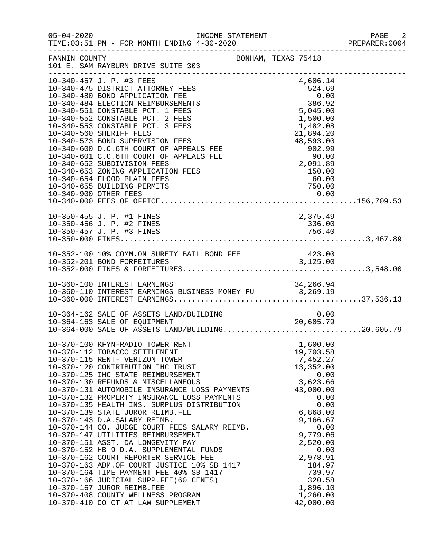| $05 - 04 - 2020$ |                                                                                                                                                                                                                                                                                                                                                                                                                                                                                                                                                                                                                                                                                                                                                                                                                                                                                                                                                | INCOME STATEMENT                                                                                                                                                                                             |                    |                                                                                                                                                                                                                                                | PAGE<br>2<br>PREPARER: 0004 |
|------------------|------------------------------------------------------------------------------------------------------------------------------------------------------------------------------------------------------------------------------------------------------------------------------------------------------------------------------------------------------------------------------------------------------------------------------------------------------------------------------------------------------------------------------------------------------------------------------------------------------------------------------------------------------------------------------------------------------------------------------------------------------------------------------------------------------------------------------------------------------------------------------------------------------------------------------------------------|--------------------------------------------------------------------------------------------------------------------------------------------------------------------------------------------------------------|--------------------|------------------------------------------------------------------------------------------------------------------------------------------------------------------------------------------------------------------------------------------------|-----------------------------|
| FANNIN COUNTY    | 101 E. SAM RAYBURN DRIVE SUITE 303                                                                                                                                                                                                                                                                                                                                                                                                                                                                                                                                                                                                                                                                                                                                                                                                                                                                                                             | BONHAM, TEXAS 75418                                                                                                                                                                                          |                    |                                                                                                                                                                                                                                                |                             |
|                  | 10-340-457 J. P. #3 FEES<br>10-340-475 DISTRICT ATTORNEY FEES<br>10-340-480 BOND APPLICATION FEE<br>10-340-484 ELECTION REIMBURSEMENTS<br>10-340-551 CONSTABLE PCT. 1 FEES<br>10-340-552 CONSTABLE PCT. 2 FEES<br>10-340-553 CONSTABLE PCT. 3 FEES<br>10-340-560 SHERIFF FEES<br>10-340-573 BOND SUPERVISION FEES<br>10-340-600 D.C.6TH COURT OF APPEALS FEE<br>10-340-601 C.C.6TH COURT OF APPEALS FEE<br>10-340-652 SUBDIVISION FEES<br>10-340-653 ZONING APPLICATION FEES<br>10-340-654 FLOOD PLAIN FEES<br>10-340-655 BUILDING PERMITS                                                                                                                                                                                                                                                                                                                                                                                                     | $\begin{array}{r} 524.69 \\ 524.69 \\ 0.00 \\ 386.92 \\ 5,045.00 \\ 1,500.00 \\ 1,482.08 \\ 21,894.20 \end{array}$<br>$21,894.20$<br>$48,593.00$<br>$902.99$<br>$90.00$<br>$2,091.89$<br>$150.00$<br>$60.00$ | 4,606.14<br>750.00 |                                                                                                                                                                                                                                                |                             |
|                  | 10-350-455 J. P. #1 FINES<br>10-350-456 J. P. #2 FINES                                                                                                                                                                                                                                                                                                                                                                                                                                                                                                                                                                                                                                                                                                                                                                                                                                                                                         |                                                                                                                                                                                                              |                    | 2,375.49<br>336.00                                                                                                                                                                                                                             |                             |
|                  | 10-352-100 10% COMM.ON SURETY BAIL BOND FEE 423.00<br>10-352-201 BOND FOREEITURES                                                                                                                                                                                                                                                                                                                                                                                                                                                                                                                                                                                                                                                                                                                                                                                                                                                              |                                                                                                                                                                                                              |                    |                                                                                                                                                                                                                                                |                             |
|                  | 10-360-110 INTEREST EARNINGS<br>10-360-110 INTEREST EARNINGS BUSINESS MONEY FU 3,269.19<br>10-360-000 INTEREST EARNINGS                                                                                                                                                                                                                                                                                                                                                                                                                                                                                                                                                                                                                                                                                                                                                                                                                        |                                                                                                                                                                                                              |                    |                                                                                                                                                                                                                                                |                             |
|                  | 10-364-162 SALE OF ASSETS LAND/BUILDING $10-364-163$ SALE OF EQUIPMENT $20,605.79$<br>10-364-000 SALE OF ASSETS LAND/BUILDING20,605.79                                                                                                                                                                                                                                                                                                                                                                                                                                                                                                                                                                                                                                                                                                                                                                                                         |                                                                                                                                                                                                              |                    |                                                                                                                                                                                                                                                |                             |
|                  | 10-370-100 KFYN-RADIO TOWER RENT<br>10-370-112 TOBACCO SETTLEMENT<br>10-370-115 RENT- VERIZON TOWER<br>10-370-120 CONTRIBUTION IHC TRUST<br>10-370-125 IHC STATE REIMBURSEMENT<br>10-370-130 REFUNDS & MISCELLANEOUS<br>10-370-131 AUTOMOBILE INSURANCE LOSS PAYMENTS<br>10-370-132 PROPERTY INSURANCE LOSS PAYMENTS<br>10-370-135 HEALTH INS. SURPLUS DISTRIBUTION<br>10-370-139 STATE JUROR REIMB.FEE<br>10-370-143 D.A.SALARY REIMB.<br>10-370-144 CO. JUDGE COURT FEES SALARY REIMB.<br>10-370-147 UTILITIES REIMBURSEMENT<br>10-370-151 ASST. DA LONGEVITY PAY<br>10-370-152 HB 9 D.A. SUPPLEMENTAL FUNDS<br>10-370-162 COURT REPORTER SERVICE FEE<br>10-370-162 COURT REPORTER SERVICE FEE<br>10-370-163 ADM.OF COURT JUSTICE 10% SB 1417<br>10-370-164 TIME PAYMENT FEE 40% SB 1417<br>10-370-166 JUDICIAL SUPP.FEE(60 CENTS)<br>10-370-167 JUROR REIMB.FEE<br>10-370-408 COUNTY WELLNESS PROGRAM<br>10-370-410 CO CT AT LAW SUPPLEMENT |                                                                                                                                                                                                              |                    | 1,600.00<br>19,703.58<br>7,452.27<br>13,352.00<br>0.00<br>3,623.66<br>43,000.00<br>0.00<br>0.00<br>6,868.00<br>9,166.67<br>0.00<br>9,779.06<br>2,520.00<br>0.00<br>2,978.91<br>184.97<br>739.97<br>320.58<br>1,896.10<br>1,260.00<br>42,000.00 |                             |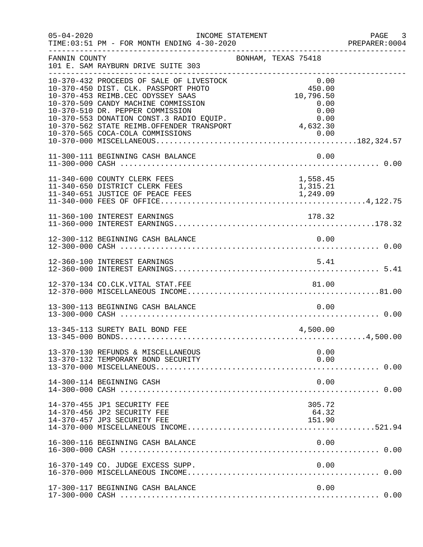| $05 - 04 - 2020$ | INCOME STATEMENT<br>TIME: 03:51 PM - FOR MONTH ENDING 4-30-2020                                                                                                                                                                                                                                                               |                                                                         | PAGE 3<br>PREPARER:0004 |
|------------------|-------------------------------------------------------------------------------------------------------------------------------------------------------------------------------------------------------------------------------------------------------------------------------------------------------------------------------|-------------------------------------------------------------------------|-------------------------|
| FANNIN COUNTY    | 101 E. SAM RAYBURN DRIVE SUITE 303                                                                                                                                                                                                                                                                                            | BONHAM, TEXAS 75418                                                     |                         |
|                  | 10-370-432 PROCEEDS OF SALE OF LIVESTOCK<br>10-370-450 DIST. CLK. PASSPORT PHOTO<br>10-370-453 REIMB.CEC ODYSSEY SAAS<br>10-370-509 CANDY MACHINE COMMISSION<br>10-370-510 DR. PEPPER COMMISSION<br>10-370-553 DONATION CONST.3 RADIO EQUIP.<br>10-370-562 STATE REIMB.OFFENDER TRANSPORT<br>10-370-565 COCA-COLA COMMISSIONS | 0.00<br>450.00<br>10,796.50<br>0.00<br>0.00<br>0.00<br>4,632.30<br>0.00 |                         |
|                  | 11-300-111 BEGINNING CASH BALANCE                                                                                                                                                                                                                                                                                             | 0.00                                                                    |                         |
|                  | 11-340-600 COUNTY CLERK FEES<br>11-340-650 DISTRICT CLERK FEES                                                                                                                                                                                                                                                                | 1,558.45<br>1,315.21                                                    |                         |
|                  | 11-360-100 INTEREST EARNINGS                                                                                                                                                                                                                                                                                                  | 178.32                                                                  |                         |
|                  | 12-300-112 BEGINNING CASH BALANCE                                                                                                                                                                                                                                                                                             | 0.00                                                                    |                         |
|                  | 12-360-100 INTEREST EARNINGS                                                                                                                                                                                                                                                                                                  | 5.41                                                                    |                         |
|                  |                                                                                                                                                                                                                                                                                                                               |                                                                         |                         |
|                  | 13-300-113 BEGINNING CASH BALANCE                                                                                                                                                                                                                                                                                             | 0.00                                                                    |                         |
|                  | 13-345-113 SURETY BAIL BOND FEE                                                                                                                                                                                                                                                                                               | 4,500.00                                                                |                         |
|                  | 13-370-130 REFUNDS & MISCELLANEOUS<br>13-370-132 TEMPORARY BOND SECURITY                                                                                                                                                                                                                                                      | 0.00<br>0.00                                                            |                         |
|                  | 14-300-114 BEGINNING CASH                                                                                                                                                                                                                                                                                                     | 0.00                                                                    |                         |
|                  | 14-370-455 JP1 SECURITY FEE<br>14-370-456 JP2 SECURITY FEE<br>14-370-457 JP3 SECURITY FEE                                                                                                                                                                                                                                     | 305.72<br>64.32<br>151.90                                               |                         |
|                  | 16-300-116 BEGINNING CASH BALANCE                                                                                                                                                                                                                                                                                             | 0.00                                                                    |                         |
|                  | 16-370-149 CO. JUDGE EXCESS SUPP.                                                                                                                                                                                                                                                                                             | 0.00                                                                    |                         |
|                  | 17-300-117 BEGINNING CASH BALANCE                                                                                                                                                                                                                                                                                             | 0.00                                                                    |                         |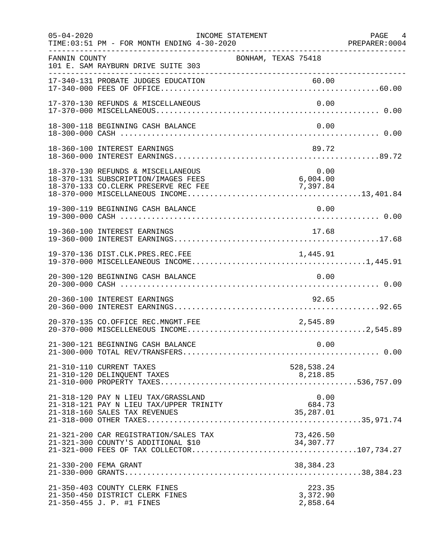| $05 - 04 - 2020$ | INCOME STATEMENT<br>TIME: 03:51 PM - FOR MONTH ENDING 4-30-2020                                                   |                                    |                                | PAGE 4<br>PREPARER: 0004 |
|------------------|-------------------------------------------------------------------------------------------------------------------|------------------------------------|--------------------------------|--------------------------|
| FANNIN COUNTY    | 101 E. SAM RAYBURN DRIVE SUITE 303                                                                                | BONHAM, TEXAS 75418                |                                |                          |
|                  | 17-340-131 PROBATE JUDGES EDUCATION                                                                               |                                    | 60.00                          |                          |
|                  | 17-370-130 REFUNDS & MISCELLANEOUS                                                                                |                                    | 0.00                           |                          |
|                  | 18-300-118 BEGINNING CASH BALANCE                                                                                 |                                    | 0.00                           |                          |
|                  | 18-360-100 INTEREST EARNINGS                                                                                      |                                    | 89.72                          |                          |
|                  | 18-370-130 REFUNDS & MISCELLANEOUS<br>18-370-131 SUBSCRIPTION/IMAGES FEES<br>18-370-133 CO.CLERK PRESERVE REC FEE | $6,004.00$<br>7,397.84<br>7,397.84 | 0.00                           |                          |
|                  | 19-300-119 BEGINNING CASH BALANCE                                                                                 |                                    | 0.00                           |                          |
|                  | 19-360-100 INTEREST EARNINGS                                                                                      |                                    | 17.68                          |                          |
|                  |                                                                                                                   |                                    |                                |                          |
|                  | 20-300-120 BEGINNING CASH BALANCE                                                                                 |                                    | 0.00                           |                          |
|                  | 20-360-100 INTEREST EARNINGS                                                                                      |                                    | 92.65                          |                          |
|                  | 20-370-135 CO.OFFICE REC.MNGMT.FEE                                                                                |                                    | 2,545.89                       |                          |
|                  | 21-300-121 BEGINNING CASH BALANCE                                                                                 |                                    | 0.00                           |                          |
|                  | 21-310-110 CURRENT TAXES                                                                                          |                                    | 528,538.24                     |                          |
|                  | 21-318-120 PAY N LIEU TAX/GRASSLAND<br>21-318-121 PAY N LIEU TAX/UPPER TRINITY                                    |                                    | 0.00<br>684.73<br>35,287.01    |                          |
|                  | 21-321-200 CAR REGISTRATION/SALES TAX<br>21-321-300 COUNTY'S ADDITIONAL \$10                                      | 73,426.50<br>34, 307. 77           |                                |                          |
|                  | 21-330-200 FEMA GRANT                                                                                             |                                    | 38,384.23                      |                          |
|                  | 21-350-403 COUNTY CLERK FINES<br>21-350-450 DISTRICT CLERK FINES<br>21-350-455 J. P. #1 FINES                     |                                    | 223.35<br>3,372.90<br>2,858.64 |                          |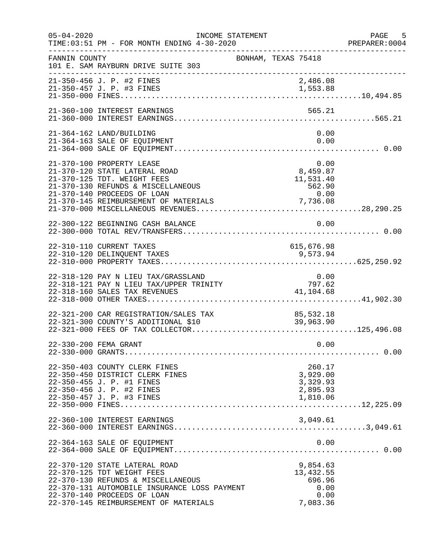| $05 - 04 - 2020$ | TIME: 03:51 PM - FOR MONTH ENDING 4-30-2020                                                                                                                                                                               | INCOME STATEMENT    | PREPARER<br>----------------------------------               | PAGE 5<br>PREPARER:0004 |
|------------------|---------------------------------------------------------------------------------------------------------------------------------------------------------------------------------------------------------------------------|---------------------|--------------------------------------------------------------|-------------------------|
| FANNIN COUNTY    | 101 E. SAM RAYBURN DRIVE SUITE 303                                                                                                                                                                                        | BONHAM, TEXAS 75418 |                                                              |                         |
|                  | 21-350-456 J. P. #2 FINES<br>21-350-457 J. P. #3 FINES                                                                                                                                                                    |                     | 2,486.08<br>1,553.88                                         |                         |
|                  | 21-360-100 INTEREST EARNINGS                                                                                                                                                                                              |                     | 565.21                                                       |                         |
|                  | 21-364-162 LAND/BUILDING<br>21-364-163 SALE OF EQUIPMENT                                                                                                                                                                  |                     | 0.00<br>0.00                                                 |                         |
|                  | 21-370-100 PROPERTY LEASE<br>21-370-120 STATE LATERAL ROAD<br>21-370-125 TDT. WEIGHT FEES<br>21-370-130 REFUNDS & MISCELLANEOUS<br>21-370-140 PROCEEDS OF LOAN                                                            |                     | 0.00<br>0.00<br>8,459.87<br>$11,531.40562.900.00$            |                         |
|                  | 22-300-122 BEGINNING CASH BALANCE                                                                                                                                                                                         |                     | 0.00                                                         |                         |
|                  | 22-310-110 CURRENT TAXES<br>22-310-120 DELINQUENT TAXES                                                                                                                                                                   |                     | 615,676.98<br>9,573.94                                       |                         |
|                  | 22-318-120 PAY N LIEU TAX/GRASSLAND<br>22-318-121 PAY N LIEU TAX/UPPER TRINITY<br>22-318-160 SALES TAX REVENUES                                                                                                           |                     | $0.00$<br>$797.62$<br>41,104.68                              |                         |
|                  | 22-321-200 CAR REGISTRATION/SALES TAX<br>22-321-300 COUNTY'S ADDITIONAL \$10                                                                                                                                              |                     | 85,532.18<br>39,963.90                                       |                         |
|                  | 22-330-200 FEMA GRANT                                                                                                                                                                                                     |                     | 0.00                                                         |                         |
|                  | 22-350-403 COUNTY CLERK FINES<br>22-350-450 DISTRICT CLERK FINES<br>22-350-455 J. P. #1 FINES<br>22-350-456 J. P. #2 FINES<br>22-350-457 J. P. #3 FINES                                                                   |                     | 260.17<br>3,929.00<br>3,329.93<br>2,895.93<br>1,810.06       |                         |
|                  | 22-360-100 INTEREST EARNINGS                                                                                                                                                                                              |                     | 3,049.61                                                     |                         |
|                  | 22-364-163 SALE OF EQUIPMENT                                                                                                                                                                                              |                     | 0.00                                                         |                         |
|                  | 22-370-120 STATE LATERAL ROAD<br>22-370-125 TDT WEIGHT FEES<br>22-370-130 REFUNDS & MISCELLANEOUS<br>22-370-131 AUTOMOBILE INSURANCE LOSS PAYMENT<br>22-370-140 PROCEEDS OF LOAN<br>22-370-145 REIMBURSEMENT OF MATERIALS |                     | 9,854.63<br>13, 432.55<br>696.96<br>0.00<br>0.00<br>7,083.36 |                         |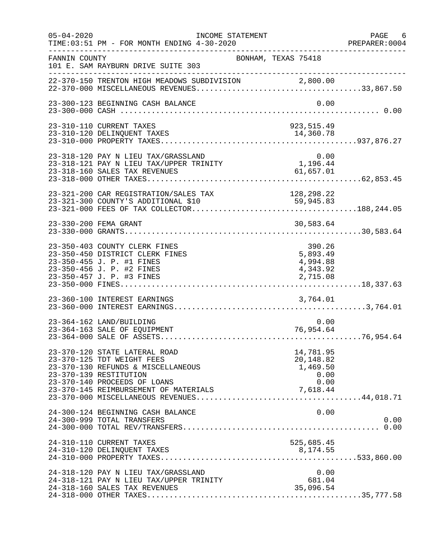| $05 - 04 - 2020$ | INCOME STATEMENT<br>TIME: 03:51 PM - FOR MONTH ENDING 4-30-2020                                                                                                                                      |                                                        | PAGE 6<br>PREPARER:0004<br>PREPARER<br>---------------------------------- |
|------------------|------------------------------------------------------------------------------------------------------------------------------------------------------------------------------------------------------|--------------------------------------------------------|---------------------------------------------------------------------------|
| FANNIN COUNTY    | 101 E. SAM RAYBURN DRIVE SUITE 303                                                                                                                                                                   | BONHAM, TEXAS 75418                                    |                                                                           |
|                  | 22-370-150 TRENTON HIGH MEADOWS SUBDIVISION 2,800.00                                                                                                                                                 |                                                        |                                                                           |
|                  | 23-300-123 BEGINNING CASH BALANCE                                                                                                                                                                    |                                                        | 0.00                                                                      |
|                  | 23-310-110 CURRENT TAXES                                                                                                                                                                             | 923, 515.49                                            |                                                                           |
|                  | 23-318-120 PAY N LIEU TAX/GRASSLAND 0.00<br>23-318-121 PAY N LIEU TAX/UPPER TRINITY 1,196.44<br>23-318-160 SALES TAX REVENUES 61,657.01<br>23-318-000 OTHER TAXES                                    |                                                        |                                                                           |
|                  | 23-321-200 CAR REGISTRATION/SALES TAX<br>23-321-300 COUNTY'S ADDITIONAL \$10                                                                                                                         | 128,298.22<br>59,945.83                                |                                                                           |
|                  | 23-330-200 FEMA GRANT                                                                                                                                                                                | 30,583.64                                              |                                                                           |
|                  | 23-350-403 COUNTY CLERK FINES<br>23-350-450 DISTRICT CLERK FINES<br>23-350-455 J. P. #1 FINES<br>23-350-456 J. P. #2 FINES<br>23-350-457 J. P. #3 FINES                                              | 390.26<br>5,893.49<br>4,994.88<br>4,343.92<br>2,715.08 |                                                                           |
|                  | 23-360-100 INTEREST EARNINGS                                                                                                                                                                         | 3,764.01                                               |                                                                           |
|                  | 23-364-162 LAND/BUILDING<br>23-364-163 SALE OF EQUIPMENT                                                                                                                                             | 76,954.64                                              | 0.00                                                                      |
|                  | 23-370-120 STATE LATERAL ROAD<br>23-370-125 TDT WEIGHT FEES<br>23-370-130 REFUNDS & MISCELLANEOUS<br>23-370-139 RESTITUTION<br>23-370-140 PROCEEDS OF LOANS<br>23-370-145 REIMBURSEMENT OF MATERIALS | 14,781.95<br>20,148.82<br>1,469.50<br>0.00<br>7,618.44 | 0.00                                                                      |
|                  | 24-300-124 BEGINNING CASH BALANCE<br>24-300-999 TOTAL TRANSFERS                                                                                                                                      |                                                        | 0.00<br>0.00                                                              |
|                  | 24-310-110 CURRENT TAXES<br>24-310-120 DELINQUENT TAXES                                                                                                                                              | 525,685.45<br>8,174.55                                 |                                                                           |
|                  | 24-318-120 PAY N LIEU TAX/GRASSLAND<br>24-318-121 PAY N LIEU TAX/UPPER TRINITY<br>24-318-160 SALES TAX REVENUES                                                                                      | 681.04<br>35,096.54                                    | 0.00                                                                      |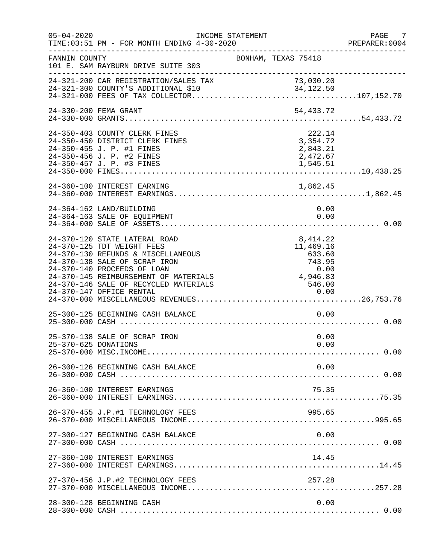| $05 - 04 - 2020$     | TIME: 03:51 PM - FOR MONTH ENDING 4-30-2020                                                                                                                                                                                                         | INCOME STATEMENT |                                                                                                                            |              | PAGE 7<br>PREPARER: 0004 |
|----------------------|-----------------------------------------------------------------------------------------------------------------------------------------------------------------------------------------------------------------------------------------------------|------------------|----------------------------------------------------------------------------------------------------------------------------|--------------|--------------------------|
| FANNIN COUNTY        | 101 E. SAM RAYBURN DRIVE SUITE 303                                                                                                                                                                                                                  |                  | BONHAM, TEXAS 75418                                                                                                        |              |                          |
|                      | 24-321-200 CAR REGISTRATION/SALES TAX                                                                                                                                                                                                               |                  | 73,030.20<br>73,030.20<br>34,122.50                                                                                        |              |                          |
|                      | 24-330-200 FEMA GRANT                                                                                                                                                                                                                               |                  | 54,433.72                                                                                                                  |              |                          |
|                      | 24-350-403 COUNTY CLERK FINES<br>24-350-450 DISTRICT CLERK FINES<br>24-350-455 J. P. #1 FINES<br>24-350-456 J. P. #2 FINES<br>24-350-457 J. P. #3 FINES                                                                                             |                  | 222.14<br>3,354.72<br>2,843.21<br>2,472.67<br>1,545.51                                                                     |              |                          |
|                      |                                                                                                                                                                                                                                                     |                  |                                                                                                                            |              |                          |
|                      | 24-364-162 LAND/BUILDING<br>24-364-163 SALE OF EQUIPMENT                                                                                                                                                                                            |                  |                                                                                                                            | 0.00<br>0.00 |                          |
|                      | 24-370-120 STATE LATERAL ROAD<br>24-370-125 TDT WEIGHT FEES<br>24-370-130 REFUNDS & MISCELLANEOUS<br>24-370-138 SALE OF SCRAP IRON<br>24-370-140 PROCEEDS OF LOAN<br>24-370-145 REIMBURSEMENT OF MATERIALS<br>24-370-146 SALE OF RECYCLED MATERIALS |                  | 8, 414.22<br>11,469.16<br>633.60<br>743.95<br>$\begin{array}{c} 0\, .\, 00 \ 4\, , \, 946\, . \, 83 \end{array}$<br>546.00 |              |                          |
|                      | 25-300-125 BEGINNING CASH BALANCE                                                                                                                                                                                                                   |                  |                                                                                                                            | 0.00         |                          |
| 25-370-625 DONATIONS | 25-370-138 SALE OF SCRAP IRON                                                                                                                                                                                                                       |                  |                                                                                                                            | 0.00<br>0.00 |                          |
|                      | 26-300-126 BEGINNING CASH BALANCE                                                                                                                                                                                                                   |                  |                                                                                                                            | 0.00         |                          |
|                      | 26-360-100 INTEREST EARNINGS                                                                                                                                                                                                                        |                  | 75.35                                                                                                                      |              |                          |
|                      | 26-370-455 J.P.#1 TECHNOLOGY FEES                                                                                                                                                                                                                   |                  | 995.65                                                                                                                     |              |                          |
|                      | 27-300-127 BEGINNING CASH BALANCE                                                                                                                                                                                                                   |                  |                                                                                                                            | 0.00         |                          |
|                      | 27-360-100 INTEREST EARNINGS                                                                                                                                                                                                                        |                  | 14.45                                                                                                                      |              |                          |
|                      | 27-370-456 J.P.#2 TECHNOLOGY FEES                                                                                                                                                                                                                   |                  | 257.28                                                                                                                     |              |                          |
|                      | 28-300-128 BEGINNING CASH                                                                                                                                                                                                                           |                  |                                                                                                                            | 0.00         |                          |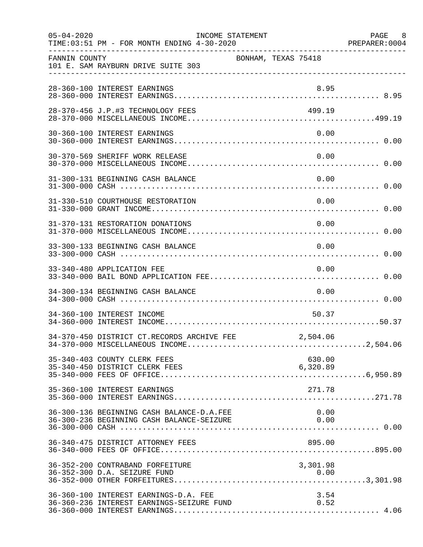| $05 - 04 - 2020$ | TIME: 03:51 PM - FOR MONTH ENDING 4-30-2020                                            | INCOME STATEMENT    |                    | PAGE 8<br>PREPARER: 0004 |
|------------------|----------------------------------------------------------------------------------------|---------------------|--------------------|--------------------------|
| FANNIN COUNTY    | 101 E. SAM RAYBURN DRIVE SUITE 303                                                     | BONHAM, TEXAS 75418 |                    |                          |
|                  | 28-360-100 INTEREST EARNINGS                                                           |                     | 8.95               |                          |
|                  | 28-370-456 J.P.#3 TECHNOLOGY FEES                                                      |                     | 499.19             |                          |
|                  | 30-360-100 INTEREST EARNINGS                                                           |                     | 0.00               |                          |
|                  | 30-370-569 SHERIFF WORK RELEASE                                                        |                     | 0.00               |                          |
|                  | 31-300-131 BEGINNING CASH BALANCE                                                      |                     | 0.00               |                          |
|                  | 31-330-510 COURTHOUSE RESTORATION                                                      |                     | 0.00               |                          |
|                  | 31-370-131 RESTORATION DONATIONS                                                       |                     | 0.00               |                          |
|                  | 33-300-133 BEGINNING CASH BALANCE                                                      |                     | 0.00               |                          |
|                  | 33-340-480 APPLICATION FEE                                                             |                     | 0.00               |                          |
|                  | 34-300-134 BEGINNING CASH BALANCE                                                      |                     | 0.00               |                          |
|                  | 34-360-100 INTEREST INCOME                                                             |                     | 50.37              |                          |
|                  | 34-370-450 DISTRICT CT.RECORDS ARCHIVE FEE                                             |                     | 2,504.06           |                          |
|                  | 35-340-403 COUNTY CLERK FEES<br>35-340-450 DISTRICT CLERK FEES                         |                     | 630.00<br>6,320.89 |                          |
|                  | 35-360-100 INTEREST EARNINGS                                                           |                     | 271.78             |                          |
|                  | 36-300-136 BEGINNING CASH BALANCE-D.A.FEE<br>36-300-236 BEGINNING CASH BALANCE-SEIZURE |                     | 0.00<br>0.00       |                          |
|                  | 36-340-475 DISTRICT ATTORNEY FEES                                                      |                     | 895.00             |                          |
|                  | 36-352-200 CONTRABAND FORFEITURE<br>36-352-300 D.A. SEIZURE FUND                       |                     | 3,301.98           |                          |
|                  | 36-360-100 INTEREST EARNINGS-D.A. FEE<br>36-360-236 INTEREST EARNINGS-SEIZURE FUND     |                     | 3.54<br>0.52       |                          |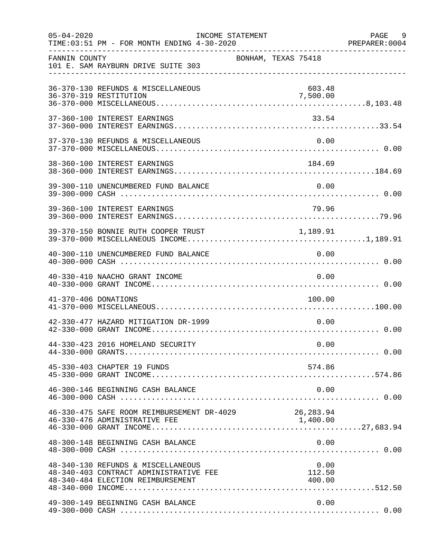| $05 - 04 - 2020$     | TIME: 03:51 PM - FOR MONTH ENDING 4-30-2020                                                                       | INCOME STATEMENT    |                    | PAGE 9<br>PREPARER: 0004 |
|----------------------|-------------------------------------------------------------------------------------------------------------------|---------------------|--------------------|--------------------------|
| FANNIN COUNTY        | 101 E. SAM RAYBURN DRIVE SUITE 303                                                                                | BONHAM, TEXAS 75418 |                    |                          |
|                      | 36-370-130 REFUNDS & MISCELLANEOUS<br>36-370-319 RESTITUTION                                                      |                     | 603.48<br>7,500.00 |                          |
|                      | 37-360-100 INTEREST EARNINGS                                                                                      |                     | 33.54              |                          |
|                      | 37-370-130 REFUNDS & MISCELLANEOUS                                                                                |                     | 0.00               |                          |
|                      | 38-360-100 INTEREST EARNINGS                                                                                      |                     | 184.69             |                          |
|                      | 39-300-110 UNENCUMBERED FUND BALANCE                                                                              |                     | 0.00               |                          |
|                      | 39-360-100 INTEREST EARNINGS                                                                                      |                     | 79.96              |                          |
|                      | 39-370-150 BONNIE RUTH COOPER TRUST 1,189.91                                                                      |                     |                    |                          |
|                      | 40-300-110 UNENCUMBERED FUND BALANCE                                                                              |                     | 0.00               |                          |
|                      | 40-330-410 NAACHO GRANT INCOME                                                                                    |                     | 0.00               |                          |
| 41-370-406 DONATIONS |                                                                                                                   |                     | 100.00             |                          |
|                      | 42-330-477 HAZARD MITIGATION DR-1999                                                                              |                     | 0.00               |                          |
|                      | 44-330-423 2016 HOMELAND SECURITY                                                                                 |                     | 0.00               |                          |
|                      | 45-330-403 CHAPTER 19 FUNDS                                                                                       |                     | 574.86             |                          |
|                      | 46-300-146 BEGINNING CASH BALANCE                                                                                 |                     | 0.00               |                          |
|                      | 46-330-475 SAFE ROOM REIMBURSEMENT DR-4029 26,283.94                                                              |                     |                    |                          |
|                      | 48-300-148 BEGINNING CASH BALANCE                                                                                 |                     | 0.00               |                          |
|                      | 48-340-130 REFUNDS & MISCELLANEOUS<br>48-340-403 CONTRACT ADMINISTRATIVE FEE<br>48-340-484 ELECTION REIMBURSEMENT |                     | 0.00<br>112.50     |                          |
|                      | 49-300-149 BEGINNING CASH BALANCE                                                                                 |                     | 0.00               |                          |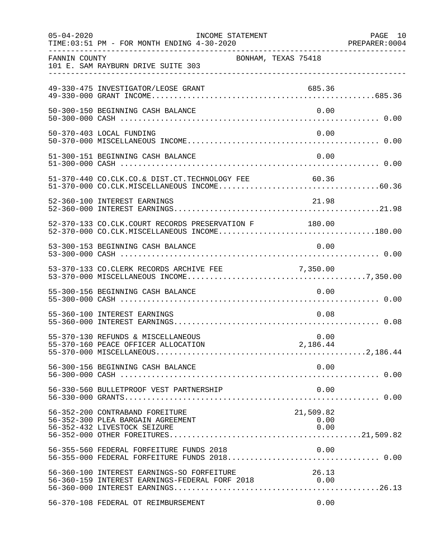| $05 - 04 - 2020$ | INCOME STATEMENT<br>TIME: 03:51 PM - FOR MONTH ENDING 4-30-2020                                       |                           | PAGE 10<br>PREPARER: 0004 |
|------------------|-------------------------------------------------------------------------------------------------------|---------------------------|---------------------------|
| FANNIN COUNTY    | 101 E. SAM RAYBURN DRIVE SUITE 303                                                                    | BONHAM, TEXAS 75418       |                           |
|                  | 49-330-475 INVESTIGATOR/LEOSE GRANT                                                                   | 685.36                    |                           |
|                  | 50-300-150 BEGINNING CASH BALANCE                                                                     | 0.00                      |                           |
|                  | 50-370-403 LOCAL FUNDING                                                                              | 0.00                      |                           |
|                  | 51-300-151 BEGINNING CASH BALANCE                                                                     | 0.00                      |                           |
|                  | 51-370-440 CO.CLK.CO.& DIST.CT.TECHNOLOGY FEE                                                         | 60.36                     |                           |
|                  | 52-360-100 INTEREST EARNINGS                                                                          | 21.98                     |                           |
|                  | 52-370-133 CO.CLK.COURT RECORDS PRESERVATION F 180.00<br>52-370-000 CO.CLK.MISCELLANEOUS INCOME180.00 |                           |                           |
|                  | 53-300-153 BEGINNING CASH BALANCE                                                                     | 0.00                      |                           |
|                  | 53-370-133 CO.CLERK RECORDS ARCHIVE FEE                                                               | 7,350.00                  |                           |
|                  | 55-300-156 BEGINNING CASH BALANCE                                                                     | 0.00                      |                           |
|                  | 55-360-100 INTEREST EARNINGS                                                                          | 0.08                      |                           |
|                  | 55-370-130 REFUNDS & MISCELLANEOUS                                                                    | 0.00                      |                           |
|                  | 56-300-156 BEGINNING CASH BALANCE                                                                     | 0.00                      |                           |
|                  | 56-330-560 BULLETPROOF VEST PARTNERSHIP                                                               | 0.00                      |                           |
|                  | 56-352-200 CONTRABAND FOREITURE<br>56-352-300 PLEA BARGAIN AGREEMENT<br>56-352-432 LIVESTOCK SEIZURE  | 21,509.82<br>0.00<br>0.00 |                           |
|                  | 56-355-560 FEDERAL FORFEITURE FUNDS 2018                                                              | 0.00                      |                           |
|                  | 56-360-100 INTEREST EARNINGS-SO FORFEITURE<br>56-360-159 INTEREST EARNINGS-FEDERAL FORF 2018 0.00     | 26.13                     |                           |
|                  | 56-370-108 FEDERAL OT REIMBURSEMENT                                                                   | 0.00                      |                           |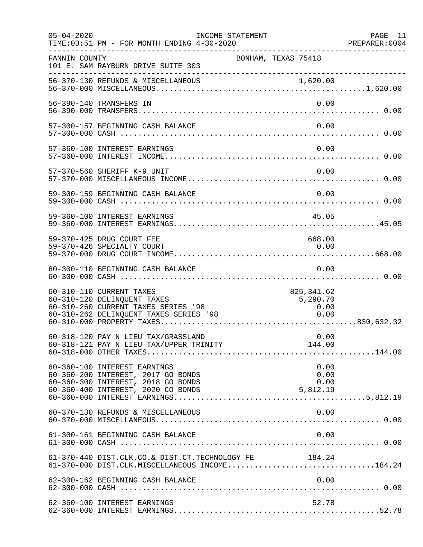| $05 - 04 - 2020$ | TIME: 03:51 PM - FOR MONTH ENDING 4-30-2020                                                                                              | INCOME STATEMENT    |                                         | PAGE 11<br>PREPARER:0004 |
|------------------|------------------------------------------------------------------------------------------------------------------------------------------|---------------------|-----------------------------------------|--------------------------|
| FANNIN COUNTY    | 101 E. SAM RAYBURN DRIVE SUITE 303                                                                                                       | BONHAM, TEXAS 75418 |                                         |                          |
|                  | 56-370-130 REFUNDS & MISCELLANEOUS                                                                                                       |                     |                                         |                          |
|                  | 56-390-140 TRANSFERS IN                                                                                                                  |                     | 0.00                                    |                          |
|                  | 57-300-157 BEGINNING CASH BALANCE                                                                                                        |                     | 0.00                                    |                          |
|                  | 57-360-100 INTEREST EARNINGS                                                                                                             |                     | 0.00                                    |                          |
|                  | 57-370-560 SHERIFF K-9 UNIT                                                                                                              |                     | 0.00                                    |                          |
|                  | 59-300-159 BEGINNING CASH BALANCE                                                                                                        |                     | 0.00                                    |                          |
|                  | 59-360-100 INTEREST EARNINGS                                                                                                             |                     | 45.05                                   |                          |
|                  | 59-370-425 DRUG COURT FEE<br>59-370-426 SPECIALTY COURT                                                                                  |                     | 668.00<br>0.00                          |                          |
|                  | 60-300-110 BEGINNING CASH BALANCE                                                                                                        |                     | 0.00                                    |                          |
|                  | 60-310-110 CURRENT TAXES<br>60-310-120 DELINQUENT TAXES<br>60-310-260 CURRENT TAXES SERIES '98<br>60-310-262 DELINQUENT TAXES SERIES '98 |                     | 825, 341.62<br>5,290.70<br>0.00<br>0.00 |                          |
|                  | 60-318-120 PAY N LIEU TAX/GRASSLAND                                                                                                      |                     | 0.00                                    |                          |
|                  | 60-360-100 INTEREST EARNINGS<br>60-360-200 INTEREST, 2017 GO BONDS<br>60-360-300 INTEREST, 2018 GO BONDS                                 |                     | 0.00<br>0.00<br>0.00                    |                          |
|                  | 60-370-130 REFUNDS & MISCELLANEOUS                                                                                                       |                     | 0.00                                    |                          |
|                  | 61-300-161 BEGINNING CASH BALANCE                                                                                                        |                     | 0.00                                    |                          |
|                  | 61-370-440 DIST.CLK.CO.& DIST.CT.TECHNOLOGY FE 184.24<br>61-370-000 DIST.CLK.MISCELLANEOUS INCOME184.24                                  |                     |                                         |                          |
|                  | 62-300-162 BEGINNING CASH BALANCE                                                                                                        |                     | 0.00                                    |                          |
|                  | 62-360-100 INTEREST EARNINGS                                                                                                             |                     | 52.78                                   |                          |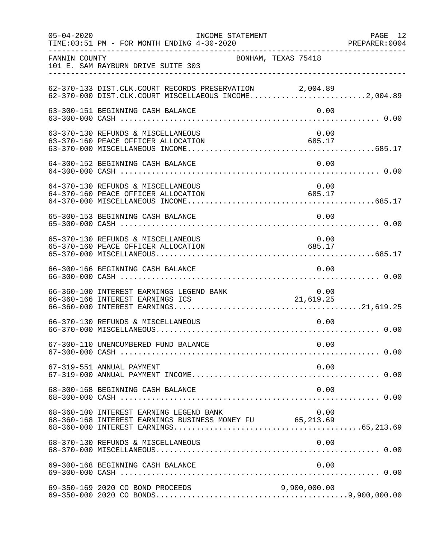| $05 - 04 - 2020$ | INCOME STATEMENT<br>TIME: 03:51 PM - FOR MONTH ENDING 4-30-2020                                                  |                | PAGE 12 |
|------------------|------------------------------------------------------------------------------------------------------------------|----------------|---------|
| FANNIN COUNTY    | BONHAM, TEXAS 75418<br>101 E. SAM RAYBURN DRIVE SUITE 303                                                        |                |         |
|                  | 62-370-133 DIST.CLK.COURT RECORDS PRESERVATION 2,004.89<br>62-370-000 DIST.CLK.COURT MISCELLAEOUS INCOME2,004.89 |                |         |
|                  | 63-300-151 BEGINNING CASH BALANCE                                                                                | 0.00           |         |
|                  | 63-370-130 REFUNDS & MISCELLANEOUS<br>63-370-160 PEACE OFFICER ALLOCATION                                        | 0.00<br>685.17 |         |
|                  | 64-300-152 BEGINNING CASH BALANCE                                                                                | 0.00           |         |
|                  | 64-370-130 REFUNDS & MISCELLANEOUS<br>64-370-160 PEACE OFFICER ALLOCATION                                        | 0.00<br>685.17 |         |
|                  | 65-300-153 BEGINNING CASH BALANCE                                                                                | 0.00           |         |
|                  | 65-370-130 REFUNDS & MISCELLANEOUS<br>65-370-160 PEACE OFFICER ALLOCATION                                        | 0.00<br>685.17 |         |
|                  | 66-300-166 BEGINNING CASH BALANCE                                                                                | 0.00           |         |
|                  | 66-360-100 INTEREST EARNINGS LEGEND BANK<br>66-360-166 INTEREST EARNINGS ICS                                     | 0.00           |         |
|                  | 66-370-130 REFUNDS & MISCELLANEOUS                                                                               | 0.00           |         |
|                  |                                                                                                                  |                |         |
|                  | 67-319-551 ANNUAL PAYMENT                                                                                        | 0.00           |         |
|                  | 68-300-168 BEGINNING CASH BALANCE                                                                                | 0.00           |         |
|                  | 68-360-100 INTEREST EARNING LEGEND BANK<br>68-360-168 INTEREST EARNINGS BUSINESS MONEY FU 65,213.69              | 0.00           |         |
|                  | 68-370-130 REFUNDS & MISCELLANEOUS                                                                               | 0.00           |         |
|                  |                                                                                                                  |                |         |
|                  | 69-350-169 2020 CO BOND PROCEEDS                                                                                 | 9,900,000.00   |         |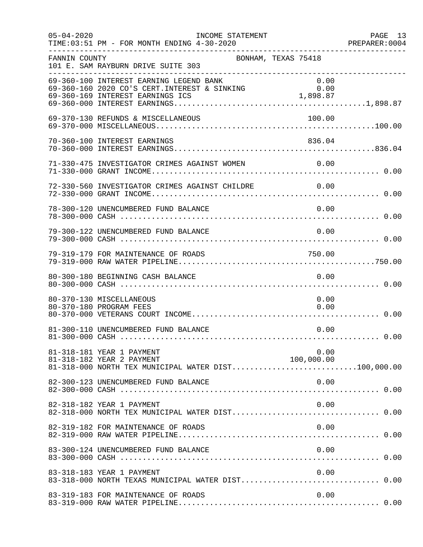| $05 - 04 - 2020$ | INCOME STATEMENT<br>TIME: 03:51 PM - FOR MONTH ENDING 4-30-2020                                               |                    | PAGE 13<br>PREPARER: 0004 |
|------------------|---------------------------------------------------------------------------------------------------------------|--------------------|---------------------------|
| FANNIN COUNTY    | BONHAM, TEXAS 75418<br>101 E. SAM RAYBURN DRIVE SUITE 303                                                     |                    |                           |
|                  | 69-360-100 INTEREST EARNING LEGEND BANK<br>69-360-160 2020 CO'S CERT.INTEREST & SINKING 0.00                  | 0.00               |                           |
|                  | 69-370-130 REFUNDS & MISCELLANEOUS                                                                            | 100.00             |                           |
|                  | 70-360-100 INTEREST EARNINGS                                                                                  | 836.04             |                           |
|                  | 71-330-475 INVESTIGATOR CRIMES AGAINST WOMEN 0.00                                                             |                    |                           |
|                  | 72-330-560 INVESTIGATOR CRIMES AGAINST CHILDRE 0.00                                                           |                    |                           |
|                  | 78-300-120 UNENCUMBERED FUND BALANCE                                                                          | 0.00               |                           |
|                  | 79-300-122 UNENCUMBERED FUND BALANCE                                                                          | 0.00               |                           |
|                  | 79-319-179 FOR MAINTENANCE OF ROADS                                                                           | 750.00             |                           |
|                  | 80-300-180 BEGINNING CASH BALANCE                                                                             | 0.00               |                           |
|                  | 80-370-130 MISCELLANEOUS<br>80-370-180 PROGRAM FEES                                                           | 0.00<br>0.00       |                           |
|                  | 81-300-110 UNENCUMBERED FUND BALANCE                                                                          | 0.00               |                           |
|                  | 81-318-181 YEAR 1 PAYMENT<br>81-318-182 YEAR 2 PAYMENT<br>81-318-000 NORTH TEX MUNICIPAL WATER DIST100,000.00 | 0.00<br>100,000.00 |                           |
|                  | 82-300-123 UNENCUMBERED FUND BALANCE                                                                          | 0.00               |                           |
|                  | 82-318-182 YEAR 1 PAYMENT                                                                                     | 0.00               |                           |
|                  | 82-319-182 FOR MAINTENANCE OF ROADS                                                                           | 0.00               |                           |
|                  | 83-300-124 UNENCUMBERED FUND BALANCE                                                                          | 0.00               |                           |
|                  | 83-318-183 YEAR 1 PAYMENT<br>83-318-000 NORTH TEXAS MUNICIPAL WATER DIST 0.00                                 | 0.00               |                           |
|                  | 83-319-183 FOR MAINTENANCE OF ROADS                                                                           | 0.00               |                           |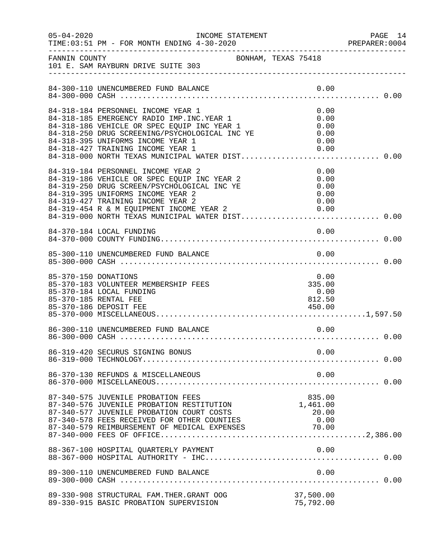| $05 - 04 - 2020$     | INCOME STATEMENT                                                                                                                                                                                                                                             |      |                                              | PAGE 14<br>PREPARER: 0004 |
|----------------------|--------------------------------------------------------------------------------------------------------------------------------------------------------------------------------------------------------------------------------------------------------------|------|----------------------------------------------|---------------------------|
|                      |                                                                                                                                                                                                                                                              |      |                                              |                           |
|                      | 84-300-110 UNENCUMBERED FUND BALANCE                                                                                                                                                                                                                         |      | 0.00                                         |                           |
|                      | 84-318-184 PERSONNEL INCOME YEAR 1<br>84-318-185 EMERGENCY RADIO IMP. INC. YEAR 1<br>84-318-186 VEHICLE OR SPEC EQUIP INC YEAR 1<br>84-318-250 DRUG SCREENING/PSYCHOLOGICAL INC YE<br>84-318-395 UNIFORMS INCOME YEAR 1<br>84-318-427 TRAINING INCOME YEAR 1 |      | 0.00<br>0.00<br>0.00<br>0.00<br>0.00<br>0.00 |                           |
|                      | 84-319-184 PERSONNEL INCOME YEAR 2<br>84-319-186 VEHICLE OR SPEC EQUIP INC YEAR 2<br>84-319-250 DRUG SCREEN/PSYCHOLOGICAL INC YE<br>84-319-395 UNIFORMS INCOME YEAR 2<br>84-319-427 TRAINING INCOME YEAR 2<br>84-319-454 R & M EQUIPMENT INCOME YEAR 2 0.00  |      | 0.00<br>0.00<br>0.00<br>0.00<br>0.00         |                           |
|                      | 84-370-184 LOCAL FUNDING                                                                                                                                                                                                                                     |      | 0.00                                         |                           |
|                      | 85-300-110 UNENCUMBERED FUND BALANCE                                                                                                                                                                                                                         |      | 0.00                                         |                           |
| 85-370-150 DONATIONS | 85-370-183 VOLUNTEER MEMBERSHIP FEES<br>85-370-184 LOCAL FUNDING<br>85-370-185 RENTAL FEE<br>85-370-186 DEPOSIT FEE                                                                                                                                          |      | 0.00<br>335.00<br>0.00<br>812.50<br>450.00   |                           |
|                      | 86-300-110 UNENCUMBERED FUND BALANCE                                                                                                                                                                                                                         | 0.00 |                                              |                           |
|                      | 86-319-420 SECURUS SIGNING BONUS                                                                                                                                                                                                                             |      | 0.00                                         |                           |
|                      | 86-370-130 REFUNDS & MISCELLANEOUS                                                                                                                                                                                                                           |      | 0.00                                         |                           |
|                      | 87-340-575 JUVENILE PROBATION FEES<br>87-340-576 JUVENILE PROBATION RESTITUTION<br>87-340-577 JUVENILE PROBATION COURT COSTS<br>87-340-578 FEES RECEIVED FOR OTHER COUNTIES<br>87-340-579 REIMBURSEMENT OF MEDICAL EXPENSES 70.00                            |      | 835.00<br>1,461.00<br>20.00<br>0.00          |                           |
|                      | 88-367-100 HOSPITAL QUARTERLY PAYMENT                                                                                                                                                                                                                        |      |                                              |                           |
|                      | 89-300-110 UNENCUMBERED FUND BALANCE                                                                                                                                                                                                                         |      | 0.00                                         |                           |
|                      | 89-330-908 STRUCTURAL FAM. THER. GRANT OOG<br>89-330-915 BASIC PROBATION SUPERVISION                                                                                                                                                                         |      | 37,500.00<br>75,792.00                       |                           |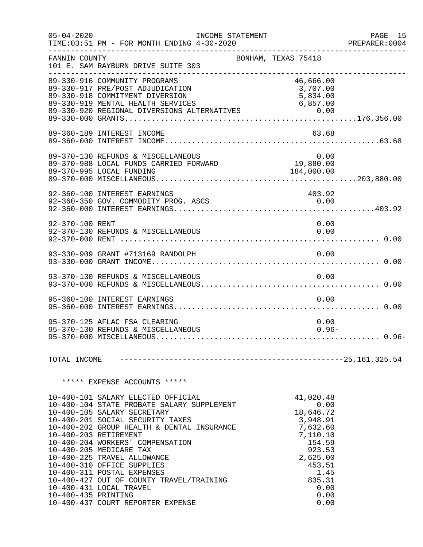| $05 - 04 - 2020$    | TIME: 03:51 PM - FOR MONTH ENDING 4-30-2020                                                                                                                                                                                                                                                                                                                                                                                                                                                      | INCOME STATEMENT |                                                                                                                                                        | PAGE 15<br>PREPARER:0004<br>______________________________________ |
|---------------------|--------------------------------------------------------------------------------------------------------------------------------------------------------------------------------------------------------------------------------------------------------------------------------------------------------------------------------------------------------------------------------------------------------------------------------------------------------------------------------------------------|------------------|--------------------------------------------------------------------------------------------------------------------------------------------------------|--------------------------------------------------------------------|
| FANNIN COUNTY       | 101 E. SAM RAYBURN DRIVE SUITE 303<br>--------------------------------                                                                                                                                                                                                                                                                                                                                                                                                                           |                  | BONHAM, TEXAS 75418                                                                                                                                    |                                                                    |
|                     | 89-330-916 COMMUNITY PROGRAMS<br>89-330-917 PRE/POST ADJUDICATION<br>89-330-918 COMMITMENT DIVERSION                                                                                                                                                                                                                                                                                                                                                                                             |                  | 46,666.00<br>3,707.00<br>5,834.00                                                                                                                      |                                                                    |
|                     | 89-360-189 INTEREST INCOME                                                                                                                                                                                                                                                                                                                                                                                                                                                                       |                  | 63.68                                                                                                                                                  |                                                                    |
|                     |                                                                                                                                                                                                                                                                                                                                                                                                                                                                                                  |                  |                                                                                                                                                        |                                                                    |
|                     | 92-360-100 INTEREST EARNINGS<br>92-360-350 GOV. COMMODITY PROG. ASCS                                                                                                                                                                                                                                                                                                                                                                                                                             |                  | 403.92<br>0.00                                                                                                                                         |                                                                    |
| 92-370-100 RENT     | 92-370-130 REFUNDS & MISCELLANEOUS                                                                                                                                                                                                                                                                                                                                                                                                                                                               |                  | 0.00<br>0.00                                                                                                                                           |                                                                    |
|                     |                                                                                                                                                                                                                                                                                                                                                                                                                                                                                                  |                  | 0.00                                                                                                                                                   |                                                                    |
|                     | 93-370-130 REFUNDS & MISCELLANEOUS                                                                                                                                                                                                                                                                                                                                                                                                                                                               |                  | 0.00                                                                                                                                                   |                                                                    |
|                     | 95-360-100 INTEREST EARNINGS                                                                                                                                                                                                                                                                                                                                                                                                                                                                     |                  | 0.00                                                                                                                                                   |                                                                    |
|                     | 95-370-125 AFLAC FSA CLEARING<br>95-370-130 REFUNDS & MISCELLANEOUS                                                                                                                                                                                                                                                                                                                                                                                                                              |                  | 0.00                                                                                                                                                   | $0.96 -$                                                           |
| TOTAL INCOME        |                                                                                                                                                                                                                                                                                                                                                                                                                                                                                                  |                  |                                                                                                                                                        |                                                                    |
|                     | ***** EXPENSE ACCOUNTS *****                                                                                                                                                                                                                                                                                                                                                                                                                                                                     |                  |                                                                                                                                                        |                                                                    |
| 10-400-435 PRINTING | 10-400-101 SALARY ELECTED OFFICIAL<br>10-400-104 STATE PROBATE SALARY SUPPLEMENT<br>10-400-105 SALARY SECRETARY<br>10-400-201 SOCIAL SECURITY TAXES<br>10-400-202 GROUP HEALTH & DENTAL INSURANCE<br>10-400-203 RETIREMENT<br>10-400-204 WORKERS' COMPENSATION<br>10-400-205 MEDICARE TAX<br>10-400-225 TRAVEL ALLOWANCE<br>10-400-310 OFFICE SUPPLIES<br>10-400-311 POSTAL EXPENSES<br>10-400-427 OUT OF COUNTY TRAVEL/TRAINING<br>10-400-431 LOCAL TRAVEL<br>10-400-437 COURT REPORTER EXPENSE |                  | 41,020.48<br>0.00<br>18,646.72<br>3,948.91<br>7,632.60<br>7,110.10<br>154.59<br>923.53<br>2,625.00<br>453.51<br>1.45<br>835.31<br>0.00<br>0.00<br>0.00 |                                                                    |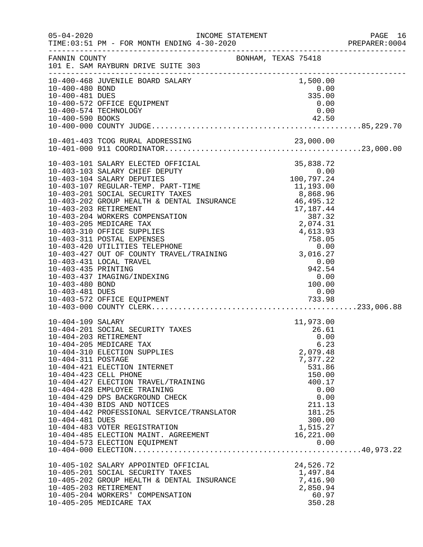|                                    | INCOME STATEMENT                                                          |                            | PAGE 16<br>PREPARER:0004 |
|------------------------------------|---------------------------------------------------------------------------|----------------------------|--------------------------|
| FANNIN COUNTY                      | 101 E. SAM RAYBURN DRIVE SUITE 303                                        | BONHAM, TEXAS 75418        |                          |
|                                    | 10-400-468 JUVENILE BOARD SALARY                                          | 1,500.00                   |                          |
| 10-400-480 BOND<br>10-400-481 DUES |                                                                           | 0.00<br>335.00             |                          |
|                                    | 10-400-572 OFFICE EQUIPMENT                                               | 0.00                       |                          |
|                                    | 10-400-574 TECHNOLOGY                                                     | 0.00                       |                          |
|                                    |                                                                           |                            |                          |
|                                    |                                                                           |                            |                          |
|                                    |                                                                           |                            |                          |
|                                    |                                                                           |                            |                          |
|                                    |                                                                           |                            |                          |
|                                    |                                                                           |                            |                          |
|                                    |                                                                           |                            |                          |
|                                    |                                                                           |                            |                          |
|                                    |                                                                           |                            |                          |
|                                    |                                                                           |                            |                          |
|                                    |                                                                           |                            |                          |
|                                    |                                                                           |                            |                          |
|                                    |                                                                           |                            |                          |
|                                    |                                                                           |                            |                          |
|                                    |                                                                           |                            |                          |
|                                    | 10-403-431 LOCAL TRAVEL                                                   | 0.00                       |                          |
| 10-403-435 PRINTING                |                                                                           |                            |                          |
|                                    | 10-403-437 IMAGING/INDEXING                                               | $942.54$<br>0.00<br>100.00 |                          |
| 10-403-480 BOND                    |                                                                           |                            |                          |
| 10-403-481 DUES                    |                                                                           | 0.00                       |                          |
|                                    |                                                                           |                            |                          |
|                                    |                                                                           |                            |                          |
| 10-404-109 SALARY                  |                                                                           | 11,973.00                  |                          |
|                                    | 10-404-201 SOCIAL SECURITY TAXES                                          | 26.61                      |                          |
|                                    | 10-404-203 RETIREMENT<br>10-404-205 MEDICARE TAX                          | 0.00<br>6.23               |                          |
|                                    | 10-404-310 ELECTION SUPPLIES                                              | 2,079.48                   |                          |
| 10-404-311 POSTAGE                 |                                                                           | 7,377.22                   |                          |
|                                    | 10-404-421 ELECTION INTERNET                                              | 531.86                     |                          |
|                                    | 10-404-423 CELL PHONE                                                     | 150.00                     |                          |
|                                    | 10-404-427 ELECTION TRAVEL/TRAINING                                       | 400.17                     |                          |
|                                    | 10-404-428 EMPLOYEE TRAINING                                              | 0.00                       |                          |
|                                    | 10-404-429 DPS BACKGROUND CHECK                                           | 0.00                       |                          |
|                                    | 10-404-430 BIDS AND NOTICES<br>10-404-442 PROFESSIONAL SERVICE/TRANSLATOR | 211.13                     |                          |
| 10-404-481 DUES                    |                                                                           | 181.25<br>300.00           |                          |
|                                    | 10-404-483 VOTER REGISTRATION                                             | 1,515.27                   |                          |
|                                    | 10-404-485 ELECTION MAINT. AGREEMENT                                      | 16,221.00                  |                          |
|                                    | 10-404-573 ELECTION EQUIPMENT                                             | 0.00                       |                          |
|                                    |                                                                           |                            |                          |
|                                    | 10-405-102 SALARY APPOINTED OFFICIAL                                      | 24,526.72                  |                          |
|                                    | 10-405-201 SOCIAL SECURITY TAXES                                          | 1,497.84                   |                          |
|                                    | 10-405-202 GROUP HEALTH & DENTAL INSURANCE                                | 7,416.90                   |                          |
|                                    | 10-405-203 RETIREMENT                                                     | 2,850.94                   |                          |
|                                    | 10-405-204 WORKERS' COMPENSATION<br>10-405-205 MEDICARE TAX               | 60.97<br>350.28            |                          |
|                                    |                                                                           |                            |                          |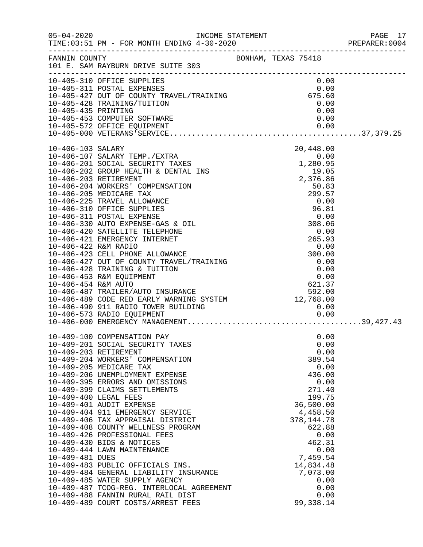|                     |                                                                                                                                                                                                                                                                                                                                                                                                                                                                                                                                                                                                                                                                                                                                                                        |                                                                                                                                                                                                                                      | PAGE 17<br>PREPARER: 0004 |
|---------------------|------------------------------------------------------------------------------------------------------------------------------------------------------------------------------------------------------------------------------------------------------------------------------------------------------------------------------------------------------------------------------------------------------------------------------------------------------------------------------------------------------------------------------------------------------------------------------------------------------------------------------------------------------------------------------------------------------------------------------------------------------------------------|--------------------------------------------------------------------------------------------------------------------------------------------------------------------------------------------------------------------------------------|---------------------------|
| FANNIN COUNTY       | BONHAM, TEXAS 75418<br>101 E. SAM RAYBURN DRIVE SUITE 303                                                                                                                                                                                                                                                                                                                                                                                                                                                                                                                                                                                                                                                                                                              |                                                                                                                                                                                                                                      |                           |
| 10-405-435 PRINTING | 10-405-310 OFFICE SUPPLIES<br>10-405-310 OFFICE SUFFILES<br>10-405-311 POSTAL EXPENSES<br>10-405-427 OUT OF COUNTY TRAVEL/TRAINING<br>10-405-428 TRAINING/TUITION 0.00<br>10-405-453 COMPUTER SOFTWARE<br>10-405-572 OFFICE EQUIPMENT                                                                                                                                                                                                                                                                                                                                                                                                                                                                                                                                  | 0.00<br>0.00<br>0.00<br>0.00                                                                                                                                                                                                         |                           |
| 10-406-103 SALARY   | 10-406-489 CODE RED EARLY WARNING SYSTEM 12,768.00<br>10-406-490 911 RADIO TOWER BUILDING                                                                                                                                                                                                                                                                                                                                                                                                                                                                                                                                                                                                                                                                              | 20,448.00<br>0.00                                                                                                                                                                                                                    |                           |
| 10-409-481 DUES     | 10-409-100 COMPENSATION PAY<br>10-409-201 SOCIAL SECURITY TAXES<br>10-409-203 RETIREMENT<br>10-409-204 WORKERS' COMPENSATION<br>10-409-205 MEDICARE TAX<br>10-409-206 UNEMPLOYMENT EXPENSE<br>10-409-395 ERRORS AND OMISSIONS<br>10-409-399 CLAIMS SETTLEMENTS<br>10-409-400 LEGAL FEES<br>10-409-401 AUDIT EXPENSE<br>10-409-404 911 EMERGENCY SERVICE<br>10-409-406 TAX APPRAISAL DISTRICT<br>10-409-408 COUNTY WELLNESS PROGRAM<br>10-409-426 PROFESSIONAL FEES<br>10-409-430 BIDS & NOTICES<br>10-409-444 LAWN MAINTENANCE<br>10-409-483 PUBLIC OFFICIALS INS.<br>10-409-484 GENERAL LIABILITY INSURANCE<br>10-409-485 WATER SUPPLY AGENCY<br>10-409-487 TCOG-REG. INTERLOCAL AGREEMENT<br>10-409-488 FANNIN RURAL RAIL DIST<br>10-409-489 COURT COSTS/ARREST FEES | 0.00<br>0.00<br>0.00<br>389.54<br>0.00<br>436.00<br>0.00<br>271.40<br>199.75<br>36,500.00<br>4,458.50<br>378, 144. 78<br>622.88<br>0.00<br>462.31<br>0.00<br>7,459.54<br>14,834.48<br>7,073.00<br>0.00<br>0.00<br>0.00<br>99, 338.14 |                           |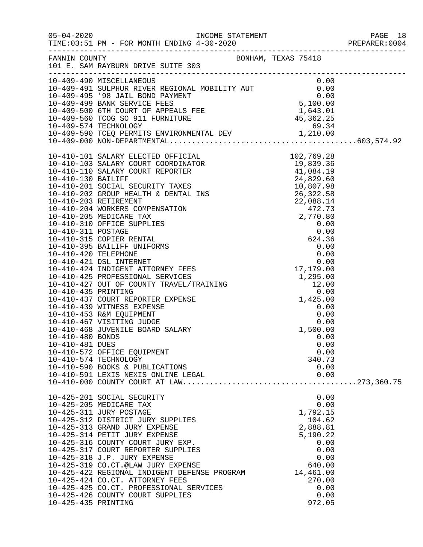|                     | FANNIN COUNTY BONHAM, TEXAS 75418<br>101 E. SAM RAYBURN DRIVE SUITE 303                                                                                                                                                                                                                                                                                                                                                                                                                                    |                                                                                                                                               |  |
|---------------------|------------------------------------------------------------------------------------------------------------------------------------------------------------------------------------------------------------------------------------------------------------------------------------------------------------------------------------------------------------------------------------------------------------------------------------------------------------------------------------------------------------|-----------------------------------------------------------------------------------------------------------------------------------------------|--|
|                     | 10-409-490 MISCELLANEOUS<br>10-409-491 SULPHUR RIVER REGIONAL MOBILITY AUT<br>10-409-495 '98 JAIL BOND PAYMENT<br>10-409-500 6TH COURT OF APPEALS FEE<br>10-409-500 6TH COURT OF APPEALS FEE<br>10-409-560 TCOG SO 911 FURNITURE<br>10-409                                                                                                                                                                                                                                                                 |                                                                                                                                               |  |
| 10-410-481 DUES     | 10-410-572 OFFICE EQUIPMENT<br>10-410-574 TECHNOLOGY<br>10-410-590 BOOKS & PUBLICATIONS<br>10-410-591 LEXIS NEXIS ONLINE LEGAL                                                                                                                                                                                                                                                                                                                                                                             | 0.00<br>0.00<br>340.73<br>0.00<br>0.00                                                                                                        |  |
| 10-425-435 PRINTING | 10-425-201 SOCIAL SECURITY<br>10-425-205 MEDICARE TAX<br>10-425-311 JURY POSTAGE<br>10-425-312 DISTRICT JURY SUPPLIES<br>10-425-313 GRAND JURY EXPENSE<br>10-425-314 PETIT JURY EXPENSE<br>10-425-316 COUNTY COURT JURY EXP.<br>10-425-317 COURT REPORTER SUPPLIES<br>10-425-318 J.P. JURY EXPENSE<br>10-425-319 CO.CT.@LAW JURY EXPENSE<br>10-425-422 REGIONAL INDIGENT DEFENSE PROGRAM<br>10-425-424 CO.CT. ATTORNEY FEES<br>10-425-425 CO.CT. PROFESSIONAL SERVICES<br>10-425-426 COUNTY COURT SUPPLIES | 0.00<br>0.00<br>1,792.15<br>104.62<br>2,888.81<br>5,190.22<br>0.00<br>0.00<br>0.00<br>640.00<br>14,461.00<br>270.00<br>0.00<br>0.00<br>972.05 |  |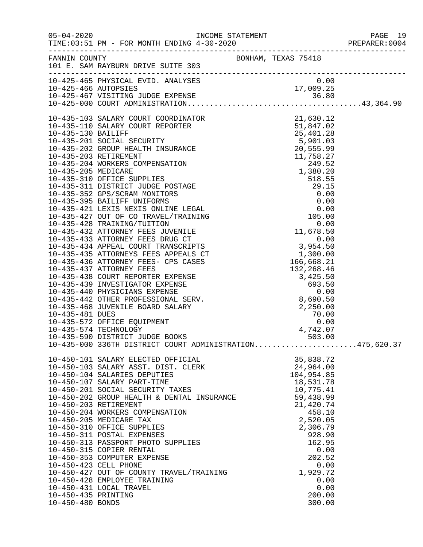|                                              |                                                                                                                                                                                                                                                                                                                                                                                                                                                                                                                                                                                                                           |                     |                                                                                                                                                                                                                | PREPARER: 0004 |
|----------------------------------------------|---------------------------------------------------------------------------------------------------------------------------------------------------------------------------------------------------------------------------------------------------------------------------------------------------------------------------------------------------------------------------------------------------------------------------------------------------------------------------------------------------------------------------------------------------------------------------------------------------------------------------|---------------------|----------------------------------------------------------------------------------------------------------------------------------------------------------------------------------------------------------------|----------------|
|                                              | FANNIN COUNTY<br>101 E. SAM RAYBURN DRIVE SUITE 303                                                                                                                                                                                                                                                                                                                                                                                                                                                                                                                                                                       | BONHAM, TEXAS 75418 |                                                                                                                                                                                                                |                |
|                                              |                                                                                                                                                                                                                                                                                                                                                                                                                                                                                                                                                                                                                           |                     |                                                                                                                                                                                                                |                |
|                                              |                                                                                                                                                                                                                                                                                                                                                                                                                                                                                                                                                                                                                           |                     |                                                                                                                                                                                                                |                |
|                                              | $10-435-000$ 336TH DISTRICT COURT ADMINISTRATION475,620.37                                                                                                                                                                                                                                                                                                                                                                                                                                                                                                                                                                |                     |                                                                                                                                                                                                                |                |
| 10-450-423 CELL PHONE<br>10-450-435 PRINTING | 10-450-101 SALARY ELECTED OFFICIAL<br>10-450-103 SALARY ASST. DIST. CLERK<br>10-450-104 SALARIES DEPUTIES<br>10-450-107 SALARY PART-TIME<br>10-450-201 SOCIAL SECURITY TAXES<br>10-450-201 SOCIAL SECURITY TAXES<br>10-450-202 GROUP HEALTH & DENTAL INSURANCE<br>10-450-203 RETIREMENT<br>10-450-204 WORKERS COMPENSATION<br>10-450-205 MEDICARE TAX<br>10-450-310 OFFICE SUPPLIES<br>10-450-311 POSTAL EXPENSES<br>10-450-313 PASSPORT PHOTO SUPPLIES<br>10-450-315 COPIER RENTAL<br>10-450-353 COMPUTER EXPENSE<br>10-450-427 OUT OF COUNTY TRAVEL/TRAINING<br>10-450-428 EMPLOYEE TRAINING<br>10-450-431 LOCAL TRAVEL |                     | 35,838.72<br>24,964.00<br>104,954.85<br>18,531.78<br>10,775.41<br>59,438.99<br>21,420.74<br>458.10<br>2,520.05<br>2,306.79<br>928.90<br>162.95<br>0.00<br>202.52<br>0.00<br>1,929.72<br>0.00<br>0.00<br>200.00 |                |
| 10-450-480 BONDS                             |                                                                                                                                                                                                                                                                                                                                                                                                                                                                                                                                                                                                                           |                     | 300.00                                                                                                                                                                                                         |                |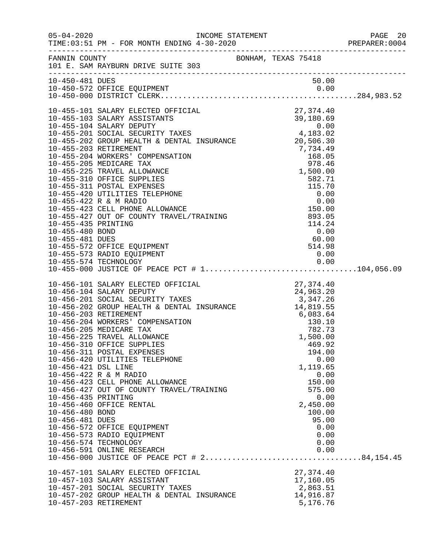|                       |                                                                                                                                                                                             |                  | PREPARER: 0004 |
|-----------------------|---------------------------------------------------------------------------------------------------------------------------------------------------------------------------------------------|------------------|----------------|
|                       | FANNIN COUNTY BONHAM, TEXAS 75418<br>101 E. SAM RAYBURN DRIVE SUITE 303                                                                                                                     |                  |                |
| 10-450-481 DUES       |                                                                                                                                                                                             | 50.00            |                |
|                       |                                                                                                                                                                                             |                  |                |
|                       |                                                                                                                                                                                             |                  |                |
|                       | 10-455-101 SALARY ELECTED OFFICIAL 27,374.40<br>10-455-103 SALARY ASSISTANTS 39,180.69<br>10-455-201 SOCIAL SECURITY TAXES 4,183.02<br>10-455-202 GROUP HEALTH & DENTAL INSURANCE 20,506.30 |                  |                |
|                       |                                                                                                                                                                                             |                  |                |
|                       |                                                                                                                                                                                             |                  |                |
|                       |                                                                                                                                                                                             |                  |                |
|                       |                                                                                                                                                                                             |                  |                |
|                       |                                                                                                                                                                                             |                  |                |
|                       |                                                                                                                                                                                             |                  |                |
|                       |                                                                                                                                                                                             |                  |                |
|                       |                                                                                                                                                                                             |                  |                |
|                       |                                                                                                                                                                                             |                  |                |
|                       |                                                                                                                                                                                             |                  |                |
|                       |                                                                                                                                                                                             |                  |                |
|                       |                                                                                                                                                                                             |                  |                |
|                       |                                                                                                                                                                                             |                  |                |
|                       |                                                                                                                                                                                             |                  |                |
|                       |                                                                                                                                                                                             |                  |                |
|                       |                                                                                                                                                                                             |                  |                |
|                       |                                                                                                                                                                                             |                  |                |
|                       |                                                                                                                                                                                             |                  |                |
|                       |                                                                                                                                                                                             |                  |                |
|                       |                                                                                                                                                                                             |                  |                |
|                       |                                                                                                                                                                                             |                  |                |
|                       |                                                                                                                                                                                             |                  |                |
|                       |                                                                                                                                                                                             |                  |                |
|                       |                                                                                                                                                                                             |                  |                |
|                       |                                                                                                                                                                                             |                  |                |
|                       |                                                                                                                                                                                             |                  |                |
|                       | 10-456-311 POSTAL EXPENSES                                                                                                                                                                  | 194.00           |                |
|                       | 10-456-420 UTILITIES TELEPHONE                                                                                                                                                              | 0.00             |                |
| 10-456-421 DSL LINE   |                                                                                                                                                                                             | 1,119.65         |                |
|                       | 10-456-422 R & M RADIO                                                                                                                                                                      | 0.00             |                |
|                       | 10-456-423 CELL PHONE ALLOWANCE<br>10-456-427 OUT OF COUNTY TRAVEL/TRAINING                                                                                                                 | 150.00<br>575.00 |                |
| 10-456-435 PRINTING   |                                                                                                                                                                                             | 0.00             |                |
|                       | 10-456-460 OFFICE RENTAL                                                                                                                                                                    | 2,450.00         |                |
| 10-456-480 BOND       |                                                                                                                                                                                             | 100.00           |                |
| 10-456-481 DUES       |                                                                                                                                                                                             | 95.00            |                |
|                       | 10-456-572 OFFICE EQUIPMENT                                                                                                                                                                 | 0.00             |                |
|                       | 10-456-573 RADIO EQUIPMENT                                                                                                                                                                  | 0.00             |                |
|                       | 10-456-574 TECHNOLOGY                                                                                                                                                                       | 0.00             |                |
|                       | 10-456-591 ONLINE RESEARCH<br>10-456-000 JUSTICE OF PEACE PCT # 284,154.45                                                                                                                  | 0.00             |                |
|                       |                                                                                                                                                                                             |                  |                |
|                       | 10-457-101 SALARY ELECTED OFFICIAL                                                                                                                                                          | 27,374.40        |                |
|                       | 10-457-103 SALARY ASSISTANT                                                                                                                                                                 | 17,160.05        |                |
|                       | 10-457-201 SOCIAL SECURITY TAXES                                                                                                                                                            | 2,863.51         |                |
|                       | 10-457-202 GROUP HEALTH & DENTAL INSURANCE                                                                                                                                                  | 14,916.87        |                |
| 10-457-203 RETIREMENT |                                                                                                                                                                                             | 5,176.76         |                |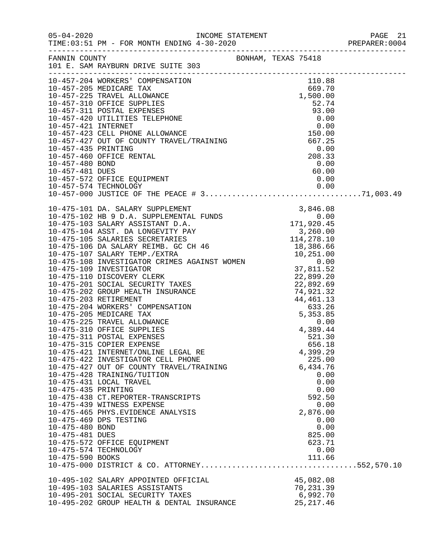|                                                           |                                                                                                                                                                                                                                                                                                                                                                                                                                               |                                                                                                                                            | PREPARER:0004 |
|-----------------------------------------------------------|-----------------------------------------------------------------------------------------------------------------------------------------------------------------------------------------------------------------------------------------------------------------------------------------------------------------------------------------------------------------------------------------------------------------------------------------------|--------------------------------------------------------------------------------------------------------------------------------------------|---------------|
|                                                           | EANNIN COUNTY BONHAM, TEXAS 75418                                                                                                                                                                                                                                                                                                                                                                                                             |                                                                                                                                            |               |
|                                                           |                                                                                                                                                                                                                                                                                                                                                                                                                                               |                                                                                                                                            |               |
|                                                           |                                                                                                                                                                                                                                                                                                                                                                                                                                               |                                                                                                                                            |               |
|                                                           | $10-475-101 \,\mathrm{DA} \quad SALARY \quad \text{SUPHENT} \\ 10-475-102 \,\mathrm{HB} \, 9 \, \mathrm{DA} \, . \quad \text{SUPHENT} \\ 10-475-102 \,\mathrm{BSLARY} \quad \text{SUPHENT} \\ 10-475-103 \,\mathrm{SALARY} \quad \text{ASISTANT D.A.} \\ 10-475-104 \,\mathrm{AST} \, \, \mathrm{DA} \, . \quad \text{DINIST} \\ 10-475-104 \,\mathrm{AST} \, . \quad \text{DA} \, . \quad \text{DAGENT} \\ 10-475-$                          |                                                                                                                                            |               |
| 10-475-435 PRINTING<br>10-475-480 BOND<br>10-475-481 DUES | 10-475-315 COPIER EXPENSE<br>10-475-421 INTERNET/ONLINE LEGAL RE<br>10-475-422 INVESTIGATOR CELL PHONE<br>$10-475-427$ OUT OF COUNTY TRAVEL/TRAINING<br>$10-475-429$ TDAINING (THEREASE)<br>10-475-428 TRAINING/TUITION<br>10-475-431 LOCAL TRAVEL<br>10-475-438 CT.REPORTER-TRANSCRIPTS<br>10-475-439 WITNESS EXPENSE<br>10-475-465 PHYS.EVIDENCE ANALYSIS<br>10-475-469 DPS TESTING<br>10-475-572 OFFICE EQUIPMENT<br>10-475-574 TECHNOLOGY | 656.18<br>4,399.29<br>225.00<br>6,434.76<br>0.00<br>0.00<br>0.00<br>592.50<br>0.00<br>2,876.00<br>0.00<br>0.00<br>825.00<br>623.71<br>0.00 |               |
|                                                           |                                                                                                                                                                                                                                                                                                                                                                                                                                               |                                                                                                                                            |               |
|                                                           | 10-495-102 SALARY APPOINTED OFFICIAL<br>10-495-103 SALARIES ASSISTANTS<br>10-495-201 SOCIAL SECURITY TAXES<br>10-495-202 GROUP HEALTH & DENTAL INSURANCE                                                                                                                                                                                                                                                                                      | 45,082.08<br>70,231.39<br>6,992.70<br>25, 217.46                                                                                           |               |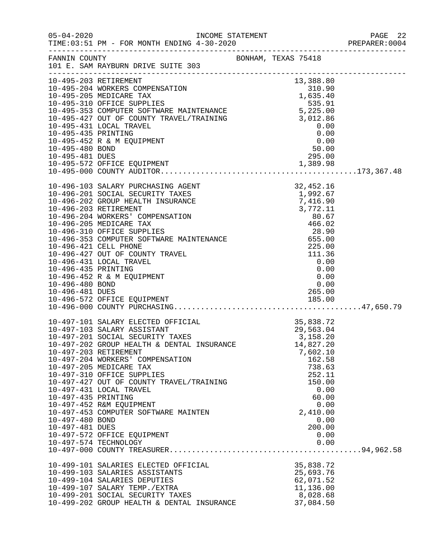|                                                           |                                                                                                                                                                                                                                                                                                                                                                                                                                                                              |                                                                                                                                                                                                                                      | PREPARER: 0004 |
|-----------------------------------------------------------|------------------------------------------------------------------------------------------------------------------------------------------------------------------------------------------------------------------------------------------------------------------------------------------------------------------------------------------------------------------------------------------------------------------------------------------------------------------------------|--------------------------------------------------------------------------------------------------------------------------------------------------------------------------------------------------------------------------------------|----------------|
|                                                           | FANNIN COUNTY BONHAM, TEXAS 75418<br>101 E. SAM RAYBURN DRIVE SUITE 303                                                                                                                                                                                                                                                                                                                                                                                                      |                                                                                                                                                                                                                                      |                |
|                                                           | 13,388.80<br>10-495-203 RETIREMENT (10-495-203 REDUCARE TAX 1635.40<br>10-495-203 MORKERS COMPENSATION (10-495-205 MEDICARE TAX 1,635.40<br>10-495-310 OFFICE SUPPLIES 535.91<br>10-495-353 COMPUTER SOFTWARE MAINTENANCE 535.91<br>10-4                                                                                                                                                                                                                                     |                                                                                                                                                                                                                                      |                |
| 10-496-435 PRINTING<br>10-496-480 BOND<br>10-496-481 DUES | 10-496-103 SALARY PURCHASING AGENT<br>10-496-201 SOCIAL SECURITY TAXES<br>10-496-202 GROUP HEALTH INSURANCE<br>10-496-203 RETIREMENT<br>10-496-204 WORKERS' COMPENSATION<br>10-496-205 MEDICARE TAX<br>10-496-310 OFFICE SUPPLIES<br>10-496-353 COMPUTER SOFTWARE MAINTENANCE<br>10-496-421 CELL PHONE<br>10-496-427 OUT OF COUNTY TRAVEL<br>10-496-431 LOCAL TRAVEL<br>10-496-452 R & M EQUIPMENT<br>10-496-572 OFFICE EQUIPMENT                                            | AGENT<br>XES<br>XES<br>1,992.67<br>ANCE<br>7,416.90<br>3,772.11<br>ION<br>80.67<br>466.02<br>28.90<br>MAINTENANCE<br>EL<br>111.36<br>0.00<br>0.00<br>0.00<br>$\begin{array}{c} 0\,.\,00 \ 0\,. \ 00 \end{array}$<br>265.00<br>185.00 |                |
| 10-497-435 PRINTING<br>10-497-480 BOND<br>10-497-481 DUES | 10-497-101 SALARY ELECTED OFFICIAL<br>10-497-103 SALARY ASSISTANT<br>10-497-201 SOCIAL SECURITY TAXES<br>10-497-202 GROUP HEALTH & DENTAL INSURANCE<br>10-497-203 RETIREMENT<br>10-497-204 WORKERS' COMPENSATION<br>10-497-205 MEDICARE TAX<br>10-497-310 OFFICE SUPPLIES<br>10-497-427 OUT OF COUNTY TRAVEL/TRAINING<br>10-497-431 LOCAL TRAVEL<br>10-497-452 R&M EQUIPMENT<br>10-497-453 COMPUTER SOFTWARE MAINTEN<br>10-497-572 OFFICE EQUIPMENT<br>10-497-574 TECHNOLOGY | CIAL 35,838.72<br>ES 3,158.20<br>ES 3,158.20<br>14,827.20<br>7,602.10<br>162.58<br>738.63<br>252.11<br>150.00<br>0.00<br>60.00<br>0.00<br>2,410.00<br>0.00<br>200.00<br>0.00<br>0.00                                                 |                |
|                                                           | 10-499-101 SALARIES ELECTED OFFICIAL<br>10-499-103 SALARIES ASSISTANTS<br>10-499-104 SALARIES DEPUTIES<br>10-499-107 SALARY TEMP./EXTRA<br>10-499-201 SOCIAL SECURITY TAXES<br>10-499-202 GROUP HEALTH & DENTAL INSURANCE                                                                                                                                                                                                                                                    | 35,838.72<br>25,693.76<br>62,071.52<br>11,136.00<br>8,028.68<br>37,084.50                                                                                                                                                            |                |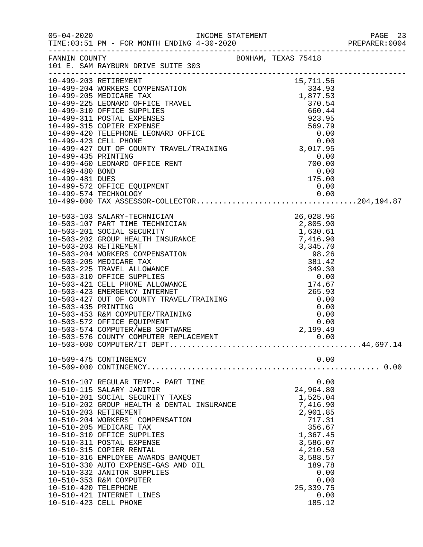|                      |                                                               |  |                      |      | PREPARER: 0004 |
|----------------------|---------------------------------------------------------------|--|----------------------|------|----------------|
|                      | FANNIN COUNTY<br>101 E. SAM RAYBURN DRIVE SUITE 303           |  |                      |      |                |
|                      |                                                               |  |                      |      |                |
|                      |                                                               |  |                      |      |                |
|                      |                                                               |  |                      |      |                |
|                      |                                                               |  |                      |      |                |
|                      |                                                               |  |                      |      |                |
|                      |                                                               |  |                      |      |                |
|                      |                                                               |  |                      |      |                |
|                      |                                                               |  |                      |      |                |
|                      |                                                               |  |                      |      |                |
|                      |                                                               |  |                      |      |                |
|                      |                                                               |  |                      |      |                |
|                      |                                                               |  |                      |      |                |
|                      | 10-499-572 OFFICE EQUIPMENT                                   |  | 0.00                 |      |                |
|                      | 10-499-574 TECHNOLOGY                                         |  |                      |      |                |
|                      |                                                               |  |                      |      |                |
|                      |                                                               |  |                      |      |                |
|                      |                                                               |  |                      |      |                |
|                      |                                                               |  |                      |      |                |
|                      |                                                               |  |                      |      |                |
|                      |                                                               |  |                      |      |                |
|                      |                                                               |  |                      |      |                |
|                      |                                                               |  |                      |      |                |
|                      |                                                               |  |                      |      |                |
|                      |                                                               |  |                      |      |                |
|                      |                                                               |  |                      |      |                |
|                      |                                                               |  |                      |      |                |
|                      |                                                               |  |                      |      |                |
|                      |                                                               |  |                      |      |                |
|                      |                                                               |  |                      |      |                |
|                      |                                                               |  |                      |      |                |
|                      |                                                               |  |                      |      |                |
|                      |                                                               |  |                      |      |                |
|                      | 10-509-475 CONTINGENCY                                        |  |                      | 0.00 |                |
|                      |                                                               |  |                      |      |                |
|                      | 10-510-107 REGULAR TEMP.- PART TIME                           |  |                      | 0.00 |                |
|                      | 10-510-115 SALARY JANITOR<br>10-510-201 SOCIAL SECURITY TAXES |  | 24,964.80            |      |                |
|                      | 10-510-202 GROUP HEALTH & DENTAL INSURANCE                    |  | 1,525.04<br>7,416.90 |      |                |
|                      | 10-510-203 RETIREMENT                                         |  | 2,901.85             |      |                |
|                      | 10-510-204 WORKERS' COMPENSATION                              |  | 717.31               |      |                |
|                      | 10-510-205 MEDICARE TAX                                       |  | 356.67               |      |                |
|                      | 10-510-310 OFFICE SUPPLIES                                    |  | 1,367.45             |      |                |
|                      | 10-510-311 POSTAL EXPENSE                                     |  | 3,586.07             |      |                |
|                      | 10-510-315 COPIER RENTAL                                      |  | 4,210.50             |      |                |
|                      | 10-510-316 EMPLOYEE AWARDS BANQUET                            |  | 3,588.57             |      |                |
|                      | 10-510-330 AUTO EXPENSE-GAS AND OIL                           |  | 189.78               |      |                |
|                      | 10-510-332 JANITOR SUPPLIES                                   |  |                      | 0.00 |                |
|                      | 10-510-353 R&M COMPUTER                                       |  |                      | 0.00 |                |
| 10-510-420 TELEPHONE |                                                               |  | 25, 339. 75          |      |                |
|                      | 10-510-421 INTERNET LINES<br>10-510-423 CELL PHONE            |  | 185.12               | 0.00 |                |
|                      |                                                               |  |                      |      |                |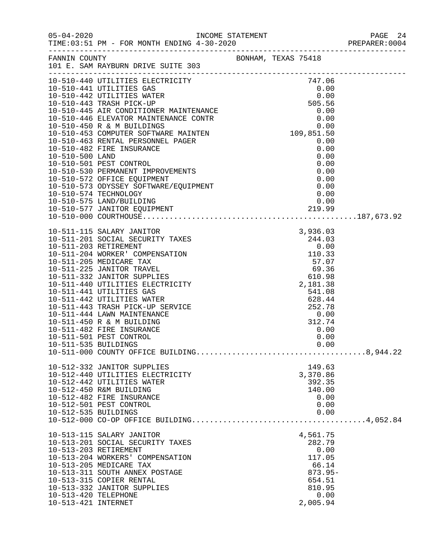|                                             |                                                                                                                                                                                                                                                                                                                                                                                                               | PAGE 24<br>PREPARER:0004 |                                                                                                    |  |
|---------------------------------------------|---------------------------------------------------------------------------------------------------------------------------------------------------------------------------------------------------------------------------------------------------------------------------------------------------------------------------------------------------------------------------------------------------------------|--------------------------|----------------------------------------------------------------------------------------------------|--|
|                                             | FANNIN COUNTY<br>101 E. SAM RAYBURN DRIVE SUITE 303                                                                                                                                                                                                                                                                                                                                                           | BONHAM, TEXAS 75418      |                                                                                                    |  |
|                                             | $[10-510-440 \text{ UTILITIES BLECTRIGTITX} \underbrace{0.00}_{10-510-4440 \text{ UTILITIES BLECTRIGTITX}} \underbrace{0.00}_{10-510-4442 \text{ UTILITIES BLECTRIGTITX}} \underbrace{0.00}_{10-510-4442 \text{ UTILITIES BATER}} \underbrace{0.00}_{10-510-445 \text{ RKS CNDITIONRE MANTENANCE S55}} \underbrace{0.00}_{10-510-446 \text{ ELEVATOR MANTENANCE S55}} \underbrace{0.00}_{0.00} \underbrace{1$ |                          |                                                                                                    |  |
|                                             |                                                                                                                                                                                                                                                                                                                                                                                                               |                          |                                                                                                    |  |
| 10-511-535 BUILDINGS                        |                                                                                                                                                                                                                                                                                                                                                                                                               |                          | 0.00                                                                                               |  |
| 10-512-535 BUILDINGS                        | 10-512-332 JANITOR SUPPLIES<br>10-512-440 UTILITIES ELECTRICITY<br>10-512-442 UTILITIES WATER<br>10-512-450 R&M BUILDING<br>10-512-482 FIRE INSURANCE<br>10-512-501 PEST CONTROL                                                                                                                                                                                                                              |                          | 149.63<br>3,370.86<br>392.35<br>140.00<br>0.00<br>0.00<br>0.00                                     |  |
| 10-513-420 TELEPHONE<br>10-513-421 INTERNET | 10-513-115 SALARY JANITOR<br>10-513-201 SOCIAL SECURITY TAXES<br>10-513-203 RETIREMENT<br>10-513-204 WORKERS' COMPENSATION<br>10-513-205 MEDICARE TAX<br>10-513-311 SOUTH ANNEX POSTAGE<br>10-513-315 COPIER RENTAL<br>10-513-332 JANITOR SUPPLIES                                                                                                                                                            |                          | 4,561.75<br>282.79<br>0.00<br>117.05<br>66.14<br>$873.95-$<br>654.51<br>810.95<br>0.00<br>2,005.94 |  |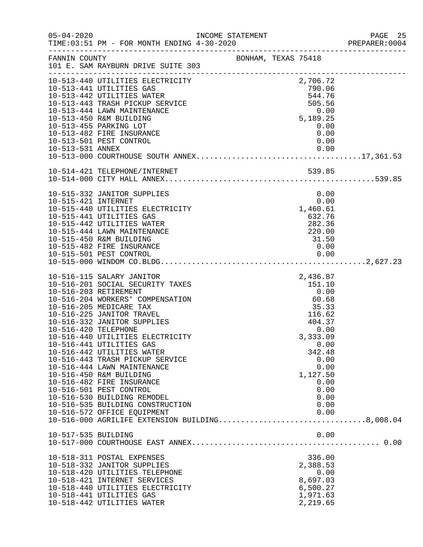|                      |                                                                                                                                                                                                                                                                                                                                                                                                                                                                                                                                                                                                                          |                                                        |  |                                                                                                                  | PREPARER: 0004 |
|----------------------|--------------------------------------------------------------------------------------------------------------------------------------------------------------------------------------------------------------------------------------------------------------------------------------------------------------------------------------------------------------------------------------------------------------------------------------------------------------------------------------------------------------------------------------------------------------------------------------------------------------------------|--------------------------------------------------------|--|------------------------------------------------------------------------------------------------------------------|----------------|
|                      | FANNIN COUNTY BONHAM, TEXAS 75418<br>101 E. SAM RAYBURN DRIVE SUITE 303                                                                                                                                                                                                                                                                                                                                                                                                                                                                                                                                                  |                                                        |  |                                                                                                                  |                |
|                      | FANNIEL SAM RAYBURN FRIEDRICHTER<br>10-513-440 UTILITIES ELECTRICITY<br>10-513-441 UTILITIES GAS<br>10-513-441 UTILITIES GAS                                                                                                                                                                                                                                                                                                                                                                                                                                                                                             |                                                        |  | 2,706.72<br>790.06<br>544.76<br>505.56                                                                           |                |
|                      | 10-513-444 LAWN MAINTENANCE<br>10-513-450 R&M BUILDING<br>10-513-455 PARKING LOT                                                                                                                                                                                                                                                                                                                                                                                                                                                                                                                                         |                                                        |  | 0.00<br>5,189.25<br>0.00                                                                                         |                |
| 10-513-531 ANNEX     | 10-513-482 FIRE INSURANCE<br>10-513-501 PEST CONTROL                                                                                                                                                                                                                                                                                                                                                                                                                                                                                                                                                                     |                                                        |  | 0.00<br>0.00<br>0.00                                                                                             |                |
|                      |                                                                                                                                                                                                                                                                                                                                                                                                                                                                                                                                                                                                                          |                                                        |  |                                                                                                                  |                |
| 10-515-421 INTERNET  | 10-515-332 JANITOR SUPPLIES<br>10-515-440 UTILITIES ELECTRICITY<br>10-515-441 UTILITIES GAS<br>10-515-442 UTILITIES WATER<br>10-515-444 LAWN MAINTENANCE<br>10-515-450 R&M BUILDING<br>10-515-482 FIRE INSURANCE                                                                                                                                                                                                                                                                                                                                                                                                         |                                                        |  | 0.00<br>0.00<br>1,460.61<br>632.76<br>282.36<br>220.00<br>31.50<br>31.50<br>0.00                                 |                |
| 10-516-420 TELEPHONE | 10-516-115 SALARY JANITOR<br>10-516-201 SOCIAL SECURITY TAXES<br>10-516-203 RETIREMENT<br>10-516-204 WORKERS' COMPENSATION<br>10-516-205 MEDICARE TAX<br>10-516-225 JANITOR TRAVEL<br>10-516-332 JANITOR SUPPLIES<br>10-516-440 UTILITIES ELECTRICITY<br>10-516-441 UTILITIES GAS<br>10-516-442 UTILITIES WATER<br>10-516-443 TRASH PICKUP SERVICE<br>10-516-444 LAWN MAINTENANCE<br>10-516-450 R&M BUILDING<br>10-516-482 FIRE INSURANCE<br>10-516-501 PEST CONTROL<br>10-516-530 BUILDING REMODEL<br>10-516-535 BUILDING CONSTRUCTION<br>10-516-572 OFFICE EQUIPMENT<br>10-516-000 AGRILIFE EXTENSION BUILDING8,008.04 | 2,436.87<br>151.10<br>0.00<br>60.68<br>35.33<br>116.62 |  | 404.37<br>0.00<br>3,333.09<br>0.00<br>342.48<br>0.00<br>0.00<br>1,127.50<br>0.00<br>0.00<br>0.00<br>0.00<br>0.00 |                |
| 10-517-535 BUILDING  |                                                                                                                                                                                                                                                                                                                                                                                                                                                                                                                                                                                                                          |                                                        |  | 0.00                                                                                                             |                |
|                      | 10-518-311 POSTAL EXPENSES<br>10-518-332 JANITOR SUPPLIES<br>10-518-420 UTILITIES TELEPHONE<br>10-518-421 INTERNET SERVICES<br>10-518-440 UTILITIES ELECTRICITY<br>10-518-441 UTILITIES GAS<br>10-518-442 UTILITIES WATER                                                                                                                                                                                                                                                                                                                                                                                                |                                                        |  | 336.00<br>2,388.53<br>0.00<br>8,697.03<br>6,500.27<br>1,971.63<br>2,219.65                                       |                |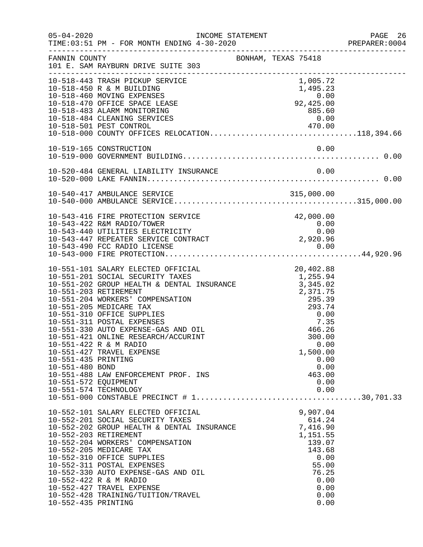| $05 - 04 - 2020$                                               | INCOME STATEMENT<br>TIME: 03:51 PM - FOR MONTH ENDING 4-30-2020                                                                                                                                                                                                                                                                                                                                                                                                                   |                                                                                                                                                                                        | PAGE 26<br>PREPARER: 0004 |
|----------------------------------------------------------------|-----------------------------------------------------------------------------------------------------------------------------------------------------------------------------------------------------------------------------------------------------------------------------------------------------------------------------------------------------------------------------------------------------------------------------------------------------------------------------------|----------------------------------------------------------------------------------------------------------------------------------------------------------------------------------------|---------------------------|
| FANNIN COUNTY                                                  | 101 E. SAM RAYBURN DRIVE SUITE 303                                                                                                                                                                                                                                                                                                                                                                                                                                                | BONHAM, TEXAS 75418                                                                                                                                                                    |                           |
|                                                                | 10-518-443 TRASH PICKUP SERVICE<br>10-518-450 R & M BUILDING<br>10-518-460 MOVING EXPENSES<br>10-518-470 OFFICE SPACE LEASE<br>10-518-483 ALARM MONITORING<br>10-518-484 CLEANING SERVICES<br>10-518-501 PEST CONTROL 470.00<br>10-518-000 COUNTY OFFICES RELOCATION118,394.66                                                                                                                                                                                                    | 1,005.72<br>1,495.23<br>92,425.00<br>885.60<br>0.00                                                                                                                                    |                           |
|                                                                | 10-519-165 CONSTRUCTION                                                                                                                                                                                                                                                                                                                                                                                                                                                           | 0.00                                                                                                                                                                                   |                           |
|                                                                |                                                                                                                                                                                                                                                                                                                                                                                                                                                                                   |                                                                                                                                                                                        |                           |
|                                                                |                                                                                                                                                                                                                                                                                                                                                                                                                                                                                   |                                                                                                                                                                                        |                           |
|                                                                | 10-543-416 FIRE PROTECTION SERVICE<br>10-543-416 FIRE PROIECITON SERVICE<br>10-543-422 R&M RADIO/TOWER 0.00<br>10-543-440 UTILITIES ELECTRICITY 0.00<br>10-543-447 REPEATER SERVICE CONTRACT 2,920.96                                                                                                                                                                                                                                                                             | 42,000.00                                                                                                                                                                              |                           |
| 10-551-435 PRINTING<br>10-551-480 BOND<br>10-551-572 EQUIPMENT | 10-551-101 SALARY ELECTED OFFICIAL<br>10-551-202 GROUP HEALTH & DENTAL INSURANCE 1,255.94<br>10-551-202 GROUP HEALTH & DENTAL INSURANCE 3,345.02<br>10-551-204 WORKERS' COMPENSATION<br>10-551-205 MEDICARE TAX<br>10-551-310 OFFICE SUPPLIES<br>10-551-311 POSTAL EXPENSES<br>10-551-330 AUTO EXPENSE-GAS AND OIL<br>10-551-421 ONLINE RESEARCH/ACCURINT<br>10-551-422 R & M RADIO<br>10-551-427 TRAVEL EXPENSE<br>10-551-488 LAW ENFORCEMENT PROF. INS<br>10-551-574 TECHNOLOGY | 20,402.88<br>$\begin{array}{r} 3,343.02 \\ 2,371.75 \\ 295.39 \\ 293.74 \\ 0.00 \\ 7.35 \\ 466.26 \\ 300.00 \end{array}$<br>0.00<br>1,500.00<br>0.00<br>0.00<br>463.00<br>0.00<br>0.00 |                           |
| 10-552-435 PRINTING                                            | 10-552-101 SALARY ELECTED OFFICIAL<br>10-552-201 SOCIAL SECURITY TAXES<br>10-552-202 GROUP HEALTH & DENTAL INSURANCE<br>10-552-203 RETIREMENT<br>10-552-204 WORKERS' COMPENSATION<br>10-552-205 MEDICARE TAX<br>10-552-310 OFFICE SUPPLIES<br>10-552-311 POSTAL EXPENSES<br>10-552-330 AUTO EXPENSE-GAS AND OIL<br>10-552-422 R & M RADIO<br>10-552-427 TRAVEL EXPENSE<br>10-552-428 TRAINING/TUITION/TRAVEL                                                                      | 9,907.04<br>614.24<br>7,416.90<br>1,151.55<br>139.07<br>143.68<br>0.00<br>55.00<br>76.25<br>0.00<br>0.00<br>0.00<br>0.00                                                               |                           |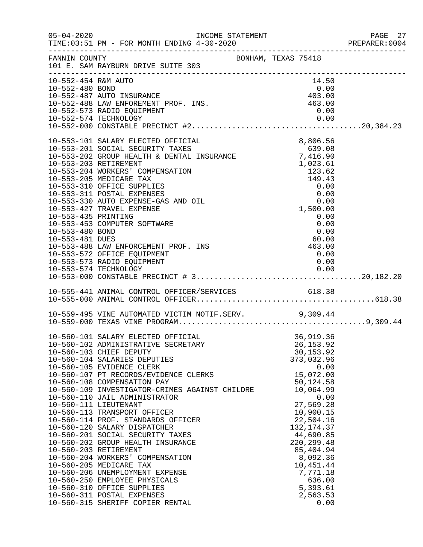| $05 - 04 - 2020$                                          | INCOME STATEMENT                                                                                                                                                                                                                                                                                                                                                                                                                                                                                                                                                                                                                                                                                                                                                                                 |                                                         |                                                                                                |                                                                                                                                                                                                                                                                                          | PAGE 27<br>PREPARER: 0004 |
|-----------------------------------------------------------|--------------------------------------------------------------------------------------------------------------------------------------------------------------------------------------------------------------------------------------------------------------------------------------------------------------------------------------------------------------------------------------------------------------------------------------------------------------------------------------------------------------------------------------------------------------------------------------------------------------------------------------------------------------------------------------------------------------------------------------------------------------------------------------------------|---------------------------------------------------------|------------------------------------------------------------------------------------------------|------------------------------------------------------------------------------------------------------------------------------------------------------------------------------------------------------------------------------------------------------------------------------------------|---------------------------|
| FANNIN COUNTY                                             | 101 E. SAM RAYBURN DRIVE SUITE 303                                                                                                                                                                                                                                                                                                                                                                                                                                                                                                                                                                                                                                                                                                                                                               | BONHAM, TEXAS 75418                                     |                                                                                                |                                                                                                                                                                                                                                                                                          |                           |
| 10-552-454 R&M AUTO<br>10-552-480 BOND                    | 10-552-487 AUTO INSURANCE<br>10-552-488 LAW ENFOREMENT PROF. INS.<br>10-552-573 RADIO EQUIPMENT                                                                                                                                                                                                                                                                                                                                                                                                                                                                                                                                                                                                                                                                                                  | $\begin{array}{c} 0.00 \\ 403.00 \\ 463.00 \end{array}$ |                                                                                                | 14.50<br>0.00<br>0.00                                                                                                                                                                                                                                                                    |                           |
|                                                           |                                                                                                                                                                                                                                                                                                                                                                                                                                                                                                                                                                                                                                                                                                                                                                                                  |                                                         |                                                                                                |                                                                                                                                                                                                                                                                                          |                           |
| 10-553-435 PRINTING<br>10-553-480 BOND<br>10-553-481 DUES | 10-553-101 SALARY ELECTED OFFICIAL<br>10-553-201 SOCIAL SECURITY TAXES 639.08<br>10-553-202 GROUP HEALTH & DENTAL INSURANCE 7,416.90<br>10-553-203 BETIBEMENT<br>10-553-203 RETIREMENT<br>10-553-204 WORKERS' COMPENSATION<br>10-553-205 MEDICARE TAX<br>10-553-310 OFFICE SUPPLIES<br>10-553-311 POSTAL EXPENSES<br>10-553-330 AUTO EXPENSE-GAS AND OIL<br>10-553-427 TRAVEL EXPENSE<br>10-553-453 COMPUTER SOFTWARE<br>10-553-488 LAW ENFORCEMENT PROF. INS<br>10-553-572 OFFICE EQUIPMENT<br>10-553-573 RADIO EQUIPMENT                                                                                                                                                                                                                                                                       | RAINCE<br>123.62<br>149.43<br>0.00<br>0.00<br>0.00      | 8,806.56<br>$149.43$<br>0.00<br>0.00<br>$\begin{array}{c} 0.00 \\ 60.00 \\ 463.00 \end{array}$ | 0.00<br>0.00<br>0.00<br>0.00<br>0.00                                                                                                                                                                                                                                                     |                           |
|                                                           |                                                                                                                                                                                                                                                                                                                                                                                                                                                                                                                                                                                                                                                                                                                                                                                                  |                                                         |                                                                                                |                                                                                                                                                                                                                                                                                          |                           |
|                                                           |                                                                                                                                                                                                                                                                                                                                                                                                                                                                                                                                                                                                                                                                                                                                                                                                  |                                                         |                                                                                                |                                                                                                                                                                                                                                                                                          |                           |
|                                                           | 10-559-495 VINE AUTOMATED VICTIM NOTIF.SERV. 9,309.44                                                                                                                                                                                                                                                                                                                                                                                                                                                                                                                                                                                                                                                                                                                                            |                                                         |                                                                                                |                                                                                                                                                                                                                                                                                          |                           |
|                                                           | 10-560-101 SALARY ELECTED OFFICIAL<br>10-560-102 ADMINISTRATIVE SECRETARY<br>10-560-103 CHIEF DEPUTY<br>10-560-104 SALARIES DEPUTIES<br>10-560-105 EVIDENCE CLERK<br>10-560-107 PT RECORDS/EVIDENCE CLERKS<br>10-560-108 COMPENSATION PAY<br>10-560-109 INVESTIGATOR-CRIMES AGAINST CHILDRE<br>10-560-110 JAIL ADMINISTRATOR<br>10-560-111 LIEUTENANT<br>10-560-113 TRANSPORT OFFICER<br>10-560-114 PROF. STANDARDS OFFICER<br>10-560-120 SALARY DISPATCHER<br>10-560-201 SOCIAL SECURITY TAXES<br>10-560-202 GROUP HEALTH INSURANCE<br>10-560-203 RETIREMENT<br>10-560-204 WORKERS' COMPENSATION<br>10-560-205 MEDICARE TAX<br>10-560-206 UNEMPLOYMENT EXPENSE<br>10-560-250 EMPLOYEE PHYSICALS<br>10-560-310 OFFICE SUPPLIES<br>10-560-311 POSTAL EXPENSES<br>10-560-315 SHERIFF COPIER RENTAL |                                                         |                                                                                                | 36,919.36<br>26, 153.92<br>30, 153.92<br>373,032.96<br>0.00<br>15,072.00<br>50,124.58<br>10,064.99<br>0.00<br>27,569.28<br>10,900.15<br>22,504.16<br>132, 174.37<br>44,690.85<br>220, 299.48<br>85,404.94<br>8,092.36<br>10,451.44<br>7,771.18<br>636.00<br>5,393.61<br>2,563.53<br>0.00 |                           |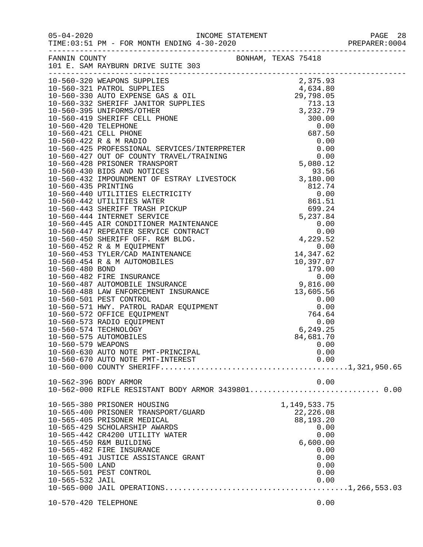| FANNIN COUNTY        | 101 E. SAM RAYBURN DRIVE SUITE 303                 | BONHAM, TEXAS 75418 |  |
|----------------------|----------------------------------------------------|---------------------|--|
|                      |                                                    |                     |  |
|                      |                                                    |                     |  |
|                      |                                                    |                     |  |
|                      |                                                    |                     |  |
|                      |                                                    |                     |  |
|                      |                                                    |                     |  |
|                      |                                                    |                     |  |
|                      |                                                    |                     |  |
|                      |                                                    |                     |  |
|                      |                                                    |                     |  |
|                      |                                                    |                     |  |
|                      |                                                    |                     |  |
|                      |                                                    |                     |  |
|                      |                                                    |                     |  |
|                      |                                                    |                     |  |
|                      |                                                    |                     |  |
|                      |                                                    |                     |  |
|                      |                                                    |                     |  |
|                      |                                                    |                     |  |
|                      |                                                    |                     |  |
|                      |                                                    |                     |  |
|                      |                                                    |                     |  |
|                      |                                                    |                     |  |
|                      |                                                    |                     |  |
|                      |                                                    |                     |  |
|                      |                                                    |                     |  |
|                      |                                                    |                     |  |
|                      |                                                    |                     |  |
|                      |                                                    |                     |  |
|                      |                                                    |                     |  |
|                      |                                                    |                     |  |
|                      |                                                    |                     |  |
|                      | 10-560-575 AUTOMOBILES                             | 84,681.70           |  |
| 10-560-579 WEAPONS   |                                                    | 0.00                |  |
|                      | 10-560-630 AUTO NOTE PMT-PRINCIPAL                 | 0.00                |  |
|                      | 10-560-670 AUTO NOTE PMT-INTEREST                  | 0.00                |  |
|                      |                                                    |                     |  |
|                      |                                                    |                     |  |
|                      | 10-562-396 BODY ARMOR                              | 0.00                |  |
|                      | 10-562-000 RIFLE RESISTANT BODY ARMOR 3439801 0.00 |                     |  |
|                      |                                                    |                     |  |
|                      | 10-565-380 PRISONER HOUSING                        | 1,149,533.75        |  |
|                      | 10-565-400 PRISONER TRANSPORT/GUARD                | 22,226.08           |  |
|                      | 10-565-405 PRISONER MEDICAL                        | 88,193.20           |  |
|                      | 10-565-429 SCHOLARSHIP AWARDS                      | 0.00                |  |
|                      | 10-565-442 CR4200 UTILITY WATER                    | 0.00                |  |
|                      | 10-565-450 R&M BUILDING                            | 6,600.00            |  |
|                      | 10-565-482 FIRE INSURANCE                          | 0.00                |  |
|                      | 10-565-491 JUSTICE ASSISTANCE GRANT                | 0.00                |  |
| 10-565-500 LAND      | 10-565-501 PEST CONTROL                            | 0.00<br>0.00        |  |
| 10-565-532 JAIL      |                                                    | 0.00                |  |
|                      |                                                    |                     |  |
|                      |                                                    |                     |  |
| 10-570-420 TELEPHONE |                                                    | 0.00                |  |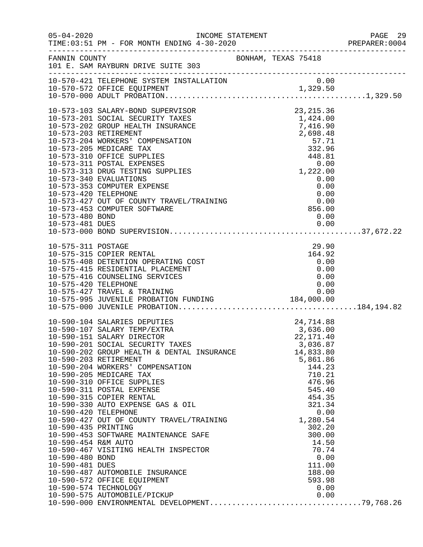| $05 - 04 - 2020$                   | INCOME STATEMENT<br>TIME: 03:51 PM - FOR MONTH ENDING 4-30-2020                                                                                           |                                                                                                                  | PAGE 29<br>PREPARER:0004 |
|------------------------------------|-----------------------------------------------------------------------------------------------------------------------------------------------------------|------------------------------------------------------------------------------------------------------------------|--------------------------|
|                                    | $\begin{tabular}{lllllllll} \texttt{FANNIN} & \texttt{COUNTY} & \texttt{BONHAM, TEXAS} & 75418 \\ 101 & E. SAM RAYBURN DRIVE SUITE & 303 & \end{tabular}$ |                                                                                                                  |                          |
|                                    |                                                                                                                                                           |                                                                                                                  |                          |
|                                    |                                                                                                                                                           |                                                                                                                  |                          |
|                                    |                                                                                                                                                           |                                                                                                                  |                          |
|                                    | 10-573-103 SALARY-BOND SUPERVISOR                                                                                                                         | 23, 215.36                                                                                                       |                          |
|                                    | 10-573-201 SOCIAL SECURITY TAXES                                                                                                                          | $1,424.00$<br>$7,416,90$                                                                                         |                          |
|                                    | 10-573-202 GROUP HEALTH INSURANCE<br>10-573-203 RETIREMENT                                                                                                |                                                                                                                  |                          |
|                                    | 10-573-204 WORKERS' COMPENSATION                                                                                                                          | $1, 423$<br>$7, 416.90$<br>$2, 698.48$<br>$57.71$<br>$332.96$<br>$448.81$<br>0.00<br>$1, 222.00$<br>0.00<br>0.00 |                          |
|                                    | 10-573-205 MEDICARE TAX                                                                                                                                   |                                                                                                                  |                          |
|                                    | 10-573-310 OFFICE SUPPLIES                                                                                                                                |                                                                                                                  |                          |
|                                    | 10-573-311 POSTAL EXPENSES<br>10-573-313 DRUG TESTING SUPPLIES                                                                                            |                                                                                                                  |                          |
|                                    | 10-573-340 EVALUATIONS                                                                                                                                    | 0.00                                                                                                             |                          |
|                                    | 10-573-353 COMPUTER EXPENSE                                                                                                                               | 0.00                                                                                                             |                          |
| 10-573-420 TELEPHONE               |                                                                                                                                                           | 0.00                                                                                                             |                          |
|                                    | 10-573-427 OUT OF COUNTY TRAVEL/TRAINING<br>10-573-453 COMPUTER SOFTWARE                                                                                  | 856.00                                                                                                           |                          |
| 10-573-480 BOND                    |                                                                                                                                                           | 0.00                                                                                                             |                          |
| 10-573-481 DUES                    |                                                                                                                                                           | 0.00                                                                                                             |                          |
|                                    |                                                                                                                                                           |                                                                                                                  |                          |
| 10-575-311 POSTAGE                 |                                                                                                                                                           | 29.90                                                                                                            |                          |
|                                    | 10-575-315 COPIER RENTAL                                                                                                                                  | 164.92                                                                                                           |                          |
|                                    | 10-575-408 DETENTION OPERATING COST                                                                                                                       | 0.00                                                                                                             |                          |
|                                    | 10-575-415 RESIDENTIAL PLACEMENT<br>10-575-416 COUNSELING SERVICES                                                                                        | 0.00                                                                                                             |                          |
| 10-575-420 TELEPHONE               |                                                                                                                                                           | 0.00<br>0.00                                                                                                     |                          |
|                                    |                                                                                                                                                           |                                                                                                                  |                          |
|                                    |                                                                                                                                                           |                                                                                                                  |                          |
|                                    |                                                                                                                                                           |                                                                                                                  |                          |
|                                    | 10-590-104 SALARIES DEPUTIES                                                                                                                              | 24,714.88                                                                                                        |                          |
|                                    | 10-590-107 SALARY TEMP/EXTRA                                                                                                                              | 3,636.00                                                                                                         |                          |
|                                    | 10-590-151 SALARY DIRECTOR                                                                                                                                | 22, 171.40                                                                                                       |                          |
|                                    | 10-590-201 SOCIAL SECURITY TAXES<br>10-590-202 GROUP HEALTH & DENTAL INSURANCE                                                                            | 3,036.87<br>14,833.80                                                                                            |                          |
|                                    | 10-590-203 RETIREMENT                                                                                                                                     | 5,861.86                                                                                                         |                          |
|                                    | 10-590-204 WORKERS' COMPENSATION                                                                                                                          | 144.23                                                                                                           |                          |
|                                    | 10-590-205 MEDICARE TAX                                                                                                                                   | 710.21                                                                                                           |                          |
|                                    | 10-590-310 OFFICE SUPPLIES<br>10-590-311 POSTAL EXPENSE                                                                                                   | 476.96<br>545.40                                                                                                 |                          |
|                                    | 10-590-315 COPIER RENTAL                                                                                                                                  | 454.35                                                                                                           |                          |
|                                    | 10-590-330 AUTO EXPENSE GAS & OIL                                                                                                                         | 321.34                                                                                                           |                          |
| 10-590-420 TELEPHONE               | 10-590-427 OUT OF COUNTY TRAVEL/TRAINING<br>10-590-425 PRINTING                                                                                           | 0.00                                                                                                             |                          |
| 10-590-435 PRINTING                |                                                                                                                                                           | 1,280.54<br>302.20                                                                                               |                          |
|                                    | 10-590-453 SOFTWARE MAINTENANCE SAFE                                                                                                                      | 300.00                                                                                                           |                          |
| 10-590-454 R&M AUTO                |                                                                                                                                                           | 14.50                                                                                                            |                          |
|                                    | 10-590-467 VISITING HEALTH INSPECTOR                                                                                                                      | 70.74                                                                                                            |                          |
| 10-590-480 BOND<br>10-590-481 DUES |                                                                                                                                                           | 0.00<br>111.00                                                                                                   |                          |
|                                    | 10-590-487 AUTOMOBILE INSURANCE                                                                                                                           | 188.00                                                                                                           |                          |
|                                    | 10-590-572 OFFICE EQUIPMENT                                                                                                                               | 593.98                                                                                                           |                          |
|                                    | 10-590-574 TECHNOLOGY                                                                                                                                     | 0.00                                                                                                             |                          |
|                                    |                                                                                                                                                           |                                                                                                                  |                          |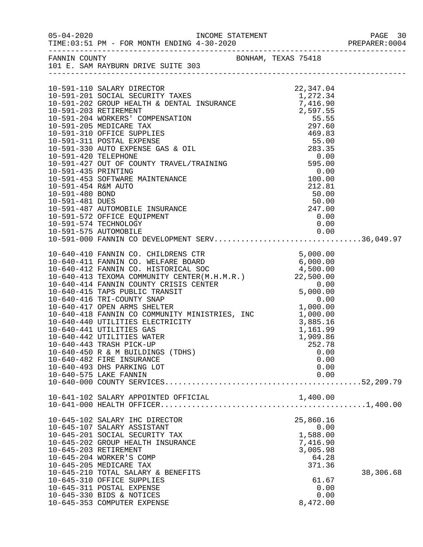| FANNIN COUNTY<br>101 E. SAM RAYBURN DRIVE SUITE 303                                                                                                                                                                                                                                                                                                                               | BONHAM, TEXAS 75418                                                                                           |           |
|-----------------------------------------------------------------------------------------------------------------------------------------------------------------------------------------------------------------------------------------------------------------------------------------------------------------------------------------------------------------------------------|---------------------------------------------------------------------------------------------------------------|-----------|
| 10-591-110 SALARY DIRECTOR $22,347.04$<br>10-591-201 SOCIAL SECURITY TAXES $1,272.34$<br>10-591-202 GROUP HEALTH & DENTAL INSURANCE 7,416.90<br>10-591-202 SETIREMENT                                                                                                                                                                                                             |                                                                                                               |           |
| 10-591-574 TECHNOLOGY<br>10-591-575 AUTOMOBILE<br>10-591-000 FANNIN CO DEVELOPMENT SERV36,049.97                                                                                                                                                                                                                                                                                  | $0\,.\,00\,$<br>0.00                                                                                          |           |
| 10-640-441 UTILITIES GAS<br>10-640-442 UTILITIES WATER<br>10-640-443 TRASH PICK-UP<br>10-640-450 R & M BUILDINGS (TDHS)<br>10-640-482 FIRE INSURANCE<br>10-640-493 DHS PARKING LOT<br>10-640-575 LAKE FANNIN                                                                                                                                                                      | 1,161.99<br>1,909.86<br>252.78<br>0.00<br>0.00<br>0.00<br>0.00                                                |           |
| 10-641-102 SALARY APPOINTED OFFICIAL                                                                                                                                                                                                                                                                                                                                              | 1,400.00                                                                                                      |           |
| 10-645-102 SALARY IHC DIRECTOR<br>10-645-107 SALARY ASSISTANT<br>10-645-201 SOCIAL SECURITY TAX<br>10-645-202 GROUP HEALTH INSURANCE<br>10-645-203 RETIREMENT<br>10-645-204 WORKER'S COMP<br>10-645-205 MEDICARE TAX<br>10-645-210 TOTAL SALARY & BENEFITS<br>10-645-310 OFFICE SUPPLIES<br>10-645-311 POSTAL EXPENSE<br>10-645-330 BIDS & NOTICES<br>10-645-353 COMPUTER EXPENSE | 25,860.16<br>0.00<br>1,588.00<br>7,416.90<br>3,005.98<br>64.28<br>371.36<br>61.67<br>0.00<br>0.00<br>8,472.00 | 38,306.68 |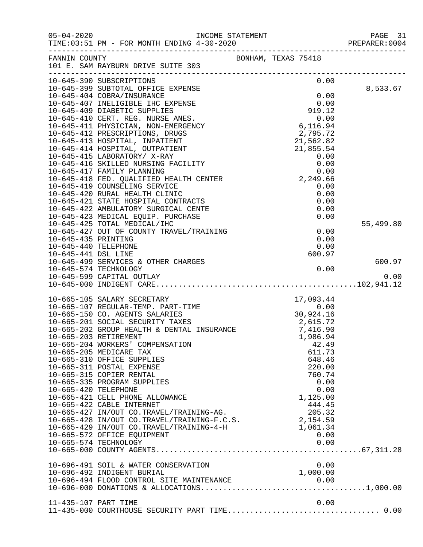| $05 - 04 - 2020$                            | TIME: 03:51 PM - FOR MONTH ENDING 4-30-2020                                                                                                                                          | INCOME STATEMENT                                                                                                             | PAGE 31<br>PREPARER: 0004 |
|---------------------------------------------|--------------------------------------------------------------------------------------------------------------------------------------------------------------------------------------|------------------------------------------------------------------------------------------------------------------------------|---------------------------|
|                                             | FANNIN COUNTY<br>101 E. SAM RAYBURN DRIVE SUITE 303                                                                                                                                  | BONHAM, TEXAS 75418                                                                                                          |                           |
|                                             | 10-645-390 SUBSCRIPTIONS<br>10-645-399 SUBTOTAL OFFICE EXPENSE                                                                                                                       | 0.00                                                                                                                         |                           |
|                                             | 10-645-404 COBRA/INSURANCE                                                                                                                                                           | 0.00                                                                                                                         | 8,533.67                  |
|                                             |                                                                                                                                                                                      | 0.00                                                                                                                         |                           |
|                                             | 10-645-407 INELIGIBLE IHC EXPENSE<br>10-645-409 DIABETIC SUPPLIES<br>10-645-410 CERT. REG. NURSE ANES.<br>10-645-411 PHYSICIAN, NON-EMERGENCY<br>10-645-411 PHYSICIAN, NON-EMERGENCY | 919.12                                                                                                                       |                           |
|                                             |                                                                                                                                                                                      | 0.00                                                                                                                         |                           |
|                                             |                                                                                                                                                                                      | 6,116.94                                                                                                                     |                           |
|                                             | 10-645-412 PRESCRIPTIONS, DRUGS                                                                                                                                                      | 2,795.72                                                                                                                     |                           |
|                                             | 10-645-413 HOSPITAL, INPATIENT                                                                                                                                                       | $2,793.72$<br>$21,562.82$<br>$21,855.54$<br>$0.00$<br>$0.00$<br>$0.00$<br>$2,249.66$<br>$0.00$<br>$0.00$<br>$0.00$<br>$0.00$ |                           |
|                                             | 10-645-414 HOSPITAL, OUTPATIENT                                                                                                                                                      |                                                                                                                              |                           |
|                                             | 10-645-415 LABORATORY/ X-RAY                                                                                                                                                         |                                                                                                                              |                           |
|                                             | 10-645-416 SKILLED NURSING FACILITY                                                                                                                                                  |                                                                                                                              |                           |
|                                             | 10-645-417 FAMILY PLANNING<br>10-645-418 FED. QUALIFIED HEALTH CENTER                                                                                                                |                                                                                                                              |                           |
|                                             | 10-645-419 COUNSELING SERVICE                                                                                                                                                        |                                                                                                                              |                           |
|                                             | 10-645-420 RURAL HEALTH CLINIC                                                                                                                                                       |                                                                                                                              |                           |
|                                             | 10-645-421 STATE HOSPITAL CONTRACTS                                                                                                                                                  |                                                                                                                              |                           |
|                                             | 10-645-422 AMBULATORY SURGICAL CENTE                                                                                                                                                 | 0.00                                                                                                                         |                           |
|                                             | 10-645-423 MEDICAL EQUIP. PURCHASE                                                                                                                                                   | 0.00                                                                                                                         |                           |
|                                             | 10-645-425 TOTAL MEDICAL/IHC                                                                                                                                                         |                                                                                                                              | 55,499.80                 |
|                                             | 10-645-427 OUT OF COUNTY TRAVEL/TRAINING                                                                                                                                             | 0.00                                                                                                                         |                           |
| 10-645-435 PRINTING                         |                                                                                                                                                                                      | 0.00                                                                                                                         |                           |
| 10-645-440 TELEPHONE<br>10-645-441 DSL LINE |                                                                                                                                                                                      | 0.00                                                                                                                         |                           |
|                                             | 10-645-499 SERVICES & OTHER CHARGES                                                                                                                                                  | 600.97                                                                                                                       | 600.97                    |
|                                             | 10-645-574 TECHNOLOGY                                                                                                                                                                | 0.00                                                                                                                         |                           |
|                                             | 10-645-599 CAPITAL OUTLAY                                                                                                                                                            |                                                                                                                              | 0.00                      |
|                                             |                                                                                                                                                                                      |                                                                                                                              |                           |
|                                             | 10-665-105 SALARY SECRETARY                                                                                                                                                          | 17,093.44                                                                                                                    |                           |
|                                             | 10-665-107 REGULAR-TEMP. PART-TIME                                                                                                                                                   |                                                                                                                              |                           |
|                                             | 10-665-150 CO. AGENTS SALARIES<br>10-665-201 SOCIAL SECURITY TAXES<br>10-665-202 GROUP HEALTH & DENTAL INSURANCE                                                                     | $17,093.44$<br>0.00<br>30,924.16<br>2.515.72                                                                                 |                           |
|                                             |                                                                                                                                                                                      | 2,615.72                                                                                                                     |                           |
|                                             |                                                                                                                                                                                      | 7,416.90                                                                                                                     |                           |
|                                             | 10-665-203 RETIREMENT                                                                                                                                                                | 1,986.94                                                                                                                     |                           |
|                                             | 10-665-204 WORKERS' COMPENSATION                                                                                                                                                     | 42.49                                                                                                                        |                           |
|                                             | 10-665-205 MEDICARE TAX<br>10-665-310 OFFICE SUPPLIES                                                                                                                                | 611.73<br>648.46                                                                                                             |                           |
|                                             | 10-665-311 POSTAL EXPENSE                                                                                                                                                            | 220.00                                                                                                                       |                           |
|                                             | 10-665-315 COPIER RENTAL                                                                                                                                                             | 760.74                                                                                                                       |                           |
|                                             | 10-665-335 PROGRAM SUPPLIES                                                                                                                                                          | 0.00                                                                                                                         |                           |
| 10-665-420 TELEPHONE                        |                                                                                                                                                                                      | 0.00                                                                                                                         |                           |
|                                             | 10-665-421 CELL PHONE ALLOWANCE                                                                                                                                                      | 1,125.00                                                                                                                     |                           |
|                                             | 10-665-422 CABLE INTERNET                                                                                                                                                            | 444.45                                                                                                                       |                           |
|                                             | 10-665-427 IN/OUT CO.TRAVEL/TRAINING-AG.                                                                                                                                             | 205.32                                                                                                                       |                           |
|                                             | 10-665-428 IN/OUT CO.TRAVEL/TRAINING-F.C.S.                                                                                                                                          | 2,154.59                                                                                                                     |                           |
|                                             | 10-665-429 IN/OUT CO.TRAVEL/TRAINING-4-H                                                                                                                                             | 1,061.34                                                                                                                     |                           |
|                                             | 10-665-572 OFFICE EQUIPMENT<br>10-665-574 TECHNOLOGY                                                                                                                                 | 0.00<br>0.00                                                                                                                 |                           |
|                                             |                                                                                                                                                                                      |                                                                                                                              |                           |
|                                             |                                                                                                                                                                                      |                                                                                                                              |                           |
|                                             | 10-696-491 SOIL & WATER CONSERVATION                                                                                                                                                 | 0.00                                                                                                                         |                           |
|                                             | 10-696-492 INDIGENT BURIAL                                                                                                                                                           | 1,000.00                                                                                                                     |                           |
|                                             | 10-696-494 FLOOD CONTROL SITE MAINTENANCE                                                                                                                                            |                                                                                                                              |                           |
|                                             |                                                                                                                                                                                      |                                                                                                                              |                           |
| 11-435-107 PART TIME                        |                                                                                                                                                                                      | 0.00                                                                                                                         |                           |
|                                             |                                                                                                                                                                                      |                                                                                                                              |                           |
|                                             |                                                                                                                                                                                      |                                                                                                                              |                           |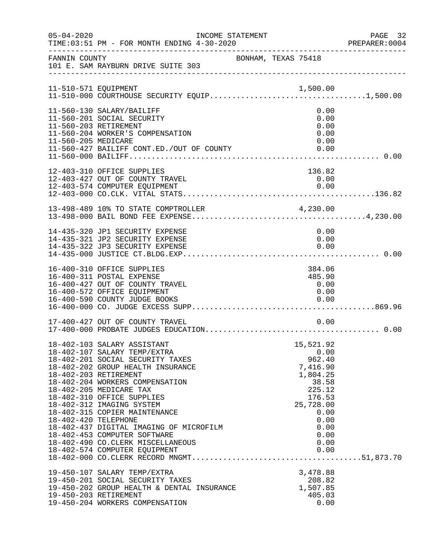| $05 - 04 - 2020$     | INCOME STATEMENT<br>TIME: 03:51 PM - FOR MONTH ENDING 4-30-2020                                                                                                                                                                                                                                                                                                                                                                                                           |                                                                                                                                               | PAGE 32<br>PREPARER: 0004 |
|----------------------|---------------------------------------------------------------------------------------------------------------------------------------------------------------------------------------------------------------------------------------------------------------------------------------------------------------------------------------------------------------------------------------------------------------------------------------------------------------------------|-----------------------------------------------------------------------------------------------------------------------------------------------|---------------------------|
| FANNIN COUNTY        | 101 E. SAM RAYBURN DRIVE SUITE 303                                                                                                                                                                                                                                                                                                                                                                                                                                        | BONHAM, TEXAS 75418                                                                                                                           |                           |
|                      |                                                                                                                                                                                                                                                                                                                                                                                                                                                                           |                                                                                                                                               |                           |
| 11-560-205 MEDICARE  | 11-560-130 SALARY/BAILIFF<br>11-560-201 SOCIAL SECURITY<br>11-560-203 RETIREMENT<br>11-560-204 WORKER'S COMPENSATION<br>11-560-427 BAILIFF CONT.ED./OUT OF COUNTY                                                                                                                                                                                                                                                                                                         | 0.00<br>0.00<br>0.00<br>0.00<br>0.00                                                                                                          |                           |
|                      | 12-403-310 OFFICE SUPPLIES<br>12-403-427 OUT OF COUNTY TRAVEL<br>12-403-574 COMPUTER EOUIPMENT                                                                                                                                                                                                                                                                                                                                                                            | 136.82<br>0.00<br>0.00                                                                                                                        |                           |
|                      | 13-498-489 10% TO STATE COMPTROLLER 4,230.00                                                                                                                                                                                                                                                                                                                                                                                                                              |                                                                                                                                               |                           |
|                      | 14-435-320 JP1 SECURITY EXPENSE<br>14-435-321 JP2 SECURITY EXPENSE<br>14-435-322 JP3 SECURITY EXPENSE                                                                                                                                                                                                                                                                                                                                                                     | 0.00<br>0.00<br>0.00                                                                                                                          |                           |
|                      | 16-400-310 OFFICE SUPPLIES<br>16-400-311 POSTAL EXPENSE<br>16-400-427 OUT OF COUNTY TRAVEL<br>16-400-572 OFFICE EQUIPMENT<br>16-400-590 COUNTY JUDGE BOOKS                                                                                                                                                                                                                                                                                                                | 384.06<br>485.90<br>0.00<br>0.00<br>0.00                                                                                                      |                           |
|                      | 17-400-427 OUT OF COUNTY TRAVEL                                                                                                                                                                                                                                                                                                                                                                                                                                           | 0.00                                                                                                                                          |                           |
| 18-402-420 TELEPHONE | 18-402-103 SALARY ASSISTANT<br>18-402-107 SALARY TEMP/EXTRA<br>18-402-201 SOCIAL SECURITY TAXES<br>18-402-202 GROUP HEALTH INSURANCE<br>18-402-203 RETIREMENT<br>18-402-204 WORKERS COMPENSATION<br>18-402-205 MEDICARE TAX<br>18-402-310 OFFICE SUPPLIES<br>18-402-312 IMAGING SYSTEM<br>18-402-315 COPIER MAINTENANCE<br>18-402-437 DIGITAL IMAGING OF MICROFILM<br>18-402-453 COMPUTER SOFTWARE<br>18-402-490 CO. CLERK MISCELLANEOUS<br>18-402-574 COMPUTER EQUIPMENT | 15,521.92<br>0.00<br>962.40<br>7,416.90<br>1,804.25<br>38.58<br>225.12<br>176.53<br>25,728.00<br>0.00<br>0.00<br>0.00<br>0.00<br>0.00<br>0.00 |                           |
|                      | 19-450-107 SALARY TEMP/EXTRA<br>19-450-201 SOCIAL SECURITY TAXES<br>19-450-202 GROUP HEALTH & DENTAL INSURANCE<br>19-450-203 RETIREMENT<br>19-450-204 WORKERS COMPENSATION                                                                                                                                                                                                                                                                                                | 3,478.88<br>208.82<br>1,507.85<br>405.03<br>0.00                                                                                              |                           |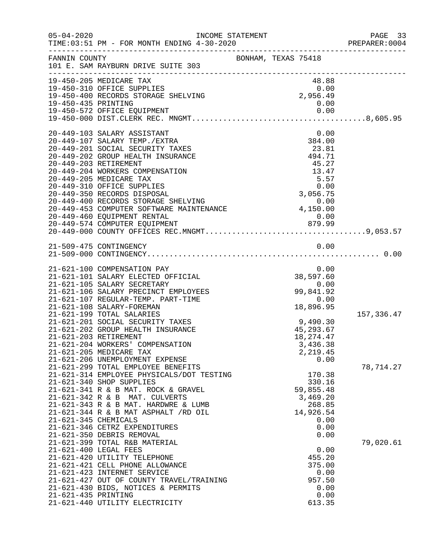| $05 - 04 - 2020$                              | INCOME STATEMENT<br>TIME: 03:51 PM - FOR MONTH ENDING 4-30-2020                                                                                                                                                                                                                                                                                                                                                                                                                                                                                                                                                                                                                                                                                                                                |                     |                                                                                                                                                                                                  |                              | PAGE 33<br>PREPARER:0004             |
|-----------------------------------------------|------------------------------------------------------------------------------------------------------------------------------------------------------------------------------------------------------------------------------------------------------------------------------------------------------------------------------------------------------------------------------------------------------------------------------------------------------------------------------------------------------------------------------------------------------------------------------------------------------------------------------------------------------------------------------------------------------------------------------------------------------------------------------------------------|---------------------|--------------------------------------------------------------------------------------------------------------------------------------------------------------------------------------------------|------------------------------|--------------------------------------|
| FANNIN COUNTY                                 | 101 E. SAM RAYBURN DRIVE SUITE 303                                                                                                                                                                                                                                                                                                                                                                                                                                                                                                                                                                                                                                                                                                                                                             | BONHAM, TEXAS 75418 |                                                                                                                                                                                                  |                              |                                      |
| 19-450-435 PRINTING                           | 19-450-205 MEDICARE TAX<br>19-450-310 OFFICE SUPPLIES<br>19-450-400 RECORDS STORAGE SHELVING                                                                                                                                                                                                                                                                                                                                                                                                                                                                                                                                                                                                                                                                                                   |                     | 48.88<br>$\begin{array}{c} 1.318 \\ 0.00 \\ 2,956.49 \end{array}$<br>0.00                                                                                                                        |                              |                                      |
|                                               | 20-449-103 SALARY ASSISTANT<br>20-449-107 SALARY TEMP./EXTRA<br>20-449-201 SOCIAL SECURITY TAXES<br>20-449-202 GROUP HEALTH INSURANCE<br>20-449-203 RETIREMENT<br>20-449-204 WORKERS COMPENSATION<br>20-449-205 MEDICARE TAX<br>20-449-310 OFFICE SUPPLIES<br>0.00<br>20-449-350 RECORDS DISPOSAL<br>20-449-400 RECORDS STORAGE SHELVING<br>20-449-453 COMPUTER SOFTWARE MAINTENANCE<br>20-449-460 EQUIPMENT RENTAL<br>20-449-460 EQUIPMENT RENTAL                                                                                                                                                                                                                                                                                                                                             |                     | 384.00<br>$23.81$<br>$494.71$<br>494.71<br>45.27<br>13.47<br>5.57<br>0.00                                                                                                                        | 0.00                         |                                      |
|                                               | 21-509-475 CONTINGENCY                                                                                                                                                                                                                                                                                                                                                                                                                                                                                                                                                                                                                                                                                                                                                                         |                     |                                                                                                                                                                                                  | 0.00                         |                                      |
| 21-621-203 RETIREMENT<br>21-621-345 CHEMICALS | 21-621-100 COMPENSATION PAY<br>21-621-101 SALARY ELECTED OFFICIAL<br>21-621-105 SALARY SECRETARY<br>21-621-106 SALARY PRECINCT EMPLOYEES<br>21-621-107 REGULAR-TEMP. PART-TIME<br>21-621-108 SALARY-FOREMAN<br>21-621-199 TOTAL SALARIES<br>21-621-201 SOCIAL SECURITY TAXES<br>21-621-202 GROUP HEALTH INSURANCE<br>21-621-204 WORKERS' COMPENSATION<br>21-621-205 MEDICARE TAX<br>21-621-206 UNEMPLOYMENT EXPENSE<br>21-621-299 TOTAL EMPLOYEE BENEFITS<br>21-621-314 EMPLOYEE PHYSICALS/DOT TESTING<br>21-621-340 SHOP SUPPLIES<br>21-621-341 R & B MAT. ROCK & GRAVEL<br>21-621-342 R & B MAT. CULVERTS<br>21-621-343 R & B MAT. HARDWRE & LUMB<br>$21-621-344$ R & B MAT ASPHALT $/RD$ OIL<br>21-621-346 CETRZ EXPENDITURES<br>21-621-350 DEBRIS REMOVAL<br>21-621-399 TOTAL R&B MATERIAL |                     | 0.00<br>38,597.60<br>0.00<br>99,841.92<br>0.00<br>18,896.95<br>9,490.30<br>45, 293.67<br>18, 274. 47<br>3,436.38<br>2,219.45<br>170.38<br>330.16<br>59,855.48<br>3,469.20<br>268.85<br>14,926.54 | 0.00<br>0.00<br>0.00<br>0.00 | 157,336.47<br>78,714.27<br>79,020.61 |
| 21-621-435 PRINTING                           | 21-621-400 LEGAL FEES<br>21-621-420 UTILITY TELEPHONE<br>21-621-421 CELL PHONE ALLOWANCE<br>21-621-423 INTERNET SERVICE<br>21-621-427 OUT OF COUNTY TRAVEL/TRAINING<br>21-621-430 BIDS, NOTICES & PERMITS<br>21-621-440 UTILITY ELECTRICITY                                                                                                                                                                                                                                                                                                                                                                                                                                                                                                                                                    |                     | 455.20<br>375.00<br>957.50<br>613.35                                                                                                                                                             | 0.00<br>0.00<br>0.00<br>0.00 |                                      |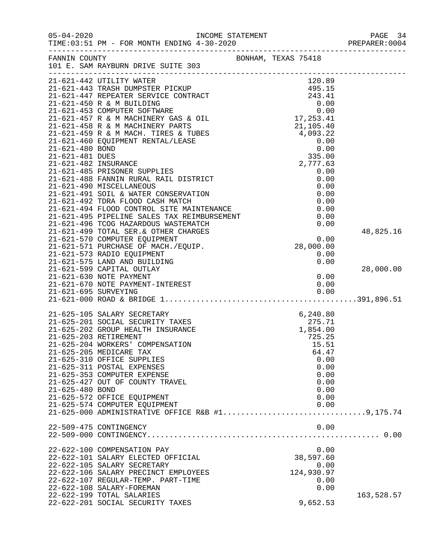| $05 - 04 - 2020$ | INCOME STATEMENT<br>TIME:03:51 PM - FOR MONTH ENDING 4-30-2020                                                                                                                                   |                     | PAGE 34<br>PREPARER: 0004 |
|------------------|--------------------------------------------------------------------------------------------------------------------------------------------------------------------------------------------------|---------------------|---------------------------|
|                  | FANNIN COUNTY<br>101 E. SAM RAYBURN DRIVE SUITE 303                                                                                                                                              | BONHAM, TEXAS 75418 |                           |
|                  | 21-621-442 UTILITY WATER                                                                                                                                                                         | 120.89              |                           |
|                  |                                                                                                                                                                                                  |                     |                           |
|                  |                                                                                                                                                                                                  |                     |                           |
|                  |                                                                                                                                                                                                  |                     |                           |
|                  |                                                                                                                                                                                                  |                     |                           |
|                  |                                                                                                                                                                                                  |                     |                           |
|                  |                                                                                                                                                                                                  |                     |                           |
|                  |                                                                                                                                                                                                  |                     |                           |
|                  |                                                                                                                                                                                                  |                     |                           |
|                  |                                                                                                                                                                                                  |                     |                           |
|                  |                                                                                                                                                                                                  |                     |                           |
|                  | 21-621-485 PRISONER SUPPLIES                                                                                                                                                                     | 0.00                |                           |
|                  | 21-621-488 FANNIN RURAL RAIL DISTRICT                                                                                                                                                            | 0.00                |                           |
|                  | 21-621-490 MISCELLANEOUS                                                                                                                                                                         | 0.00                |                           |
|                  |                                                                                                                                                                                                  | 0.00                |                           |
|                  | 21-621-491 SOIL &<br>21-621-492 TDRA FLOOD CASH MATCH<br>21-621-494 FLOOD CONTROL SITE MAINTENANCE<br>21-621-495 PIPELINE SALES TAX REIMBURSEMENT<br>21-621-495 PIPELINE SALES TAX REIMBURSEMENT | 0.00                |                           |
|                  |                                                                                                                                                                                                  | 0.00                |                           |
|                  |                                                                                                                                                                                                  | 0.00                |                           |
|                  |                                                                                                                                                                                                  | 0.00                |                           |
|                  |                                                                                                                                                                                                  |                     | 48,825.16                 |
|                  |                                                                                                                                                                                                  | 0.00                |                           |
|                  | 21-621-571 PURCHASE OF MACH./EQUIP.                                                                                                                                                              | 28,000.00           |                           |
|                  | 21-621-573 RADIO EQUIPMENT<br>21-621-575 LAND AND BUILDING                                                                                                                                       | 0.00<br>0.00        |                           |
|                  | 21-621-599 CAPITAL OUTLAY                                                                                                                                                                        |                     | 28,000.00                 |
|                  | 21-621-630 NOTE PAYMENT                                                                                                                                                                          | 0.00                |                           |
|                  |                                                                                                                                                                                                  | 0.00                |                           |
|                  | 21-621-670 NOTE PAYMENT-INTEREST<br>21-621-695 SURVEYING                                                                                                                                         | 0.00                |                           |
|                  |                                                                                                                                                                                                  |                     |                           |
|                  | 21-625-105 SALARY SECRETARY                                                                                                                                                                      | 6, 240.80           |                           |
|                  | 21-625-201 SOCIAL SECURITY TAXES                                                                                                                                                                 | 275.71              |                           |
|                  | 21-625-202 GROUP HEALTH INSURANCE                                                                                                                                                                | 1,854.00            |                           |
|                  | 21-625-203 RETIREMENT                                                                                                                                                                            | 725.25              |                           |
|                  | 21-625-204 WORKERS' COMPENSATION                                                                                                                                                                 | 15.51               |                           |
|                  | 21-625-205 MEDICARE TAX                                                                                                                                                                          | 64.47               |                           |
|                  | 21-625-310 OFFICE SUPPLIES                                                                                                                                                                       | 0.00                |                           |
|                  | 21-625-311 POSTAL EXPENSES                                                                                                                                                                       | 0.00                |                           |
|                  | 21-625-353 COMPUTER EXPENSE                                                                                                                                                                      | 0.00                |                           |
| 21-625-480 BOND  | 21-625-427 OUT OF COUNTY TRAVEL                                                                                                                                                                  | 0.00<br>0.00        |                           |
|                  | 21-625-572 OFFICE EQUIPMENT                                                                                                                                                                      | 0.00                |                           |
|                  | 21-625-574 COMPUTER EQUIPMENT                                                                                                                                                                    | 0.00                |                           |
|                  | 21-625-000 ADMINISTRATIVE OFFICE R&B #19,175.74                                                                                                                                                  |                     |                           |
|                  | 22-509-475 CONTINGENCY                                                                                                                                                                           | 0.00                |                           |
|                  |                                                                                                                                                                                                  |                     |                           |
|                  | 22-622-100 COMPENSATION PAY                                                                                                                                                                      | 0.00                |                           |
|                  | 22-622-101 SALARY ELECTED OFFICIAL                                                                                                                                                               | 38,597.60           |                           |
|                  | 22-622-105 SALARY SECRETARY                                                                                                                                                                      | 0.00                |                           |
|                  | 22-622-106 SALARY PRECINCT EMPLOYEES                                                                                                                                                             | 124,930.97          |                           |
|                  | 22-622-107 REGULAR-TEMP. PART-TIME                                                                                                                                                               | 0.00                |                           |
|                  | 22-622-108 SALARY-FOREMAN                                                                                                                                                                        | 0.00                |                           |
|                  | 22-622-199 TOTAL SALARIES                                                                                                                                                                        |                     | 163,528.57                |
|                  | 22-622-201 SOCIAL SECURITY TAXES                                                                                                                                                                 | 9,652.53            |                           |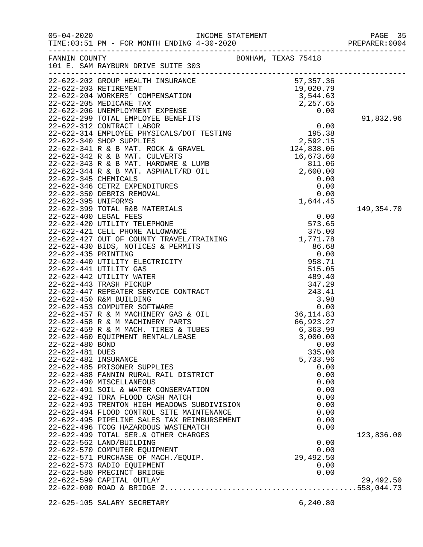|                                                            |                                                                                                                                                                                                                                                                                                                                                                  |                                                                                                    | PREPARER: 0004          |
|------------------------------------------------------------|------------------------------------------------------------------------------------------------------------------------------------------------------------------------------------------------------------------------------------------------------------------------------------------------------------------------------------------------------------------|----------------------------------------------------------------------------------------------------|-------------------------|
|                                                            | FANNIN COUNTY<br>101 E. SAM RAYBURN DRIVE SUITE 303                                                                                                                                                                                                                                                                                                              | BONHAM, TEXAS 75418                                                                                |                         |
|                                                            |                                                                                                                                                                                                                                                                                                                                                                  |                                                                                                    | 91,832.96               |
| 22-622-395 UNIFORMS                                        |                                                                                                                                                                                                                                                                                                                                                                  | 1,644.45                                                                                           |                         |
| 22-622-480 BOND<br>22-622-481 DUES<br>22-622-482 INSURANCE | 22-622-485 PRISONER SUPPLIES<br>22-622-488 FANNIN RURAL RAIL DISTRICT<br>22-622-490 MISCELLANEOUS<br>22-622-491 SOIL & WATER CONSERVATION<br>22-622-492 TDRA FLOOD CASH MATCH<br>22-622-493 TRENTON HIGH MEADOWS SUBDIVISION<br>22-622-494 FLOOD CONTROL SITE MAINTENANCE<br>22-622-495 PIPELINE SALES TAX REIMBURSEMENT<br>22-622-496 TCOG HAZARDOUS WASTEMATCH | 0.00<br>335.00<br>5,733.96<br>0.00<br>0.00<br>0.00<br>0.00<br>0.00<br>0.00<br>0.00<br>0.00<br>0.00 | 149,354.70              |
|                                                            | 22-622-499 TOTAL SER.& OTHER CHARGES<br>22-622-562 LAND/BUILDING<br>22-622-570 COMPUTER EQUIPMENT<br>22-622-571 PURCHASE OF MACH./EQUIP.<br>22-622-573 RADIO EQUIPMENT<br>22-622-580 PRECINCT BRIDGE<br>22-622-599 CAPITAL OUTLAY                                                                                                                                | 0.00<br>0.00<br>29,492.50<br>0.00<br>0.00                                                          | 123,836.00<br>29,492.50 |
|                                                            | 22-625-105 SALARY SECRETARY                                                                                                                                                                                                                                                                                                                                      | 6,240.80                                                                                           |                         |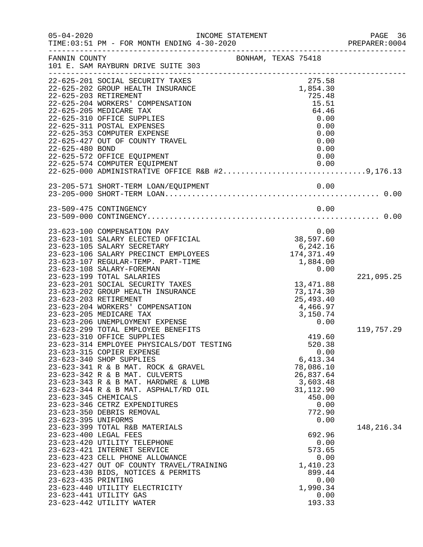| $05 - 04 - 2020$     | TIME: 03:51 PM - FOR MONTH ENDING 4-30-2020                                                                                                                                                                                                 | INCOME STATEMENT    |                                                                            | PAGE 36<br>PREPARER: 0004 |
|----------------------|---------------------------------------------------------------------------------------------------------------------------------------------------------------------------------------------------------------------------------------------|---------------------|----------------------------------------------------------------------------|---------------------------|
| FANNIN COUNTY        | 101 E. SAM RAYBURN DRIVE SUITE 303                                                                                                                                                                                                          | BONHAM, TEXAS 75418 |                                                                            |                           |
|                      | 22-625-201 SOCIAL SECURITY TAXES<br>22-625-202 GROUP HEALTH INSURANCE<br>22-625-203 RETIREMENT                                                                                                                                              |                     | 275.58<br>1,854.30<br>725.48                                               |                           |
|                      | 22-625-204 WORKERS' COMPENSATION<br>22-625-205 MEDICARE TAX<br>22-625-310 OFFICE SUPPLIES                                                                                                                                                   |                     | 15.51<br>64.46<br>0.00                                                     |                           |
|                      | 22-625-311 POSTAL EXPENSES<br>22-625-353 COMPUTER EXPENSE<br>22-625-427 OUT OF COUNTY TRAVEL                                                                                                                                                |                     | 0.00<br>0.00<br>0.00                                                       |                           |
| 22-625-480 BOND      | 22-625-572 OFFICE EQUIPMENT<br>22-625-574 COMPUTER EQUIPMENT                                                                                                                                                                                |                     | 0.00<br>0.00<br>0.00                                                       |                           |
|                      | 22-625-574 COMPUTER EQUIPMENT<br>22-625-000 ADMINISTRATIVE OFFICE R&B #29,176.13                                                                                                                                                            |                     |                                                                            |                           |
|                      |                                                                                                                                                                                                                                             |                     |                                                                            |                           |
|                      | 23-509-475 CONTINGENCY                                                                                                                                                                                                                      |                     | 0.00                                                                       |                           |
|                      | 23-623-100 COMPENSATION PAY<br>23-623-101 SALARY ELECTED OFFICIAL<br>23-623-105 SALARY SECRETARY<br>23-623-106 SALARY PRECINCT EMPLOYEES<br>23-623-107 REGULAR-TEMP. PART-TIME                                                              |                     | 0.00<br>38,597.60<br>6,242.16<br>0,∠4∠.∟o<br>174,371.49<br>1,884.00        |                           |
|                      | 23-623-108 SALARY-FOREMAN<br>23-623-199 TOTAL SALARIES                                                                                                                                                                                      |                     | 0.00                                                                       | 221,095.25                |
|                      | 23-623-201 SOCIAL SECURITY TAXES<br>23-623-202 GROUP HEALTH INSURANCE<br>23-623-203 RETIREMENT<br>23-623-204 WORKERS' COMPENSATION<br>23-623-205 MEDICARE TAX                                                                               |                     | 13,471.88<br>73, 174.30<br>25,493.40<br>4,466.97<br>3,150.74               |                           |
|                      | 23-623-206 UNEMPLOYMENT EXPENSE<br>23-623-299 TOTAL EMPLOYEE BENEFITS<br>23-623-310 OFFICE SUPPLIES                                                                                                                                         |                     | 0.00<br>419.60                                                             | 119,757.29                |
|                      | 23-623-314 EMPLOYEE PHYSICALS/DOT TESTING<br>23-623-315 COPIER EXPENSE<br>23-623-340 SHOP SUPPLIES<br>23-623-341 R & B MAT. ROCK & GRAVEL<br>23-623-342 R & B MAT. CULVERTS                                                                 |                     | 520.38<br>0.00<br>6, 413.34<br>78,086.10<br>26,837.64                      |                           |
| 23-623-345 CHEMICALS | 23-623-343 R & B MAT. HARDWRE & LUMB<br>23-623-344 R & B MAT. ASPHALT/RD OIL<br>23-623-346 CETRZ EXPENDITURES<br>23-623-350 DEBRIS REMOVAL                                                                                                  |                     | 3,603.48<br>31, 112.90<br>450.00<br>0.00<br>772.90                         |                           |
| 23-623-395 UNIFORMS  | 23-623-399 TOTAL R&B MATERIALS                                                                                                                                                                                                              |                     | 0.00                                                                       | 148,216.34                |
| 23-623-435 PRINTING  | 23-623-400 LEGAL FEES<br>23-623-420 UTILITY TELEPHONE<br>23-623-421 INTERNET SERVICE<br>23-623-423 CELL PHONE ALLOWANCE<br>23-623-427 OUT OF COUNTY TRAVEL/TRAINING<br>23-623-430 BIDS, NOTICES & PERMITS<br>23-623-440 UTILITY ELECTRICITY |                     | 692.96<br>0.00<br>573.65<br>0.00<br>1,410.23<br>899.44<br>0.00<br>1,990.34 |                           |
|                      | 23-623-441 UTILITY GAS<br>23-623-442 UTILITY WATER                                                                                                                                                                                          |                     | 0.00<br>193.33                                                             |                           |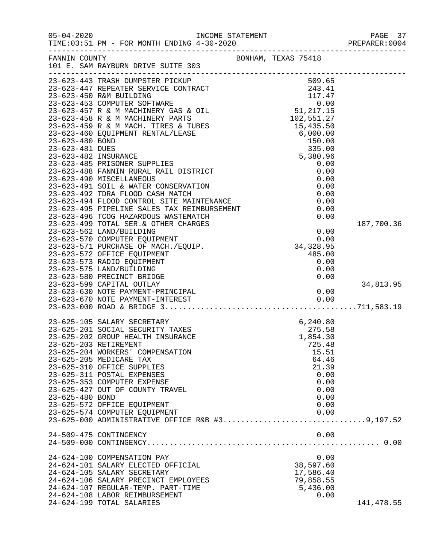| $05 - 04 - 2020$      | TIME: 03:51 PM - FOR MONTH ENDING 4-30-2020                                                                                                                                                                                                  | INCOME STATEMENT<br>4.30.3020 |                                       | PAGE 37<br>PREPARER: 0004 |
|-----------------------|----------------------------------------------------------------------------------------------------------------------------------------------------------------------------------------------------------------------------------------------|-------------------------------|---------------------------------------|---------------------------|
|                       | FANNIN COUNTY<br>101 E. SAM RAYBURN DRIVE SUITE 303                                                                                                                                                                                          | BONHAM, TEXAS 75418           |                                       |                           |
|                       |                                                                                                                                                                                                                                              |                               |                                       |                           |
|                       |                                                                                                                                                                                                                                              |                               |                                       |                           |
|                       |                                                                                                                                                                                                                                              |                               |                                       |                           |
|                       |                                                                                                                                                                                                                                              |                               |                                       |                           |
|                       |                                                                                                                                                                                                                                              |                               |                                       |                           |
|                       |                                                                                                                                                                                                                                              |                               |                                       |                           |
|                       |                                                                                                                                                                                                                                              |                               |                                       |                           |
|                       |                                                                                                                                                                                                                                              |                               |                                       |                           |
|                       |                                                                                                                                                                                                                                              |                               |                                       |                           |
|                       |                                                                                                                                                                                                                                              |                               |                                       |                           |
|                       | 5,3<br>23-623-485 PRISONER SUPPLIES<br>23-623-488 FANNIN RURAL RAIL DISTRICT<br>23-623-490 MISCELLANEOUS<br>23-623-491 SOIL & WATER CONSERVATION<br>23-623-492 TDRA FLOOD CASH MATCH<br>23-623-494 FLOOD CONTROL SITE MAINTENANCE<br>23-623- |                               | 0.00                                  |                           |
|                       |                                                                                                                                                                                                                                              |                               | 0.00                                  |                           |
|                       |                                                                                                                                                                                                                                              |                               | 0.00                                  |                           |
|                       |                                                                                                                                                                                                                                              |                               | 0.00                                  |                           |
|                       |                                                                                                                                                                                                                                              |                               | 0.00                                  |                           |
|                       |                                                                                                                                                                                                                                              |                               | 0.00                                  |                           |
|                       |                                                                                                                                                                                                                                              |                               | 0.00                                  |                           |
|                       |                                                                                                                                                                                                                                              |                               | 0.00                                  |                           |
|                       | 23-623-499 TOTAL SER. & OTHER CHARGES                                                                                                                                                                                                        |                               |                                       | 187,700.36                |
|                       | 23-623-562 LAND/BUILDING                                                                                                                                                                                                                     |                               |                                       |                           |
|                       | 23-623-570 COMPUTER EQUIPMENT                                                                                                                                                                                                                |                               | $0.00$<br>0.00<br>34,328.95<br>485.00 |                           |
|                       | 23-623-571 PURCHASE OF MACH./EQUIP.                                                                                                                                                                                                          |                               |                                       |                           |
|                       | 23-623-572 OFFICE EQUIPMENT                                                                                                                                                                                                                  |                               | 485.00                                |                           |
|                       | 23-623-573 RADIO EQUIPMENT                                                                                                                                                                                                                   |                               | 0.00                                  |                           |
|                       | 23-623-575 LAND/BUILDING                                                                                                                                                                                                                     |                               | 0.00                                  |                           |
|                       | 23-623-580 PRECINCT BRIDGE                                                                                                                                                                                                                   |                               | 0.00                                  |                           |
|                       | 23-623-599 CAPITAL OUTLAY                                                                                                                                                                                                                    |                               |                                       | 34,813.95                 |
|                       |                                                                                                                                                                                                                                              |                               |                                       |                           |
|                       |                                                                                                                                                                                                                                              |                               |                                       |                           |
|                       |                                                                                                                                                                                                                                              |                               |                                       |                           |
|                       | 23-625-105 SALARY SECRETARY                                                                                                                                                                                                                  |                               | 6, 240.80                             |                           |
|                       | 23-625-201 SOCIAL SECURITY TAXES                                                                                                                                                                                                             |                               | 275.58                                |                           |
|                       | 23-625-202 GROUP HEALTH INSURANCE                                                                                                                                                                                                            |                               | 1,854.30                              |                           |
| 23-625-203 RETIREMENT |                                                                                                                                                                                                                                              |                               | 725.48                                |                           |
|                       | 23-625-204 WORKERS' COMPENSATION                                                                                                                                                                                                             |                               | 15.51                                 |                           |
|                       | 23-625-205 MEDICARE TAX                                                                                                                                                                                                                      |                               | 64.46                                 |                           |
|                       | 23-625-310 OFFICE SUPPLIES                                                                                                                                                                                                                   |                               | 21.39                                 |                           |
|                       | 23-625-311 POSTAL EXPENSES                                                                                                                                                                                                                   |                               | 0.00                                  |                           |
|                       | 23-625-353 COMPUTER EXPENSE                                                                                                                                                                                                                  |                               | 0.00                                  |                           |
|                       | 23-625-427 OUT OF COUNTY TRAVEL                                                                                                                                                                                                              |                               | 0.00                                  |                           |
| 23-625-480 BOND       |                                                                                                                                                                                                                                              |                               | 0.00                                  |                           |
|                       | 23-625-572 OFFICE EQUIPMENT<br>23-625-574 COMPUTER EQUIPMENT                                                                                                                                                                                 |                               | 0.00<br>0.00                          |                           |
|                       | 23-625-000 ADMINISTRATIVE OFFICE R&B #39,197.52                                                                                                                                                                                              |                               |                                       |                           |
|                       |                                                                                                                                                                                                                                              |                               |                                       |                           |
|                       | 24-509-475 CONTINGENCY                                                                                                                                                                                                                       |                               | 0.00                                  |                           |
|                       |                                                                                                                                                                                                                                              |                               |                                       |                           |
|                       | 24-624-100 COMPENSATION PAY                                                                                                                                                                                                                  |                               | 0.00                                  |                           |
|                       | 24-624-101 SALARY ELECTED OFFICIAL                                                                                                                                                                                                           |                               | 38,597.60                             |                           |
|                       | 24-624-105 SALARY SECRETARY                                                                                                                                                                                                                  |                               | 17,586.40                             |                           |
|                       | 24-624-106 SALARY PRECINCT EMPLOYEES                                                                                                                                                                                                         |                               | 79,858.55                             |                           |
|                       | 24-624-107 REGULAR-TEMP. PART-TIME                                                                                                                                                                                                           |                               | 5,436.00                              |                           |
|                       | 24-624-108 LABOR REIMBURSEMENT                                                                                                                                                                                                               |                               | 0.00                                  |                           |
|                       | 24-624-199 TOTAL SALARIES                                                                                                                                                                                                                    |                               |                                       | 141,478.55                |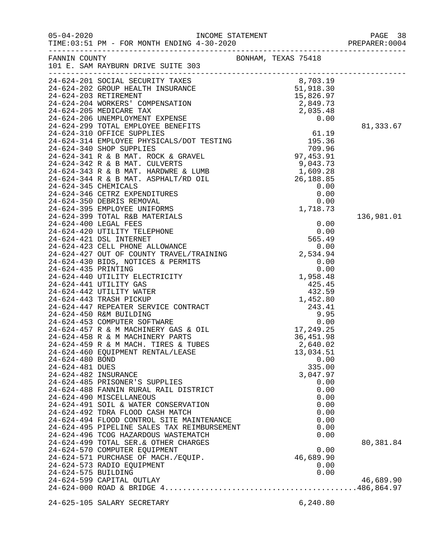| FANNIN COUNTY                                              | 101 E. SAM RAYBURN DRIVE SUITE 303                                                                                                                                                                                                                                                                                                                       | BONHAM, TEXAS 75418 |                                                                                                         |                        |
|------------------------------------------------------------|----------------------------------------------------------------------------------------------------------------------------------------------------------------------------------------------------------------------------------------------------------------------------------------------------------------------------------------------------------|---------------------|---------------------------------------------------------------------------------------------------------|------------------------|
|                                                            | -------------------<br>24-624-201 SOCIAL SECURITY TAXES 8,703.19<br>24-624-202 GROUP HEALTH INSURANCE 51,918.30<br>24-624-203 RETIREMENT 15,826.97<br>24-624-204 WORKERS' COMPENSATION<br>24-624-205 MEDICARE TAX                                                                                                                                        |                     | $\begin{array}{r} 2,849.73 \\ 2,849.73 \\ 2,035.48 \\ 0 & 00 \end{array}$                               | 81,333.67              |
|                                                            |                                                                                                                                                                                                                                                                                                                                                          |                     |                                                                                                         |                        |
| 24-624-480 BOND<br>24-624-481 DUES<br>24-624-482 INSURANCE | 24-624-460 EQUIPMENT RENTAL/LEASE<br>24-624-485 PRISONER'S SUPPLIES<br>24-624-488 FANNIN RURAL RAIL DISTRICT<br>24-624-490 MISCELLANEOUS<br>24-624-491 SOIL & WATER CONSERVATION<br>24-624-492 TDRA FLOOD CASH MATCH<br>24-624-494 FLOOD CONTROL SITE MAINTENANCE<br>24-624-495 PIPELINE SALES TAX REIMBURSEMENT<br>24-624-496 TCOG HAZARDOUS WASTEMATCH |                     | 13,034.51<br>0.00<br>335.00<br>3,047.97<br>0.00<br>0.00<br>0.00<br>0.00<br>0.00<br>0.00<br>0.00<br>0.00 | 136,981.01             |
| 24-624-575 BUILDING                                        | 24-624-499 TOTAL SER. & OTHER CHARGES<br>24-624-570 COMPUTER EQUIPMENT<br>24-624-571 PURCHASE OF MACH./EQUIP.<br>24-624-573 RADIO EQUIPMENT<br>24-624-599 CAPITAL OUTLAY                                                                                                                                                                                 |                     | 0.00<br>46,689.90<br>0.00<br>0.00                                                                       | 80,381.84<br>46,689.90 |
|                                                            | 24-625-105 SALARY SECRETARY                                                                                                                                                                                                                                                                                                                              |                     | 6, 240.80                                                                                               |                        |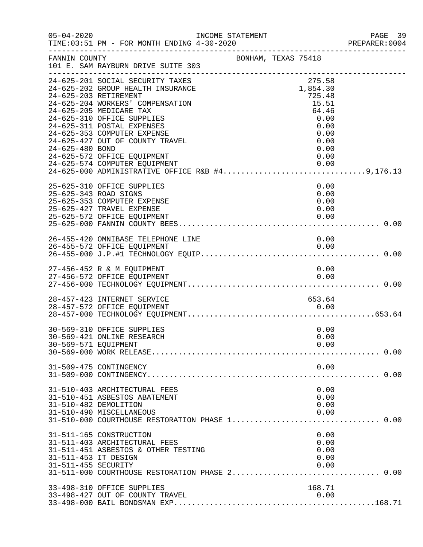| $05 - 04 - 2020$                            | INCOME STATEMENT<br>TIME: 03:51 PM - FOR MONTH ENDING 4-30-2020                                                                                                                                                                                                                                                            |                     |                                                                                                | PAGE 39<br>PREPARER: 0004 |
|---------------------------------------------|----------------------------------------------------------------------------------------------------------------------------------------------------------------------------------------------------------------------------------------------------------------------------------------------------------------------------|---------------------|------------------------------------------------------------------------------------------------|---------------------------|
| FANNIN COUNTY                               | 101 E. SAM RAYBURN DRIVE SUITE 303                                                                                                                                                                                                                                                                                         | BONHAM, TEXAS 75418 |                                                                                                |                           |
| 24-625-480 BOND                             | 24-625-201 SOCIAL SECURITY TAXES<br>24-625-202 GROUP HEALTH INSURANCE<br>24-625-203 RETIREMENT<br>24-625-204 WORKERS' COMPENSATION<br>24-625-205 MEDICARE TAX<br>24-625-310 OFFICE SUPPLIES<br>24-625-311 POSTAL EXPENSES<br>24-625-353 COMPUTER EXPENSE<br>24-625-427 OUT OF COUNTY TRAVEL<br>24-625-572 OFFICE EQUIPMENT |                     | 275.58<br>1,854.30<br>725.48<br>15.51<br>64.46<br>0.00<br>0.00<br>0.00<br>0.00<br>0.00<br>0.00 |                           |
|                                             | 25-625-310 OFFICE SUPPLIES<br>25-625-343 ROAD SIGNS<br>25-625-353 COMPUTER EXPENSE<br>25-625-427 TRAVEL EXPENSE<br>25-625-572 OFFICE EQUIPMENT                                                                                                                                                                             |                     | 0.00<br>0.00<br>0.00<br>0.00<br>0.00                                                           |                           |
|                                             | 26-455-420 OMNIBASE TELEPHONE LINE<br>26-455-572 OFFICE EQUIPMENT                                                                                                                                                                                                                                                          |                     | 0.00<br>0.00                                                                                   |                           |
|                                             | 27-456-452 R & M EQUIPMENT<br>27-456-572 OFFICE EQUIPMENT                                                                                                                                                                                                                                                                  |                     | 0.00<br>0.00                                                                                   |                           |
|                                             | 28-457-423 INTERNET SERVICE                                                                                                                                                                                                                                                                                                |                     | 653.64<br>0.00                                                                                 |                           |
| 30-569-571 EQUIPMENT                        | 30-569-310 OFFICE SUPPLIES<br>30-569-421 ONLINE RESEARCH                                                                                                                                                                                                                                                                   |                     | 0.00<br>0.00<br>0.00                                                                           |                           |
|                                             | 31-509-475 CONTINGENCY                                                                                                                                                                                                                                                                                                     |                     | 0.00                                                                                           |                           |
|                                             | 31-510-403 ARCHITECTURAL FEES<br>31-510-451 ASBESTOS ABATEMENT<br>31-510-482 DEMOLITION<br>31-510-490 MISCELLANEOUS                                                                                                                                                                                                        |                     | 0.00<br>0.00<br>0.00<br>0.00                                                                   |                           |
| 31-511-453 IT DESIGN<br>31-511-455 SECURITY | 31-511-165 CONSTRUCTION<br>31-511-403 ARCHITECTURAL FEES<br>31-511-451 ASBESTOS & OTHER TESTING                                                                                                                                                                                                                            |                     | 0.00<br>0.00<br>0.00<br>0.00<br>0.00                                                           |                           |
|                                             | 33-498-310 OFFICE SUPPLIES<br>33-498-427 OUT OF COUNTY TRAVEL                                                                                                                                                                                                                                                              |                     | 168.71<br>0.00                                                                                 |                           |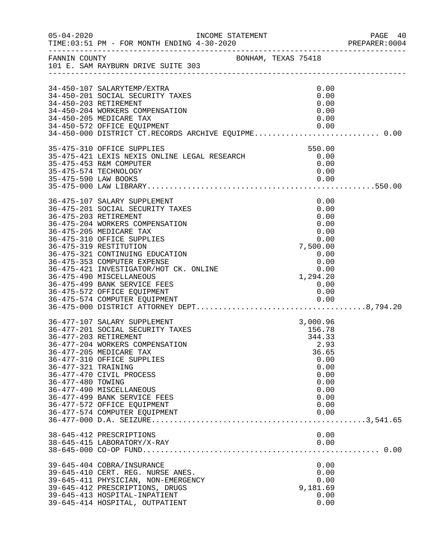| $05 - 04 - 2020$                         |                                                                                                                                                                                                                                                                                                                                                                                                                                                         | INCOME STATEMENT    |                                                                                                                      | PAGE 40<br>PREPARER: 0004 |
|------------------------------------------|---------------------------------------------------------------------------------------------------------------------------------------------------------------------------------------------------------------------------------------------------------------------------------------------------------------------------------------------------------------------------------------------------------------------------------------------------------|---------------------|----------------------------------------------------------------------------------------------------------------------|---------------------------|
|                                          | FANNIN COUNTY<br>101 E. SAM RAYBURN DRIVE SUITE 303                                                                                                                                                                                                                                                                                                                                                                                                     | BONHAM, TEXAS 75418 |                                                                                                                      |                           |
|                                          | 34-450-107 SALARYTEMP/EXTRA<br>34-450-201 SOCIAL SECURITY TAXES<br>34-450-203 RETIREMENT<br>34-450-204 WORKERS COMPENSATION<br>34-450-205 MEDICARE TAX<br>34-450-572 OFFICE EQUIPMENT<br>34-450-000 DISTRICT CT.RECORDS ARCHIVE EQUIPME 0.00                                                                                                                                                                                                            |                     | 0.00<br>0.00<br>0.00<br>0.00<br>0.00<br>0.00                                                                         |                           |
|                                          | 35-475-310 OFFICE SUPPLIES<br>35-475-421 LEXIS NEXIS ONLINE LEGAL RESEARCH<br>35-475-453 R&M COMPUTER<br>35-475-574 TECHNOLOGY                                                                                                                                                                                                                                                                                                                          |                     | 550.00<br>0.00<br>0.00<br>0.00                                                                                       |                           |
|                                          | 36-475-107 SALARY SUPPLEMENT<br>36-475-201 SOCIAL SECURITY TAXES<br>36-475-203 RETIREMENT<br>36-475-204 WORKERS COMPENSATION<br>36-475-205 MEDICARE TAX<br>36-475-310 OFFICE SUPPLIES<br>36-475-319 RESTITUTION<br>36-475-321 CONTINUING EDUCATION<br>36-475-353 COMPUTER EXPENSE<br>36-475-421 INVESTIGATOR/HOT CK. ONLINE<br>36-475-490 MISCELLANEOUS<br>36-475-499 BANK SERVICE FEES<br>36-475-572 OFFICE EQUIPMENT<br>36-475-574 COMPUTER EQUIPMENT |                     | 0.00<br>0.00<br>0.00<br>0.00<br>0.00<br>0.00<br>7,500.00<br>0.00<br>0.00<br>0.00<br>1,294.20<br>0.00<br>0.00<br>0.00 |                           |
| 36-477-321 TRAINING<br>36-477-480 TOWING | 36-477-107 SALARY SUPPLEMENT<br>36-477-201 SOCIAL SECURITY TAXES<br>36-477-203 RETIREMENT<br>36-477-204 WORKERS COMPENSATION<br>36-477-205 MEDICARE TAX<br>36-477-310 OFFICE SUPPLIES<br>36-477-470 CIVIL PROCESS<br>36-477-490 MISCELLANEOUS<br>36-477-499 BANK SERVICE FEES<br>36-477-572 OFFICE EQUIPMENT<br>36-477-574 COMPUTER EQUIPMENT                                                                                                           |                     | 3,000.96<br>156.78<br>344.33<br>2.93<br>36.65<br>0.00<br>0.00<br>0.00<br>0.00<br>0.00<br>0.00<br>0.00<br>0.00        |                           |
|                                          | 38-645-412 PRESCRIPTIONS<br>38-645-415 LABORATORY/X-RAY                                                                                                                                                                                                                                                                                                                                                                                                 |                     | 0.00<br>0.00                                                                                                         |                           |
|                                          | 39-645-404 COBRA/INSURANCE<br>39-645-410 CERT. REG. NURSE ANES.<br>39-645-411 PHYSICIAN, NON-EMERGENCY<br>39-645-412 PRESCRIPTIONS, DRUGS<br>39-645-413 HOSPITAL-INPATIENT<br>39-645-414 HOSPITAL, OUTPATIENT                                                                                                                                                                                                                                           |                     | 0.00<br>0.00<br>0.00<br>9,181.69<br>0.00<br>0.00                                                                     |                           |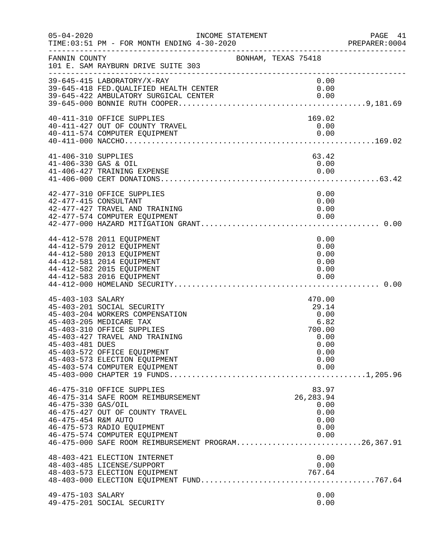| $05 - 04 - 2020$                            |                                                                                                                                                                                                                                                           | INCOME STATEMENT    |                                                                                   | PAGE 41<br>PREPARER:0004 |
|---------------------------------------------|-----------------------------------------------------------------------------------------------------------------------------------------------------------------------------------------------------------------------------------------------------------|---------------------|-----------------------------------------------------------------------------------|--------------------------|
| FANNIN COUNTY                               | 101 E. SAM RAYBURN DRIVE SUITE 303                                                                                                                                                                                                                        | BONHAM, TEXAS 75418 |                                                                                   |                          |
|                                             | 39-645-415 LABORATORY/X-RAY<br>39-645-418 FED.QUALIFIED HEALTH CENTER<br>39-645-422 AMBULATORY SURGICAL CENTER                                                                                                                                            |                     | 0.00<br>0.00<br>0.00                                                              |                          |
|                                             | 40-411-310 OFFICE SUPPLIES<br>40-411-427 OUT OF COUNTY TRAVEL<br>40-411-574 COMPUTER EQUIPMENT                                                                                                                                                            |                     | 169.02<br>0.00<br>0.00                                                            |                          |
| 41-406-310 SUPPLIES<br>41-406-330 GAS & OIL | 41-406-427 TRAINING EXPENSE                                                                                                                                                                                                                               |                     | 63.42<br>0.00<br>0.00                                                             |                          |
|                                             | 42-477-310 OFFICE SUPPLIES<br>42-477-415 CONSULTANT<br>42-477-427 TRAVEL AND TRAINING<br>42-477-574 COMPUTER EQUIPMENT                                                                                                                                    |                     | 0.00<br>0.00<br>0.00<br>0.00                                                      |                          |
|                                             | 44-412-578 2011 EQUIPMENT<br>44-412-579 2012 EQUIPMENT<br>44-412-580 2013 EQUIPMENT<br>44-412-581 2014 EQUIPMENT<br>44-412-582 2015 EQUIPMENT<br>44-412-583 2016 EQUIPMENT                                                                                |                     | 0.00<br>0.00<br>0.00<br>0.00<br>0.00<br>0.00                                      |                          |
| 45-403-103 SALARY<br>45-403-481 DUES        | 45-403-201 SOCIAL SECURITY<br>45-403-204 WORKERS COMPENSATION<br>45-403-205 MEDICARE TAX<br>45-403-310 OFFICE SUPPLIES<br>45-403-427 TRAVEL AND TRAINING<br>45-403-572 OFFICE EQUIPMENT<br>45-403-573 ELECTION EQUIPMENT<br>45-403-574 COMPUTER EQUIPMENT |                     | 470.00<br>29.14<br>0.00<br>6.82<br>700.00<br>0.00<br>0.00<br>0.00<br>0.00<br>0.00 |                          |
| 46-475-330 GAS/OIL<br>46-475-454 R&M AUTO   | 46-475-310 OFFICE SUPPLIES<br>46-475-314 SAFE ROOM REIMBURSEMENT<br>46-475-427 OUT OF COUNTY TRAVEL<br>46-475-573 RADIO EQUIPMENT<br>46-475-574 COMPUTER EQUIPMENT<br>46-475-000 SAFE ROOM REIMBURSEMENT PROGRAM26,367.91                                 |                     | 83.97<br>26, 283.94<br>0.00<br>0.00<br>0.00<br>0.00<br>0.00                       |                          |
|                                             | 48-403-421 ELECTION INTERNET<br>48-403-485 LICENSE/SUPPORT<br>48-403-573 ELECTION EQUIPMENT                                                                                                                                                               |                     | 0.00<br>0.00<br>767.64                                                            |                          |
| 49-475-103 SALARY                           | 49-475-201 SOCIAL SECURITY                                                                                                                                                                                                                                |                     | 0.00<br>0.00                                                                      |                          |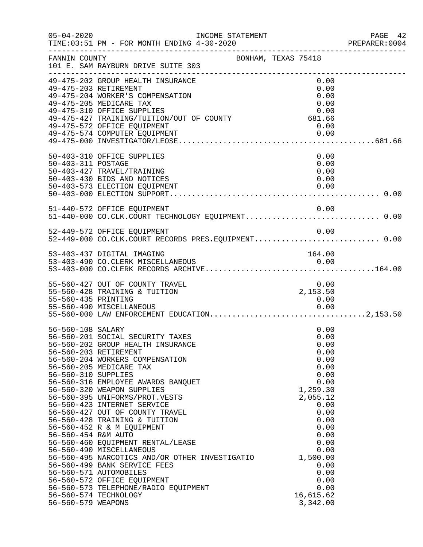| $05 - 04 - 2020$                                                                      | INCOME STATEMENT<br>TIME: 03:51 PM - FOR MONTH ENDING 4-30-2020                                                                                                                                                                                                                                                                                                                                                                                                                                                                                                                                                                                                                  |                     |                                                                                                                                                                                                                   | PAGE 42<br>PREPARER: 0004 |
|---------------------------------------------------------------------------------------|----------------------------------------------------------------------------------------------------------------------------------------------------------------------------------------------------------------------------------------------------------------------------------------------------------------------------------------------------------------------------------------------------------------------------------------------------------------------------------------------------------------------------------------------------------------------------------------------------------------------------------------------------------------------------------|---------------------|-------------------------------------------------------------------------------------------------------------------------------------------------------------------------------------------------------------------|---------------------------|
| FANNIN COUNTY                                                                         | 101 E. SAM RAYBURN DRIVE SUITE 303                                                                                                                                                                                                                                                                                                                                                                                                                                                                                                                                                                                                                                               | BONHAM, TEXAS 75418 |                                                                                                                                                                                                                   |                           |
|                                                                                       | 49-475-202 GROUP HEALTH INSURANCE<br>49-475-203 RETIREMENT<br>49-475-204 WORKER'S COMPENSATION<br>49-475-205 MEDICARE TAX<br>49-475-310 OFFICE SUPPLIES<br>0.00<br>49-475-427 TRAINING/TUITION/OUT OF COUNTY 681.66<br>49-475-572 OFFICE FOUTINGNER<br>49-475-572 OFFICE EQUIPMENT                                                                                                                                                                                                                                                                                                                                                                                               |                     | 0.00<br>0.00<br>0.00<br>0.00<br>0.00<br>0.00<br>0.00                                                                                                                                                              |                           |
| 50-403-311 POSTAGE                                                                    | 50-403-310 OFFICE SUPPLIES<br>50-403-427 TRAVEL/TRAINING<br>50-403-430 BIDS AND NOTICES                                                                                                                                                                                                                                                                                                                                                                                                                                                                                                                                                                                          |                     | 0.00<br>0.00<br>0.00<br>0.00                                                                                                                                                                                      |                           |
|                                                                                       | 51-440-572 OFFICE EQUIPMENT<br>51-440-000 CO.CLK.COURT TECHNOLOGY EQUIPMENT 0.00<br>52-449-572 OFFICE EQUIPMENT                                                                                                                                                                                                                                                                                                                                                                                                                                                                                                                                                                  |                     | 0.00<br>0.00                                                                                                                                                                                                      |                           |
|                                                                                       | 52-449-000 CO.CLK.COURT RECORDS PRES.EQUIPMENT 0.00<br>53-403-437 DIGITAL IMAGING                                                                                                                                                                                                                                                                                                                                                                                                                                                                                                                                                                                                |                     | 164.00                                                                                                                                                                                                            |                           |
| 55-560-435 PRINTING                                                                   | 55-560-427 OUT OF COUNTY TRAVEL<br>55-560-428 TRAINING & TUITION<br>55-560-490 MISCELLANEOUS                                                                                                                                                                                                                                                                                                                                                                                                                                                                                                                                                                                     |                     | 0.00<br>2,153.50<br>0.00<br>0.00                                                                                                                                                                                  |                           |
| 56-560-108 SALARY<br>56-560-310 SUPPLIES<br>56-560-454 R&M AUTO<br>56-560-579 WEAPONS | 56-560-201 SOCIAL SECURITY TAXES<br>56-560-202 GROUP HEALTH INSURANCE<br>56-560-203 RETIREMENT<br>56-560-204 WORKERS COMPENSATION<br>56-560-205 MEDICARE TAX<br>56-560-316 EMPLOYEE AWARDS BANQUET<br>56-560-320 WEAPON SUPPLIES<br>56-560-395 UNIFORMS/PROT.VESTS<br>56-560-423 INTERNET SERVICE<br>56-560-427 OUT OF COUNTY TRAVEL<br>56-560-428 TRAINING & TUITION<br>56-560-452 R & M EQUIPMENT<br>56-560-460 EQUIPMENT RENTAL/LEASE<br>56-560-490 MISCELLANEOUS<br>56-560-495 NARCOTICS AND/OR OTHER INVESTIGATIO<br>56-560-499 BANK SERVICE FEES<br>56-560-571 AUTOMOBILES<br>56-560-572 OFFICE EQUIPMENT<br>56-560-573 TELEPHONE/RADIO EQUIPMENT<br>56-560-574 TECHNOLOGY |                     | 0.00<br>0.00<br>0.00<br>0.00<br>0.00<br>0.00<br>0.00<br>0.00<br>1,259.30<br>2,055.12<br>0.00<br>0.00<br>0.00<br>0.00<br>0.00<br>0.00<br>0.00<br>1,500.00<br>0.00<br>0.00<br>0.00<br>0.00<br>16,615.62<br>3,342.00 |                           |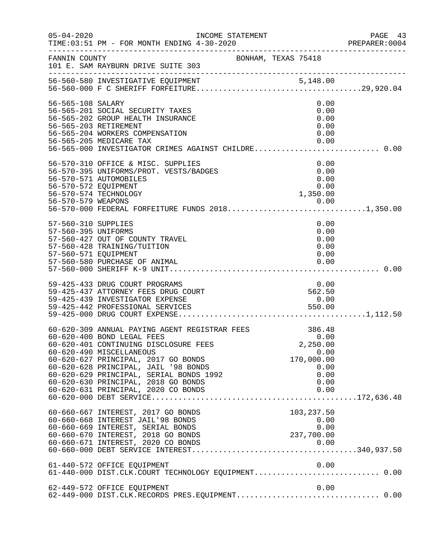| $05 - 04 - 2020$                                                   | INCOME STATEMENT<br>TIME: 03:51 PM - FOR MONTH ENDING 4-30-2020                                                                                                                                                                                                                                                                                          |                     |                                                                                  | PAGE 43<br>PREPARER: 0004 |
|--------------------------------------------------------------------|----------------------------------------------------------------------------------------------------------------------------------------------------------------------------------------------------------------------------------------------------------------------------------------------------------------------------------------------------------|---------------------|----------------------------------------------------------------------------------|---------------------------|
| FANNIN COUNTY                                                      | 101 E. SAM RAYBURN DRIVE SUITE 303                                                                                                                                                                                                                                                                                                                       | BONHAM, TEXAS 75418 |                                                                                  |                           |
|                                                                    |                                                                                                                                                                                                                                                                                                                                                          |                     |                                                                                  |                           |
| 56-565-108 SALARY                                                  | 56-565-201 SOCIAL SECURITY TAXES<br>56-565-202 GROUP HEALTH INSURANCE<br>56-565-203 RETIREMENT<br>56-565-204 WORKERS COMPENSATION<br>56-565-205 MEDICARE TAX                                                                                                                                                                                             |                     | 0.00<br>0.00<br>0.00<br>0.00<br>0.00<br>0.00                                     |                           |
| 56-570-572 EQUIPMENT                                               | 56-570-310 OFFICE & MISC. SUPPLIES<br>56-570-395 UNIFORMS/PROT. VESTS/BADGES<br>56-570-571 AUTOMOBILES<br>56-570-574 TECHNOLOGY                                                                                                                                                                                                                          |                     | 0.00<br>0.00<br>0.00<br>0.00<br>1,350.00                                         |                           |
| 57-560-310 SUPPLIES<br>57-560-395 UNIFORMS<br>57-560-571 EQUIPMENT | 57-560-427 OUT OF COUNTY TRAVEL<br>57-560-428 TRAINING/TUITION<br>57-560-580 PURCHASE OF ANIMAL                                                                                                                                                                                                                                                          |                     | 0.00<br>0.00<br>0.00<br>0.00<br>0.00<br>0.00                                     |                           |
|                                                                    | 59-425-433 DRUG COURT PROGRAMS<br>59-425-437 ATTORNEY FEES DRUG COURT<br>59-425-439 INVESTIGATOR EXPENSE<br>59-425-442 PROFESSIONAL SERVICES                                                                                                                                                                                                             |                     | 0.00<br>562.50<br>0.00<br>550.00                                                 |                           |
|                                                                    | 60-620-309 ANNUAL PAYING AGENT REGISTRAR FEES<br>60-620-400 BOND LEGAL FEES<br>60-620-401 CONTINUING DISCLOSURE FEES<br>60-620-490 MISCELLANEOUS<br>60-620-627 PRINCIPAL, 2017 GO BONDS<br>60-620-628 PRINCIPAL, JAIL '98 BONDS<br>60-620-629 PRINCIPAL, SERIAL BONDS 1992<br>60-620-630 PRINCIPAL, 2018 GO BONDS<br>60-620-631 PRINCIPAL, 2020 CO BONDS |                     | 386.48<br>0.00<br>2,250.00<br>0.00<br>170,000.00<br>0.00<br>0.00<br>0.00<br>0.00 |                           |
|                                                                    | 60-660-667 INTEREST, 2017 GO BONDS<br>60-660-668 INTEREST JAIL'98 BONDS<br>60-660-669 INTEREST, SERIAL BONDS<br>60-660-670 INTEREST, 2018 GO BONDS                                                                                                                                                                                                       |                     | 103,237.50<br>0.00<br>0.00<br>237,700.00                                         |                           |
|                                                                    | 61-440-572 OFFICE EQUIPMENT                                                                                                                                                                                                                                                                                                                              |                     | 0.00                                                                             |                           |
|                                                                    | 62-449-572 OFFICE EQUIPMENT<br>62-449-000 DIST.CLK.RECORDS PRES.EQUIPMENT 0.00                                                                                                                                                                                                                                                                           |                     | 0.00                                                                             |                           |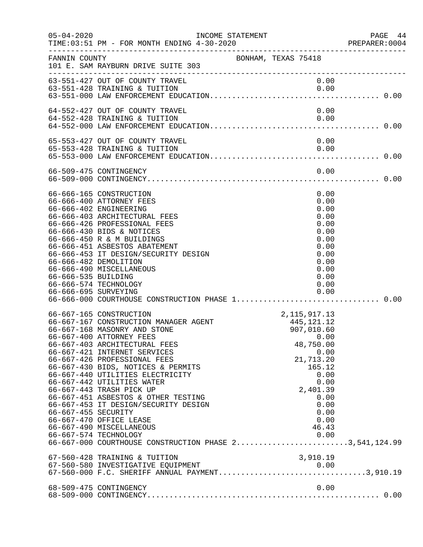| $05 - 04 - 2020$                            | INCOME STATEMENT                                                                                                                                                                                                                                                                                                                                                                                                                                                                                                                                                                           |                            |                                                                             |                                                                                                      | PREPARER:0004 | PAGE 44 |
|---------------------------------------------|--------------------------------------------------------------------------------------------------------------------------------------------------------------------------------------------------------------------------------------------------------------------------------------------------------------------------------------------------------------------------------------------------------------------------------------------------------------------------------------------------------------------------------------------------------------------------------------------|----------------------------|-----------------------------------------------------------------------------|------------------------------------------------------------------------------------------------------|---------------|---------|
| FANNIN COUNTY                               | 101 E. SAM RAYBURN DRIVE SUITE 303                                                                                                                                                                                                                                                                                                                                                                                                                                                                                                                                                         | BONHAM, TEXAS 75418        |                                                                             |                                                                                                      |               |         |
|                                             | 63-551-427 OUT OF COUNTY TRAVEL                                                                                                                                                                                                                                                                                                                                                                                                                                                                                                                                                            |                            | 0.00                                                                        |                                                                                                      |               |         |
|                                             | 64-552-427 OUT OF COUNTY TRAVEL<br>64-552-428 TRAINING & TUITION                                                                                                                                                                                                                                                                                                                                                                                                                                                                                                                           |                            | 0.00                                                                        | 0.00                                                                                                 |               |         |
|                                             | 65-553-427 OUT OF COUNTY TRAVEL<br>65-553-428 TRAINING & TUITION                                                                                                                                                                                                                                                                                                                                                                                                                                                                                                                           |                            | 0.00<br>0.00                                                                |                                                                                                      |               |         |
|                                             |                                                                                                                                                                                                                                                                                                                                                                                                                                                                                                                                                                                            |                            |                                                                             |                                                                                                      |               |         |
| 66-666-535 BUILDING<br>66-666-695 SURVEYING | 66-666-165 CONSTRUCTION<br>66-666-400 ATTORNEY FEES<br>66-666-402 ENGINEERING<br>66-666-403 ARCHITECTURAL FEES<br>66-666-426 PROFESSIONAL FEES<br>66-666-430 BIDS & NOTICES<br>66-666-450 R & M BUILDINGS<br>66-666-451 ASBESTOS ABATEMENT<br>66-666-453 IT DESIGN/SECURITY DESIGN<br>66-666-482 DEMOLITION<br>66-666-490 MISCELLANEOUS<br>66-666-574 TECHNOLOGY                                                                                                                                                                                                                           |                            | 0.00                                                                        | 0.00<br>0.00<br>0.00<br>0.00<br>0.00<br>0.00<br>0.00<br>0.00<br>0.00<br>0.00<br>0.00<br>0.00<br>0.00 |               |         |
| 66-667-455 SECURITY                         | 66-667-165 CONSTRUCTION<br>66-667-167 CONSTRUCTION MANAGER AGENT<br>66-667-168 MASONRY AND STONE<br>66-667-400 ATTORNEY FEES<br>66-667-403 ARCHITECTURAL FEES<br>66-667-421 INTERNET SERVICES<br>66-667-426 PROFESSIONAL FEES<br>66-667-430 BIDS, NOTICES & PERMITS<br>66-667-440 UTILITIES ELECTRICITY<br>66-667-442 UTILITIES WATER<br>66-667-443 TRASH PICK UP<br>66-667-451 ASBESTOS & OTHER TESTING<br>66-667-453 IT DESIGN/SECURITY DESIGN<br>66-667-470 OFFICE LEASE<br>66-667-490 MISCELLANEOUS<br>66-667-574 TECHNOLOGY<br>66-667-000 COURTHOUSE CONSTRUCTION PHASE 23,541,124.99 | 2,115,917.13<br>445,121.12 | 907,010.60<br>48,750.00<br>21,713.20<br>165.12<br>2,401.39<br>46.43<br>0.00 | 0.00<br>0.00<br>0.00<br>0.00<br>0.00<br>0.00<br>0.00<br>0.00                                         |               |         |
|                                             | 67-560-428 TRAINING & TUITION<br>67-560-580 INVESTIGATIVE EQUIPMENT<br>67-560-000 F.C. SHERIFF ANNUAL PAYMENT3,910.19                                                                                                                                                                                                                                                                                                                                                                                                                                                                      |                            | 3,910.19                                                                    |                                                                                                      |               |         |
|                                             | 68-509-475 CONTINGENCY                                                                                                                                                                                                                                                                                                                                                                                                                                                                                                                                                                     |                            |                                                                             | 0.00                                                                                                 |               |         |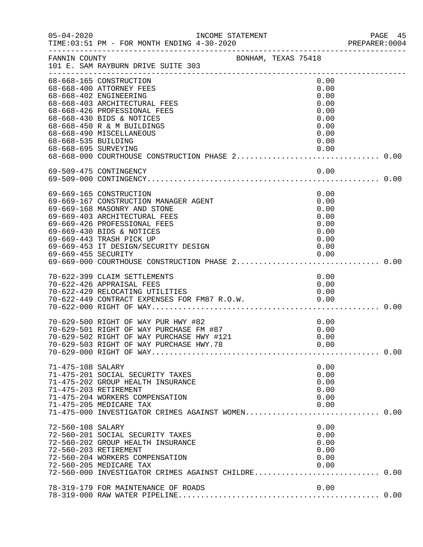| $05 - 04 - 2020$                            | INCOME STATEMENT                                                                                                                                                                                                                                                   |                                                                              | PAGE 45<br>PREPARER: 0004 |
|---------------------------------------------|--------------------------------------------------------------------------------------------------------------------------------------------------------------------------------------------------------------------------------------------------------------------|------------------------------------------------------------------------------|---------------------------|
| FANNIN COUNTY                               | BONHAM, TEXAS 75418<br>101 E. SAM RAYBURN DRIVE SUITE 303                                                                                                                                                                                                          |                                                                              |                           |
| 68-668-535 BUILDING<br>68-668-695 SURVEYING | 68-668-165 CONSTRUCTION<br>68-668-400 ATTORNEY FEES<br>68-668-402 ENGINEERING<br>68-668-403 ARCHITECTURAL FEES<br>68-668-426 PROFESSIONAL FEES<br>68-668-430 BIDS & NOTICES<br>68-668-450 R & M BUILDINGS<br>68-668-490 MISCELLANEOUS                              | 0.00<br>0.00<br>0.00<br>0.00<br>0.00<br>0.00<br>0.00<br>0.00<br>0.00<br>0.00 |                           |
|                                             |                                                                                                                                                                                                                                                                    |                                                                              |                           |
|                                             | 69-669-165 CONSTRUCTION<br>69-669-167 CONSTRUCTION MANAGER AGENT<br>69-669-168 MASONRY AND STONE<br>69-669-403 ARCHITECTURAL FEES<br>69-669-426 PROFESSIONAL FEES<br>69-669-430 BIDS & NOTICES<br>69-669-443 TRASH PICK UP<br>69-669-453 IT DESIGN/SECURITY DESIGN | 0.00<br>0.00<br>0.00<br>0.00<br>0.00<br>0.00<br>0.00<br>0.00                 |                           |
|                                             | 70-622-399 CLAIM SETTLEMENTS<br>70-622-426 APPRAISAL FEES                                                                                                                                                                                                          | 0.00<br>0.00                                                                 |                           |
|                                             | 70-629-500 RIGHT OF WAY PUR HWY #82<br>70-629-501 RIGHT OF WAY PURCHASE FM #87<br>70-629 E00 BIGHT OF WAY PURCHASE HWY #121                                                                                                                                        | 0.00<br>0.00<br>0.00                                                         |                           |
| 71-475-108 SALARY                           | 71-475-201 SOCIAL SECURITY TAXES<br>71-475-202 GROUP HEALTH INSURANCE<br>71-475-203 RETIREMENT<br>71-475-204 WORKERS COMPENSATION<br>71-475-205 MEDICARE TAX<br>71-475-000 INVESTIGATOR CRIMES AGAINST WOMEN 0.00                                                  | 0.00<br>0.00<br>0.00<br>0.00<br>0.00<br>0.00                                 |                           |
| 72-560-108 SALARY                           | 72-560-201 SOCIAL SECURITY TAXES<br>72-560-202 GROUP HEALTH INSURANCE<br>72-560-203 RETIREMENT<br>72-560-204 WORKERS COMPENSATION<br>72-560-205 MEDICARE TAX<br>72-560-000 INVESTIGATOR CRIMES AGAINST CHILDRE 0.00                                                | 0.00<br>0.00<br>0.00<br>0.00<br>0.00<br>0.00                                 |                           |
|                                             | 78-319-179 FOR MAINTENANCE OF ROADS                                                                                                                                                                                                                                | 0.00                                                                         |                           |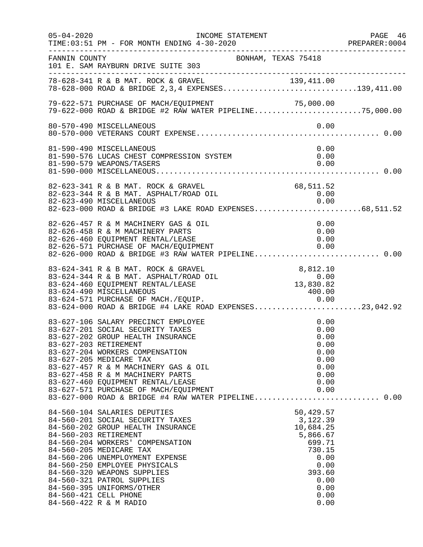| $05 - 04 - 2020$ | INCOME STATEMENT                                                                                                                                                                                                                                                                                                                                                                                                     |                                                                                                                              | PAGE 46<br>PREPARER:0004 |
|------------------|----------------------------------------------------------------------------------------------------------------------------------------------------------------------------------------------------------------------------------------------------------------------------------------------------------------------------------------------------------------------------------------------------------------------|------------------------------------------------------------------------------------------------------------------------------|--------------------------|
| FANNIN COUNTY    | 101 E. SAM RAYBURN DRIVE SUITE 303                                                                                                                                                                                                                                                                                                                                                                                   | BONHAM, TEXAS 75418                                                                                                          |                          |
|                  | 78-628-341 R & B MAT. ROCK & GRAVEL 139,411.00<br>78-628-000 ROAD & BRIDGE 2,3,4 EXPENSES139,411.00                                                                                                                                                                                                                                                                                                                  |                                                                                                                              |                          |
|                  | 79-622-571 PURCHASE OF MACH/EQUIPMENT<br>79-622-571 PURCHASE OF MACH/EQUIPMENT 79-622-571 PURCHASE OF MACH/EQUIPMENT 71<br>79-622-000 ROAD & BRIDGE #2 RAW WATER PIPELINE75,000.00                                                                                                                                                                                                                                   | 75,000.00                                                                                                                    |                          |
|                  | 80-570-490 MISCELLANEOUS                                                                                                                                                                                                                                                                                                                                                                                             | 0.00                                                                                                                         |                          |
|                  | 81-590-490 MISCELLANEOUS<br>81-590-576 LUCAS CHEST COMPRESSION SYSTEM<br>81-590-579 WEAPONS/TASERS                                                                                                                                                                                                                                                                                                                   | 0.00<br>0.00<br>0.00                                                                                                         |                          |
|                  | 82-623-341 R & B MAT. ROCK & GRAVEL<br>82-623-344 R & B MAT. ASPHALT/ROAD OIL<br>82-623-490 MISCELLANEOUS 0.00<br>82-623-000 ROAD & BRIDGE #3 LAKE ROAD EXPENSES68,511.52                                                                                                                                                                                                                                            | 68,511.52<br>0.00                                                                                                            |                          |
|                  | 82-626-457 R & M MACHINERY GAS & OIL<br>82-626-458 R & M MACHINERY PARTS<br>82-626-460 EQUIPMENT RENTAL/LEASE<br>82-626-571 PURCHASE OF MACH/EQUIPMENT<br>82-626-000 ROAD & BRIDGE #3 RAW WATER PIPELINE 0.00                                                                                                                                                                                                        | 0.00<br>0.00<br>0.00<br>0.00                                                                                                 |                          |
|                  | 83-624-341 R & B MAT. ROCK & GRAVEL<br>83-624-344 R & B MAT. ASPHALT/ROAD OIL<br>83-624-460 EQUIPMENT RENTAL/LEASE<br>83-624-490 MISCELLANEOUS                                                                                                                                                                                                                                                                       | 8,812.10<br>$13,830.82$<br>$400.00$<br>400.00                                                                                |                          |
|                  | 83-627-106 SALARY PRECINCT EMPLOYEE<br>83-627-201 SOCIAL SECURITY TAXES<br>83-627-202 GROUP HEALTH INSURANCE<br>83-627-203 RETIREMENT<br>83-627-204 WORKERS COMPENSATION<br>83-627-205 MEDICARE TAX<br>83-627-457 R & M MACHINERY GAS & OIL<br>83-627-458 R & M MACHINERY PARTS<br>83-627-460 EQUIPMENT RENTAL/LEASE<br>83-627-571 PURCHASE OF MACH/EQUIPMENT<br>83-627-000 ROAD & BRIDGE #4 RAW WATER PIPELINE 0.00 | 0.00<br>0.00<br>0.00<br>0.00<br>0.00<br>0.00<br>0.00<br>0.00<br>0.00<br>0.00                                                 |                          |
|                  | 84-560-104 SALARIES DEPUTIES<br>84-560-201 SOCIAL SECURITY TAXES<br>84-560-202 GROUP HEALTH INSURANCE<br>84-560-203 RETIREMENT<br>84-560-204 WORKERS' COMPENSATION<br>84-560-205 MEDICARE TAX<br>84-560-206 UNEMPLOYMENT EXPENSE<br>84-560-250 EMPLOYEE PHYSICALS<br>84-560-320 WEAPONS SUPPLIES<br>84-560-321 PATROL SUPPLIES<br>84-560-395 UNIFORMS/OTHER<br>84-560-421 CELL PHONE<br>84-560-422 R & M RADIO       | 50,429.57<br>3,122.39<br>10,684.25<br>5,866.67<br>699.71<br>730.15<br>0.00<br>0.00<br>393.60<br>0.00<br>0.00<br>0.00<br>0.00 |                          |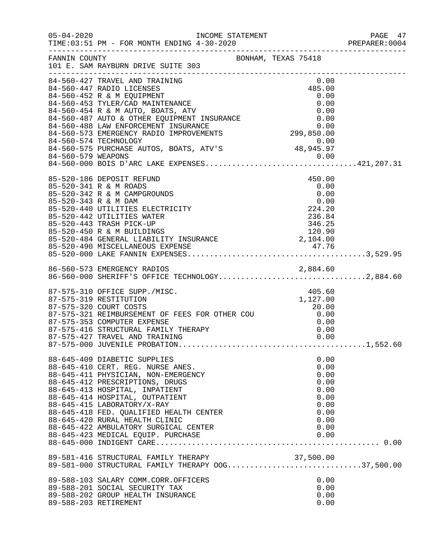|                      |                                                                                                                                                                                                                                                                                                                                                                                                                          |                                                                                      | PAGE 47<br>PREPARER: 0004 |
|----------------------|--------------------------------------------------------------------------------------------------------------------------------------------------------------------------------------------------------------------------------------------------------------------------------------------------------------------------------------------------------------------------------------------------------------------------|--------------------------------------------------------------------------------------|---------------------------|
|                      | FANNIN COUNTY<br>101 E. SAM RAYBURN DRIVE SUITE 303                                                                                                                                                                                                                                                                                                                                                                      |                                                                                      |                           |
|                      | 84-560-427 TRAVEL AND TRAINING<br>84-560-447 RADIO LICENSES<br>44-560-447 RADIO LICENSES<br>84-560-452 R & M EQUIPMENT<br>84-560-453 TYLER/CAD MAINTENANCE<br>84-560-453 TYLER/CAD MAINTENANCE<br>84-560-454 R & M AUTO, BOATS, ATV<br>84-560-487 AUTO & OTHER EQUIPMENT INSURANCE<br>84-560-488 LAW ENFO<br>0.00 0.00 54-560-575 PURCHNOLOGY<br>84-560-575 PURCHASE AUTOS, BOATS, ATV'S 48,945.97<br>84-560-579 WEADONG | 0.00<br>485.00                                                                       |                           |
| 85-520-343 R & M DAM | 85-520-186 DEPOSIT REFUND<br>85-520-341 R & M ROADS<br>85-520-342 R & M CAMPGROUNDS<br>85-520-440 UTILITIES ELECTRICITY<br>85-520-440 UTILITIES ELECTRICITY<br>85-520-442 UTILITIES WATER<br>85-520-443 TRASH PICK-UP<br>85-520-443 TRASH PICK-UP<br>85-520-484 GENERAL LIABILITY INSURANCE<br>85-520-484 GENERAL LIABILITY INSUR                                                                                        | 450.00<br>0.00<br>0.00<br>0.00                                                       |                           |
|                      | 86-560-573 EMERGENCY RADIOS 2,884.60<br>86-560-000 SHERIFF'S OFFICE TECHNOLOGY2,884.60                                                                                                                                                                                                                                                                                                                                   |                                                                                      |                           |
|                      | 87-575-310 OFFICE SUPP./MISC.<br>87-575-319 RESTITUTION<br>87-575-320 COURT COSTS 20.00<br>87-575-321 REIMBURSEMENT OF FEES FOR OTHER COU 0.00<br>0.00 0.00 0.00 0.00<br>87-575-416 STRUCTURAL FAMILY THERAPY<br>87-575-427 TRAVEL AND TRAINING                                                                                                                                                                          | 405.60<br>0.00<br>0.00                                                               |                           |
|                      | 88-645-409 DIABETIC SUPPLIES<br>88-645-410 CERT. REG. NURSE ANES.<br>88-645-411 PHYSICIAN, NON-EMERGENCY<br>88-645-412 PRESCRIPTIONS, DRUGS<br>88-645-413 HOSPITAL, INPATIENT<br>88-645-414 HOSPITAL, OUTPATIENT<br>88-645-415 LABORATORY/X-RAY<br>88-645-418 FED. QUALIFIED HEALTH CENTER<br>88-645-420 RURAL HEALTH CLINIC<br>88-645-422 AMBULATORY SURGICAL CENTER                                                    | 0.00<br>0.00<br>0.00<br>0.00<br>0.00<br>0.00<br>0.00<br>0.00<br>0.00<br>0.00<br>0.00 |                           |
|                      | 89-581-416 STRUCTURAL FAMILY THERAPY 00G37,500.00<br>89-581-000 STRUCTURAL FAMILY THERAPY 00G37,500.00                                                                                                                                                                                                                                                                                                                   |                                                                                      |                           |
|                      | 89-588-103 SALARY COMM.CORR.OFFICERS<br>89-588-201 SOCIAL SECURITY TAX<br>89-588-202 GROUP HEALTH INSURANCE<br>89-588-203 RETIREMENT                                                                                                                                                                                                                                                                                     | 0.00<br>0.00<br>0.00<br>0.00                                                         |                           |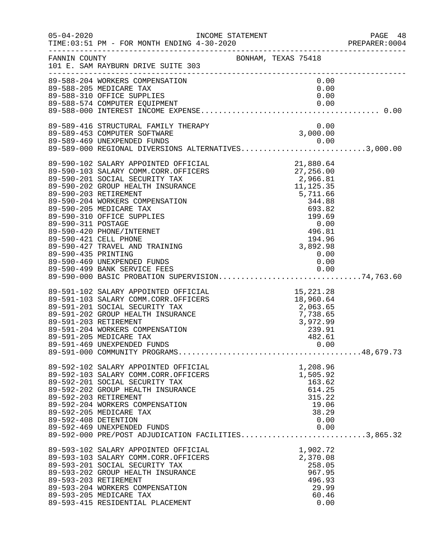| $05 - 04 - 2020$     | TIME: 03:51 PM - FOR MONTH ENDING 4-30-2020                                                                                                                                                                                              |                 | PAGE 48<br>PREPARER: 0004 |
|----------------------|------------------------------------------------------------------------------------------------------------------------------------------------------------------------------------------------------------------------------------------|-----------------|---------------------------|
|                      | FANNIN COUNTY<br>101 E. SAM RAYBURN DRIVE SUITE 303                                                                                                                                                                                      |                 |                           |
|                      | 89-588-204 WORKERS COMPENSATION                                                                                                                                                                                                          | 0.00            |                           |
|                      |                                                                                                                                                                                                                                          | 0.00            |                           |
|                      |                                                                                                                                                                                                                                          | 0.00            |                           |
|                      | 89-588-310 OFFICE SUPPLIES<br>89-588-574 COMPUTER EQUIPMENT<br>89-588-000 INTEREST FOUIPMENT                                                                                                                                             |                 |                           |
|                      | 89-589-416 STRUCTURAL FAMILY THERAPY 0.00<br>89-589-453 COMPUTER SOFTWARE 308-589-469 UNEXPENDED FUNDS 0.00                                                                                                                              |                 |                           |
|                      |                                                                                                                                                                                                                                          |                 |                           |
|                      | 89-589-469 UNEXPENDED FUNDS<br>89-589-000 REGIONAL DIVERSIONS ALTERNATIVES3,000.00                                                                                                                                                       |                 |                           |
|                      |                                                                                                                                                                                                                                          |                 |                           |
|                      |                                                                                                                                                                                                                                          |                 |                           |
|                      |                                                                                                                                                                                                                                          |                 |                           |
|                      |                                                                                                                                                                                                                                          |                 |                           |
|                      |                                                                                                                                                                                                                                          |                 |                           |
|                      |                                                                                                                                                                                                                                          |                 |                           |
|                      |                                                                                                                                                                                                                                          |                 |                           |
|                      |                                                                                                                                                                                                                                          |                 |                           |
|                      |                                                                                                                                                                                                                                          |                 |                           |
|                      |                                                                                                                                                                                                                                          |                 |                           |
|                      |                                                                                                                                                                                                                                          |                 |                           |
|                      |                                                                                                                                                                                                                                          |                 |                           |
| 89-590-435 PRINTING  |                                                                                                                                                                                                                                          | 0.00            |                           |
|                      | 89-590-469 UNEXPENDED FUNDS                                                                                                                                                                                                              | 0.00            |                           |
|                      | 89-590-499 BANK SERVICE FEES 0.00<br>89-590-000 BASIC PROBATION SUPERVISION74,763.60                                                                                                                                                     |                 |                           |
|                      |                                                                                                                                                                                                                                          |                 |                           |
|                      | 89-591-102 SALARY APPOINTED OFFICIAL 15,221.28<br>89-591-103 SALARY COMM.CORR.OFFICERS 18,960.64<br>89-591-201 SOCIAL SECURITY TAX 2,063.65<br>89-591-202 GROUP HEALTH INSURANCE 7,738.65<br>89-591-203 RETIREMENT 7,738.65<br>89-591-20 |                 |                           |
|                      |                                                                                                                                                                                                                                          |                 |                           |
|                      |                                                                                                                                                                                                                                          |                 |                           |
|                      |                                                                                                                                                                                                                                          |                 |                           |
|                      |                                                                                                                                                                                                                                          |                 |                           |
|                      | 89-591-205 MEDICARE TAX                                                                                                                                                                                                                  |                 |                           |
|                      |                                                                                                                                                                                                                                          | 482.61          |                           |
|                      |                                                                                                                                                                                                                                          |                 |                           |
|                      | 89-592-102 SALARY APPOINTED OFFICIAL                                                                                                                                                                                                     | 1,208.96        |                           |
|                      | 89-592-103 SALARY COMM.CORR.OFFICERS                                                                                                                                                                                                     | 1,505.92        |                           |
|                      | 89-592-201 SOCIAL SECURITY TAX                                                                                                                                                                                                           | 163.62          |                           |
|                      | 89-592-202 GROUP HEALTH INSURANCE                                                                                                                                                                                                        | 614.25          |                           |
|                      | 89-592-203 RETIREMENT                                                                                                                                                                                                                    | 315.22          |                           |
|                      | 89-592-204 WORKERS COMPENSATION                                                                                                                                                                                                          | 19.06           |                           |
|                      | 89-592-205 MEDICARE TAX                                                                                                                                                                                                                  | 38.29           |                           |
| 89-592-408 DETENTION |                                                                                                                                                                                                                                          | 0.00            |                           |
|                      | 89-592-469 UNEXPENDED FUNDS<br>89-592-469 UNEXPENDED FUNDS<br>89-592-000 PRE/POST ADJUDICATION FACILITIES3,865.32                                                                                                                        | 0.00            |                           |
|                      |                                                                                                                                                                                                                                          |                 |                           |
|                      | 89-593-102 SALARY APPOINTED OFFICIAL                                                                                                                                                                                                     | 1,902.72        |                           |
|                      | 89-593-103 SALARY COMM.CORR.OFFICERS                                                                                                                                                                                                     | 2,370.08        |                           |
|                      | 89-593-201 SOCIAL SECURITY TAX                                                                                                                                                                                                           | 258.05          |                           |
|                      | 89-593-202 GROUP HEALTH INSURANCE<br>89-593-203 RETIREMENT                                                                                                                                                                               | 967.95          |                           |
|                      | 89-593-204 WORKERS COMPENSATION                                                                                                                                                                                                          | 496.93<br>29.99 |                           |
|                      | 89-593-205 MEDICARE TAX                                                                                                                                                                                                                  | 60.46           |                           |
|                      | 89-593-415 RESIDENTIAL PLACEMENT                                                                                                                                                                                                         | 0.00            |                           |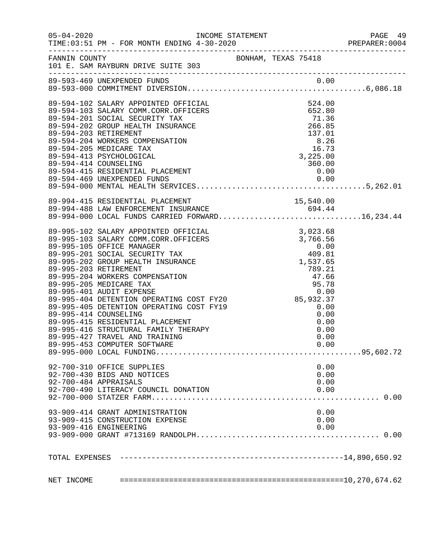|                                                                                                                                                                                                                                              |                                                                                                                 |        | PAGE 49<br>PREPARER: 0004 |
|----------------------------------------------------------------------------------------------------------------------------------------------------------------------------------------------------------------------------------------------|-----------------------------------------------------------------------------------------------------------------|--------|---------------------------|
| FANNIN COUNTY<br>101 E. SAM RAYBURN DRIVE SUITE 303                                                                                                                                                                                          |                                                                                                                 |        |                           |
| 89-593-469 UNEXPENDED FUNDS                                                                                                                                                                                                                  |                                                                                                                 |        |                           |
| 89-594-102 SALARY APPOINTED OFFICIAL                                                                                                                                                                                                         | CCIAL<br>CCERS<br>524.00<br>652.80<br>71.36<br>71.36<br>266.85<br>137.01<br>8.26<br>16.73<br>3,225.00<br>360.00 |        |                           |
| 89-594-103 SALARY COMM.CORR.OFFICERS                                                                                                                                                                                                         |                                                                                                                 |        |                           |
| 89-594-201 SOCIAL SECURITY TAX                                                                                                                                                                                                               |                                                                                                                 |        |                           |
| 89-594-202 GROUP HEALTH INSURANCE                                                                                                                                                                                                            |                                                                                                                 |        |                           |
| 89-594-203 RETIREMENT                                                                                                                                                                                                                        |                                                                                                                 |        |                           |
| 89-594-204 WORKERS COMPENSATION                                                                                                                                                                                                              |                                                                                                                 |        |                           |
| 89-594-205 MEDICARE TAX                                                                                                                                                                                                                      |                                                                                                                 |        |                           |
| 89-594-413 PSYCHOLOGICAL                                                                                                                                                                                                                     |                                                                                                                 |        |                           |
| 89-594-414 COUNSELING                                                                                                                                                                                                                        |                                                                                                                 | 360.00 |                           |
| 89-594-415 RESIDENTIAL PLACEMENT                                                                                                                                                                                                             |                                                                                                                 | 0.00   |                           |
|                                                                                                                                                                                                                                              |                                                                                                                 |        |                           |
|                                                                                                                                                                                                                                              |                                                                                                                 |        |                           |
|                                                                                                                                                                                                                                              |                                                                                                                 |        |                           |
|                                                                                                                                                                                                                                              |                                                                                                                 |        |                           |
| 89-994-415 RESIDENTIAL PLACEMENT<br>89-994-488 LAW ENFORCEMENT INSURANCE 694.44<br>89-994-000 LOCAL FUNDS CARRIED FORWARD16,234.44                                                                                                           |                                                                                                                 |        |                           |
|                                                                                                                                                                                                                                              |                                                                                                                 |        |                           |
| 99-995-102 SALARY APPOINTED OFFICIAL 3,023.68<br>99-995-103 SALARY COMM.CORR.OFFICERS 3,766.56<br>99-995-105 OFFICE MANAGER 0.00<br>99-995-201 SOCIAL SECURITY TAX 409.81<br>89-995-202 GROUP HEALTH INSURANCE 1,537.65                      |                                                                                                                 |        |                           |
|                                                                                                                                                                                                                                              |                                                                                                                 |        |                           |
|                                                                                                                                                                                                                                              |                                                                                                                 |        |                           |
|                                                                                                                                                                                                                                              |                                                                                                                 |        |                           |
|                                                                                                                                                                                                                                              |                                                                                                                 |        |                           |
| 89-995-202 GROUP HEALIH INSURANCE<br>89-995-203 RETIREMENT<br>89-995-203 NEDICARE TAX<br>89-995-205 MEDICARE TAX<br>89-995-401 AUDIT EXPENSE<br>89-995-401 AUDIT EXPENSE<br>89-995-404 DETENTION OPERATING COST FY20<br>89-995-405 DETENTION |                                                                                                                 |        |                           |
|                                                                                                                                                                                                                                              |                                                                                                                 |        |                           |
|                                                                                                                                                                                                                                              |                                                                                                                 |        |                           |
|                                                                                                                                                                                                                                              |                                                                                                                 |        |                           |
|                                                                                                                                                                                                                                              |                                                                                                                 |        |                           |
|                                                                                                                                                                                                                                              |                                                                                                                 |        |                           |
|                                                                                                                                                                                                                                              |                                                                                                                 |        |                           |
|                                                                                                                                                                                                                                              |                                                                                                                 |        |                           |
|                                                                                                                                                                                                                                              |                                                                                                                 |        |                           |
|                                                                                                                                                                                                                                              |                                                                                                                 |        |                           |
| 89-995-453 COMPUTER SOFTWARE                                                                                                                                                                                                                 |                                                                                                                 | 0.00   |                           |
|                                                                                                                                                                                                                                              |                                                                                                                 |        |                           |
| 92-700-310 OFFICE SUPPLIES                                                                                                                                                                                                                   |                                                                                                                 | 0.00   |                           |
| 92-700-430 BIDS AND NOTICES                                                                                                                                                                                                                  |                                                                                                                 | 0.00   |                           |
| 92-700-484 APPRAISALS                                                                                                                                                                                                                        |                                                                                                                 | 0.00   |                           |
| 92-700-490 LITERACY COUNCIL DONATION                                                                                                                                                                                                         |                                                                                                                 | 0.00   |                           |
|                                                                                                                                                                                                                                              |                                                                                                                 |        |                           |
| 93-909-414 GRANT ADMINISTRATION                                                                                                                                                                                                              |                                                                                                                 | 0.00   |                           |
| 93-909-415 CONSTRUCTION EXPENSE                                                                                                                                                                                                              |                                                                                                                 | 0.00   |                           |
| 93-909-416 ENGINEERING                                                                                                                                                                                                                       |                                                                                                                 | 0.00   |                           |
|                                                                                                                                                                                                                                              |                                                                                                                 |        |                           |
|                                                                                                                                                                                                                                              |                                                                                                                 |        |                           |
|                                                                                                                                                                                                                                              |                                                                                                                 |        |                           |
|                                                                                                                                                                                                                                              |                                                                                                                 |        |                           |
|                                                                                                                                                                                                                                              |                                                                                                                 |        |                           |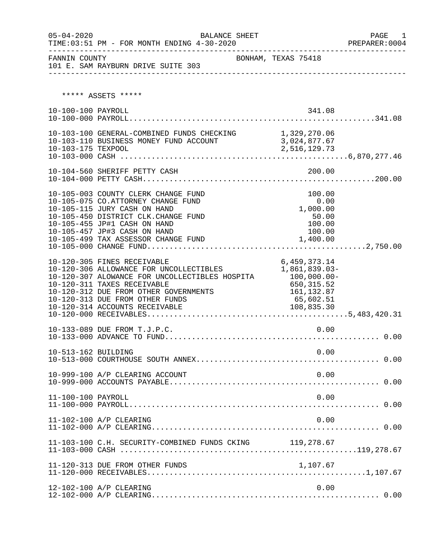| $05 - 04 - 2020$    | BALANCE SHEET                                                                                                                                                                                                                                                         |                                                                                                      | PAGE<br>1 |
|---------------------|-----------------------------------------------------------------------------------------------------------------------------------------------------------------------------------------------------------------------------------------------------------------------|------------------------------------------------------------------------------------------------------|-----------|
|                     |                                                                                                                                                                                                                                                                       |                                                                                                      |           |
|                     | ***** ASSETS *****                                                                                                                                                                                                                                                    |                                                                                                      |           |
| 10-100-100 PAYROLL  |                                                                                                                                                                                                                                                                       | 341.08                                                                                               |           |
| 10-103-175 TEXPOOL  | 10-103-100 GENERAL-COMBINED FUNDS CHECKING 1,329,270.06<br>10-103-110 BUSINESS MONEY FUND ACCOUNT 3,024,877.67                                                                                                                                                        | 2,516,129.73                                                                                         |           |
|                     | 10-104-560 SHERIFF PETTY CASH                                                                                                                                                                                                                                         | 200.00                                                                                               |           |
|                     | 10-105-003 COUNTY CLERK CHANGE FUND<br>10-105-075 CO.ATTORNEY CHANGE FUND<br>10-105-115 JURY CASH ON HAND<br>10-105-450 DISTRICT CLK. CHANGE FUND<br>10-105-455 JP#1 CASH ON HAND<br>10-105-457 JP#3 CASH ON HAND<br>10-105-499 TAX ASSESSOR CHANGE FUND              | 100.00<br>0.00<br>1,000.00<br>50.00<br>100.00<br>100.00<br>1,400.00                                  |           |
|                     | 10-120-305 FINES RECEIVABLE<br>10-120-306 ALLOWANCE FOR UNCOLLECTIBLES<br>10-120-307 ALOWANCE FOR UNCOLLECTIBLES HOSPITA<br>10-120-311 TAXES RECEIVABLE<br>10-120-312 DUE FROM OTHER GOVERNMENTS<br>10-120-313 DUE FROM OTHER FUNDS<br>10-120-314 ACCOUNTS RECEIVABLE | 6,459,373.14<br>1,861,839.03-<br>100,000.00-<br>650,315.52<br>161, 132.87<br>65,602.51<br>108,835.30 |           |
|                     | 10-133-089 DUE FROM T.J.P.C.                                                                                                                                                                                                                                          | 0.00                                                                                                 |           |
| 10-513-162 BUILDING |                                                                                                                                                                                                                                                                       | 0.00                                                                                                 |           |
|                     | 10-999-100 A/P CLEARING ACCOUNT                                                                                                                                                                                                                                       | 0.00                                                                                                 |           |
| 11-100-100 PAYROLL  |                                                                                                                                                                                                                                                                       | 0.00                                                                                                 |           |
|                     | 11-102-100 A/P CLEARING                                                                                                                                                                                                                                               | 0.00                                                                                                 |           |
|                     | 11-103-100 C.H. SECURITY-COMBINED FUNDS CKING 119,278.67                                                                                                                                                                                                              |                                                                                                      |           |
|                     | 11-120-313 DUE FROM OTHER FUNDS                                                                                                                                                                                                                                       | 1,107.67                                                                                             |           |
|                     | 12-102-100 A/P CLEARING                                                                                                                                                                                                                                               | 0.00                                                                                                 |           |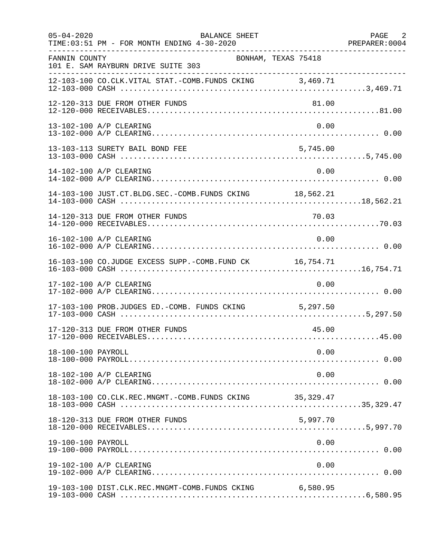| $05 - 04 - 2020$   | BALANCE SHEET<br>TIME: 03:51 PM - FOR MONTH ENDING 4-30-2020 |                     | PAGE 2<br>PREPARER: 0004 |
|--------------------|--------------------------------------------------------------|---------------------|--------------------------|
| FANNIN COUNTY      | 101 E. SAM RAYBURN DRIVE SUITE 303                           | BONHAM, TEXAS 75418 |                          |
|                    | 12-103-100 CO.CLK.VITAL STAT.-COMB.FUNDS CKING 3,469.71      |                     |                          |
|                    | 12-120-313 DUE FROM OTHER FUNDS                              | 81.00               |                          |
|                    | 13-102-100 A/P CLEARING                                      | 0.00                |                          |
|                    | 13-103-113 SURETY BAIL BOND FEE                              | 5,745.00            |                          |
|                    | 14-102-100 A/P CLEARING                                      | 0.00                |                          |
|                    | 14-103-100 JUST.CT.BLDG.SEC.-COMB.FUNDS CKING 18,562.21      |                     |                          |
|                    |                                                              |                     |                          |
|                    | 16-102-100 A/P CLEARING                                      | 0.00                |                          |
|                    | 16-103-100 CO.JUDGE EXCESS SUPP.-COMB.FUND CK 16,754.71      |                     |                          |
|                    | 17-102-100 A/P CLEARING                                      | 0.00                |                          |
|                    | 17-103-100 PROB.JUDGES ED.-COMB. FUNDS CKING 5,297.50        |                     |                          |
|                    | 17-120-313 DUE FROM OTHER FUNDS                              | 45.00               |                          |
| 18-100-100 PAYROLL |                                                              | 0.00                |                          |
|                    | 18-102-100 A/P CLEARING                                      | 0.00                |                          |
|                    | 18-103-100 CO.CLK.REC.MNGMT.-COMB.FUNDS CKING                | 35,329.47           |                          |
|                    | 18-120-313 DUE FROM OTHER FUNDS                              | 5,997.70            |                          |
| 19-100-100 PAYROLL |                                                              | 0.00                |                          |
|                    | 19-102-100 A/P CLEARING                                      | 0.00                |                          |
|                    | 19-103-100 DIST.CLK.REC.MNGMT-COMB.FUNDS CKING 6,580.95      |                     |                          |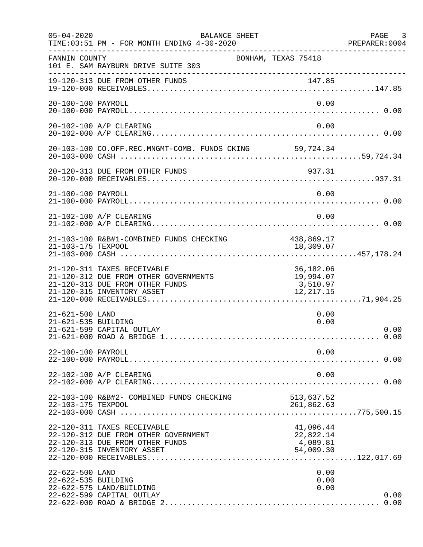| $05 - 04 - 2020$                       | BALANCE SHEET<br>TIME: 03:51 PM - FOR MONTH ENDING 4-30-2020                                                                          |                                                 | PAGE 3<br>PREPARER: 0004 |
|----------------------------------------|---------------------------------------------------------------------------------------------------------------------------------------|-------------------------------------------------|--------------------------|
| FANNIN COUNTY                          | BONHAM, TEXAS 75418<br>101 E. SAM RAYBURN DRIVE SUITE 303                                                                             |                                                 |                          |
|                                        | 19-120-313 DUE FROM OTHER FUNDS                                                                                                       |                                                 |                          |
| 20-100-100 PAYROLL                     |                                                                                                                                       | 0.00                                            |                          |
|                                        | 20-102-100 A/P CLEARING                                                                                                               | 0.00                                            |                          |
|                                        | 20-103-100 CO.OFF.REC.MNGMT-COMB. FUNDS CKING 59,724.34                                                                               |                                                 |                          |
|                                        | 20-120-313 DUE FROM OTHER FUNDS                                                                                                       | 937.31                                          |                          |
| 21-100-100 PAYROLL                     |                                                                                                                                       | 0.00                                            |                          |
|                                        | 21-102-100 A/P CLEARING                                                                                                               | 0.00                                            |                          |
|                                        | 21-103-100 R&B#1-COMBINED FUNDS CHECKING                                                                                              | 438,869.17                                      |                          |
|                                        | 21-120-311 TAXES RECEIVABLE<br>21-120-312 DUE FROM OTHER GOVERNMENTS<br>21-120-313 DUE FROM OTHER FUNDS<br>21-120-315 INVENTORY ASSET | 36,182.06<br>19,994.07<br>3,510.97<br>12,217.15 |                          |
| 21-621-500 LAND<br>21-621-535 BUILDING | 21-621-599 CAPITAL OUTLAY                                                                                                             | 0.00<br>0.00                                    | 0.00                     |
| 22-100-100 PAYROLL                     |                                                                                                                                       | 0.00                                            |                          |
|                                        | 22-102-100 A/P CLEARING                                                                                                               | 0.00                                            |                          |
| 22-103-175 TEXPOOL                     | 22-103-100 R&B#2- COMBINED FUNDS CHECKING                                                                                             | 513,637.52<br>261,862.63                        |                          |
|                                        | 22-120-311 TAXES RECEIVABLE<br>22-120-312 DUE FROM OTHER GOVERNMENT<br>22-120-313 DUE FROM OTHER FUNDS<br>22-120-315 INVENTORY ASSET  | 41,096.44<br>22,822.14<br>4,089.81<br>54,009.30 |                          |
| 22-622-500 LAND<br>22-622-535 BUILDING | 22-622-575 LAND/BUILDING<br>22-622-599 CAPITAL OUTLAY                                                                                 | 0.00<br>0.00<br>0.00                            | 0.00                     |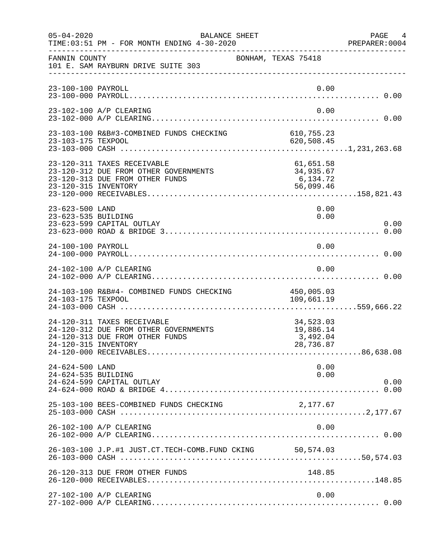| $05 - 04 - 2020$                       | BALANCE SHEET<br>TIME: 03:51 PM - FOR MONTH ENDING 4-30-2020                                                                    |                                                 | PAGE 4<br>PREPARER:0004 |
|----------------------------------------|---------------------------------------------------------------------------------------------------------------------------------|-------------------------------------------------|-------------------------|
| FANNIN COUNTY                          | 101 E. SAM RAYBURN DRIVE SUITE 303                                                                                              | BONHAM, TEXAS 75418                             |                         |
| 23-100-100 PAYROLL                     |                                                                                                                                 | 0.00                                            |                         |
|                                        | 23-102-100 A/P CLEARING                                                                                                         | 0.00                                            |                         |
| 23-103-175 TEXPOOL                     | 23-103-100 R&B#3-COMBINED FUNDS CHECKING 610,755.23                                                                             | 620,508.45                                      |                         |
|                                        | 23-120-311 TAXES RECEIVABLE<br>23-120-312 DUE FROM OTHER GOVERNMENTS<br>23-120-313 DUE FROM OTHER FUNDS<br>23-120-315 INVENTORY | 61,651.58<br>34,935.67<br>6,134.72<br>56,099.46 |                         |
| 23-623-500 LAND<br>23-623-535 BUILDING | 23-623-599 CAPITAL OUTLAY                                                                                                       | 0.00<br>0.00                                    | 0.00                    |
| 24-100-100 PAYROLL                     |                                                                                                                                 | 0.00                                            |                         |
|                                        | 24-102-100 A/P CLEARING                                                                                                         | 0.00                                            |                         |
| 24-103-175 TEXPOOL                     | 24-103-100 R&B#4- COMBINED FUNDS CHECKING                                                                                       | 450,005.03<br>109,661.19                        |                         |
|                                        | 24-120-311 TAXES RECEIVABLE<br>24-120-312 DUE FROM OTHER GOVERNMENTS<br>24-120-313 DUE FROM OTHER FUNDS<br>24-120-315 INVENTORY | 34,523.03<br>19,886.14<br>3,492.04<br>28,736.87 |                         |
| 24-624-500 LAND<br>24-624-535 BUILDING | 24-624-599 CAPITAL OUTLAY                                                                                                       | 0.00<br>0.00                                    | 0.00                    |
|                                        | 25-103-100 BEES-COMBINED FUNDS CHECKING                                                                                         | 2,177.67                                        |                         |
|                                        | 26-102-100 A/P CLEARING                                                                                                         | 0.00                                            |                         |
|                                        | 26-103-100 J.P.#1 JUST.CT.TECH-COMB.FUND CKING 50,574.03                                                                        |                                                 |                         |
|                                        | 26-120-313 DUE FROM OTHER FUNDS                                                                                                 | 148.85                                          |                         |
|                                        | 27-102-100 A/P CLEARING                                                                                                         | 0.00                                            |                         |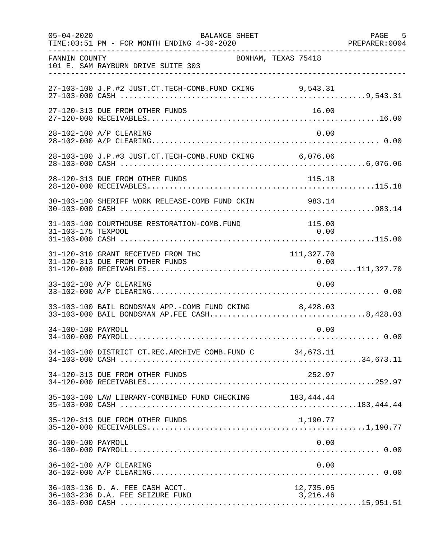| $05 - 04 - 2020$   | BALANCE SHEET<br>TIME: 03:51 PM - FOR MONTH ENDING 4-30-2020                                           |                       | PAGE 5<br>PREPARER: 0004 |
|--------------------|--------------------------------------------------------------------------------------------------------|-----------------------|--------------------------|
| FANNIN COUNTY      | BONHAM, TEXAS 75418<br>101 E. SAM RAYBURN DRIVE SUITE 303                                              |                       |                          |
|                    | 27-103-100 J.P.#2 JUST.CT.TECH-COMB.FUND CKING 9,543.31                                                |                       |                          |
|                    | 27-120-313 DUE FROM OTHER FUNDS                                                                        | 16.00                 |                          |
|                    | 28-102-100 A/P CLEARING                                                                                | 0.00                  |                          |
|                    | 28-103-100 J.P.#3 JUST.CT.TECH-COMB.FUND CKING 6,076.06                                                |                       |                          |
|                    | 28-120-313 DUE FROM OTHER FUNDS                                                                        |                       |                          |
|                    | 30-103-100 SHERIFF WORK RELEASE-COMB FUND CKIN 983.14                                                  |                       |                          |
| 31-103-175 TEXPOOL | 31-103-100 COURTHOUSE RESTORATION-COMB.FUND                                                            | 115.00<br>0.00        |                          |
|                    | 31-120-310 GRANT RECEIVED FROM THC                                                                     | 111, 327.70           |                          |
|                    | 33-102-100 A/P CLEARING                                                                                | 0.00                  |                          |
|                    | 33-103-100 BAIL BONDSMAN APP.-COMB FUND CKING 8,428.03<br>33-103-000 BAIL BONDSMAN AP.FEE CASH8,428.03 |                       |                          |
| 34-100-100 PAYROLL |                                                                                                        | 0.00                  |                          |
|                    | 34-103-100 DISTRICT CT.REC.ARCHIVE COMB.FUND C 34,673.11                                               |                       |                          |
|                    | 34-120-313 DUE FROM OTHER FUNDS                                                                        | 252.97                |                          |
|                    | 35-103-100 LAW LIBRARY-COMBINED FUND CHECKING 183,444.44                                               |                       |                          |
|                    | 35-120-313 DUE FROM OTHER FUNDS                                                                        | 1,190.77              |                          |
| 36-100-100 PAYROLL |                                                                                                        | 0.00                  |                          |
|                    | 36-102-100 A/P CLEARING                                                                                | 0.00                  |                          |
|                    | 36-103-136 D. A. FEE CASH ACCT.<br>36-103-236 D.A. FEE SEIZURE FUND                                    | 12,735.05<br>3,216.46 |                          |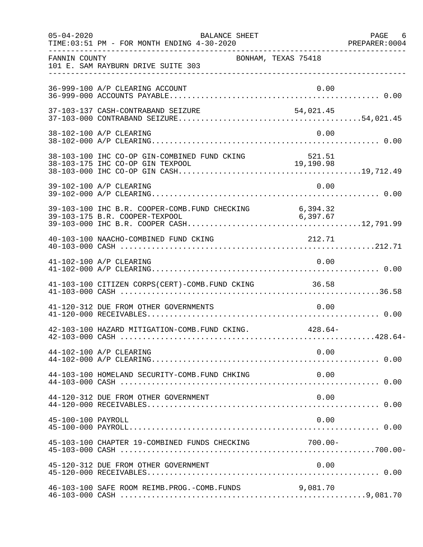| $05 - 04 - 2020$   | BALANCE SHEET<br>TIME: 03:51 PM - FOR MONTH ENDING 4-30-2020 |            | PAGE 6 |
|--------------------|--------------------------------------------------------------|------------|--------|
| FANNIN COUNTY      | BONHAM, TEXAS 75418<br>101 E. SAM RAYBURN DRIVE SUITE 303    |            |        |
|                    | 36-999-100 A/P CLEARING ACCOUNT                              | 0.00       |        |
|                    |                                                              |            |        |
|                    | 38-102-100 A/P CLEARING                                      | 0.00       |        |
|                    |                                                              |            |        |
|                    | 39-102-100 A/P CLEARING                                      | 0.00       |        |
|                    |                                                              |            |        |
|                    | 40-103-100 NAACHO-COMBINED FUND CKING                        | 212.71     |        |
|                    | 41-102-100 A/P CLEARING                                      | 0.00       |        |
|                    | 41-103-100 CITIZEN CORPS(CERT)-COMB. FUND CKING 36.58        |            |        |
|                    | 41-120-312 DUE FROM OTHER GOVERNMENTS                        | 0.00       |        |
|                    | 42-103-100 HAZARD MITIGATION-COMB. FUND CKING. 428.64-       |            |        |
|                    | 44-102-100 A/P CLEARING                                      | 0.00       |        |
|                    | 44-103-100 HOMELAND SECURITY-COMB. FUND CHKING               | 0.00       |        |
|                    | 44-120-312 DUE FROM OTHER GOVERNMENT                         | 0.00       |        |
| 45-100-100 PAYROLL |                                                              | 0.00       |        |
|                    | 45-103-100 CHAPTER 19-COMBINED FUNDS CHECKING                | $700.00 -$ |        |
|                    | 45-120-312 DUE FROM OTHER GOVERNMENT                         | 0.00       |        |
|                    | 46-103-100 SAFE ROOM REIMB. PROG. - COMB. FUNDS              | 9,081.70   |        |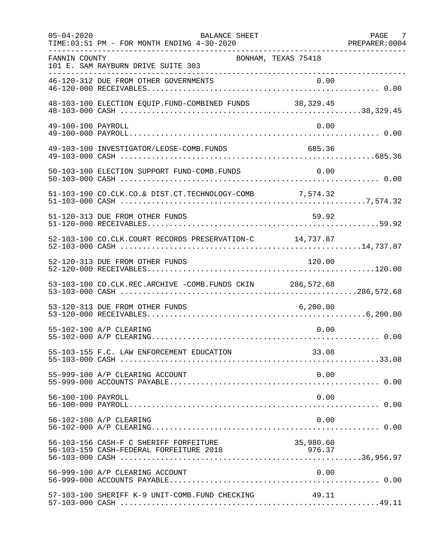| $05 - 04 - 2020$   | <b>BALANCE SHEET</b><br>TIME: 03:51 PM - FOR MONTH ENDING 4-30-2020 |           | PAGE 7<br>PREPARER: 0004 |
|--------------------|---------------------------------------------------------------------|-----------|--------------------------|
| FANNIN COUNTY      | BONHAM, TEXAS 75418<br>101 E. SAM RAYBURN DRIVE SUITE 303           |           |                          |
|                    | 46-120-312 DUE FROM OTHER GOVERNMENTS                               |           |                          |
|                    | 48-103-100 ELECTION EQUIP. FUND-COMBINED FUNDS 38,329.45            |           |                          |
| 49-100-100 PAYROLL |                                                                     | 0.00      |                          |
|                    | 49-103-100 INVESTIGATOR/LEOSE-COMB.FUNDS                            | 685.36    |                          |
|                    | 50-103-100 ELECTION SUPPORT FUND-COMB.FUNDS                         | 0.00      |                          |
|                    | 51-103-100 CO.CLK.CO.& DIST.CT.TECHNOLOGY-COMB 7,574.32             |           |                          |
|                    | 51-120-313 DUE FROM OTHER FUNDS                                     | 59.92     |                          |
|                    | 52-103-100 CO.CLK.COURT RECORDS PRESERVATION-C 14,737.87            |           |                          |
|                    | 52-120-313 DUE FROM OTHER FUNDS                                     | 120.00    |                          |
|                    | 53-103-100 CO.CLK.REC.ARCHIVE -COMB.FUNDS CKIN 286,572.68           |           |                          |
|                    | 53-120-313 DUE FROM OTHER FUNDS                                     | 6, 200.00 |                          |
|                    | 55-102-100 A/P CLEARING                                             | 0.00      |                          |
|                    | 55-103-155 F.C. LAW ENFORCEMENT EDUCATION                           | 33.08     |                          |
|                    | 55-999-100 A/P CLEARING ACCOUNT                                     | 0.00      |                          |
| 56-100-100 PAYROLL |                                                                     | 0.00      |                          |
|                    | 56-102-100 A/P CLEARING                                             | 0.00      |                          |
|                    | 56-103-156 CASH-F C SHERIFF FORFEITURE                              | 35,980.60 |                          |
|                    | 56-999-100 A/P CLEARING ACCOUNT                                     | 0.00      |                          |
|                    | 57-103-100 SHERIFF K-9 UNIT-COMB.FUND CHECKING                      | 49.11     |                          |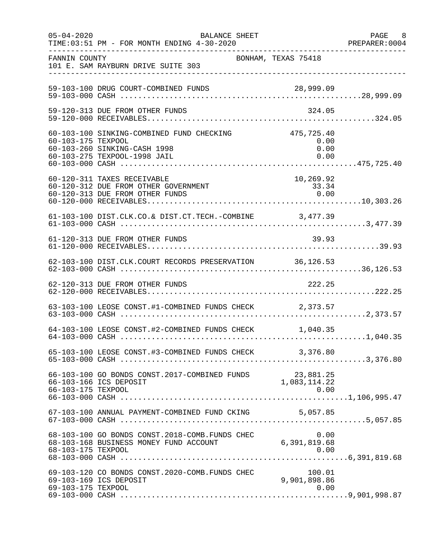| $05 - 04 - 2020$   | BALANCE SHEET<br>TIME: 03:51 PM - FOR MONTH ENDING 4-30-2020                                                         |                                | PAGE 8<br>PREPARER: 0004 |
|--------------------|----------------------------------------------------------------------------------------------------------------------|--------------------------------|--------------------------|
| FANNIN COUNTY      | BONHAM, TEXAS 75418<br>101 E. SAM RAYBURN DRIVE SUITE 303                                                            |                                |                          |
|                    | 59-103-100 DRUG COURT-COMBINED FUNDS                                                                                 |                                |                          |
|                    | 59-120-313 DUE FROM OTHER FUNDS                                                                                      | 324.05                         |                          |
| 60-103-175 TEXPOOL | 60-103-100 SINKING-COMBINED FUND CHECKING 475,725.40<br>60-103-260 SINKING-CASH 1998<br>60-103-275 TEXPOOL-1998 JAIL | 0.00<br>0.00<br>0.00           |                          |
|                    | 60-120-311 TAXES RECEIVABLE<br>60-120-312 DUE FROM OTHER GOVERNMENT<br>60-120-313 DUE FROM OTHER FUNDS               | 10,269.92<br>33.34<br>0.00     |                          |
|                    | 61-103-100 DIST.CLK.CO.& DIST.CT.TECH.-COMBINE 3,477.39                                                              |                                |                          |
|                    | 61-120-313 DUE FROM OTHER FUNDS                                                                                      | 39.93                          |                          |
|                    | 62-103-100 DIST.CLK.COURT RECORDS PRESERVATION 36,126.53                                                             |                                |                          |
|                    | 62-120-313 DUE FROM OTHER FUNDS                                                                                      | 222.25                         |                          |
|                    | 63-103-100 LEOSE CONST.#1-COMBINED FUNDS CHECK 2,373.57                                                              |                                |                          |
|                    | 64-103-100 LEOSE CONST.#2-COMBINED FUNDS CHECK 1,040.35                                                              |                                |                          |
|                    | 65-103-100 LEOSE CONST.#3-COMBINED FUNDS CHECK 3,376.80                                                              |                                |                          |
| 66-103-175 TEXPOOL | 66-103-100 GO BONDS CONST.2017-COMBINED FUNDS 23,881.25<br>1,083,114.22<br>1,083,114.22                              | 0.00                           |                          |
|                    | 67-103-100 ANNUAL PAYMENT-COMBINED FUND CKING                                                                        | 5,057.85                       |                          |
| 68-103-175 TEXPOOL | 68-103-100 GO BONDS CONST. 2018-COMB. FUNDS CHEC<br>68-103-168 BUSINESS MONEY FUND ACCOUNT                           | 0.00<br>6,391,819.68<br>0.00   |                          |
| 69-103-175 TEXPOOL | 69-103-120 CO BONDS CONST.2020-COMB.FUNDS CHEC<br>69-103-169 ICS DEPOSIT                                             | 100.01<br>9,901,898.86<br>0.00 |                          |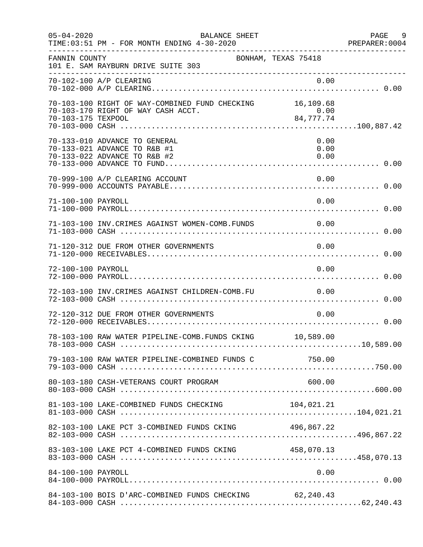| $05 - 04 - 2020$   | BALANCE SHEET<br>TIME: 03:51 PM - FOR MONTH ENDING 4-30-2020                                   |                     |                      | PAGE 9<br>PREPARER: 0004 |
|--------------------|------------------------------------------------------------------------------------------------|---------------------|----------------------|--------------------------|
| FANNIN COUNTY      | 101 E. SAM RAYBURN DRIVE SUITE 303                                                             | BONHAM, TEXAS 75418 |                      |                          |
|                    | 70-102-100 A/P CLEARING                                                                        |                     | 0.00                 |                          |
| 70-103-175 TEXPOOL | 70-103-100 RIGHT OF WAY-COMBINED FUND CHECKING 16,109.68<br>70-103-170 RIGHT OF WAY CASH ACCT. | $0.00$<br>84,777.74 |                      |                          |
|                    | 70-133-010 ADVANCE TO GENERAL<br>70-133-021 ADVANCE TO R&B #1<br>70-133-022 ADVANCE TO R&B #2  |                     | 0.00<br>0.00<br>0.00 |                          |
|                    | 70-999-100 A/P CLEARING ACCOUNT                                                                |                     | 0.00                 |                          |
| 71-100-100 PAYROLL |                                                                                                |                     | 0.00                 |                          |
|                    | 71-103-100 INV. CRIMES AGAINST WOMEN-COMB. FUNDS 0.00                                          |                     |                      |                          |
|                    | 71-120-312 DUE FROM OTHER GOVERNMENTS                                                          |                     |                      |                          |
| 72-100-100 PAYROLL |                                                                                                |                     | 0.00                 |                          |
|                    | 72-103-100 INV. CRIMES AGAINST CHILDREN-COMB. FU                                               |                     | 0.00                 |                          |
|                    | 72-120-312 DUE FROM OTHER GOVERNMENTS                                                          |                     | 0.00                 |                          |
|                    | 78-103-100 RAW WATER PIPELINE-COMB.FUNDS CKING 10,589.00                                       |                     |                      |                          |
|                    |                                                                                                |                     |                      |                          |
|                    | 80-103-180 CASH-VETERANS COURT PROGRAM                                                         |                     | 600.00               |                          |
|                    | 81-103-100 LAKE-COMBINED FUNDS CHECKING                                                        |                     | 104,021.21           |                          |
|                    | 82-103-100 LAKE PCT 3-COMBINED FUNDS CKING 496,867.22                                          |                     |                      |                          |
|                    |                                                                                                |                     |                      |                          |
| 84-100-100 PAYROLL |                                                                                                |                     | 0.00                 |                          |
|                    | 84-103-100 BOIS D'ARC-COMBINED FUNDS CHECKING 62,240.43                                        |                     |                      |                          |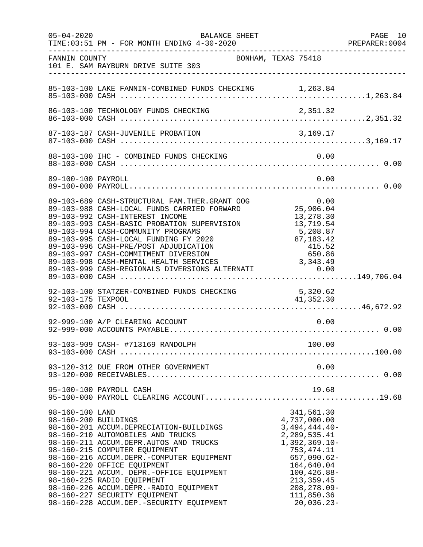| $05 - 04 - 2020$   | BALANCE SHEET                                                                                                                                                                                                                                                                                                                                                                                                                                                                                    | PAGE 10<br>PREPARER:0004                                                                                                                                                                                          |
|--------------------|--------------------------------------------------------------------------------------------------------------------------------------------------------------------------------------------------------------------------------------------------------------------------------------------------------------------------------------------------------------------------------------------------------------------------------------------------------------------------------------------------|-------------------------------------------------------------------------------------------------------------------------------------------------------------------------------------------------------------------|
| FANNIN COUNTY      | 101 E. SAM RAYBURN DRIVE SUITE 303                                                                                                                                                                                                                                                                                                                                                                                                                                                               | BONHAM, TEXAS 75418                                                                                                                                                                                               |
|                    |                                                                                                                                                                                                                                                                                                                                                                                                                                                                                                  |                                                                                                                                                                                                                   |
|                    |                                                                                                                                                                                                                                                                                                                                                                                                                                                                                                  |                                                                                                                                                                                                                   |
|                    |                                                                                                                                                                                                                                                                                                                                                                                                                                                                                                  |                                                                                                                                                                                                                   |
|                    |                                                                                                                                                                                                                                                                                                                                                                                                                                                                                                  |                                                                                                                                                                                                                   |
| 89-100-100 PAYROLL |                                                                                                                                                                                                                                                                                                                                                                                                                                                                                                  | 0.00                                                                                                                                                                                                              |
|                    | 89-103-689 CASH-STRUCTURAL FAM.THER.GRANT OOG<br>89-103-988 CASH-LOCAL FUNDS CARRIED FORWARD<br>89-103-992 CASH-INTEREST INCOME<br>89-103-993 CASH-BASIC PROBATION SUPERVISION<br>89-103-994 CASH-COMMUNITY PROGRAMS<br>89-103-995 CASH-LOCAL FUNDING FY 2020<br>89-103-996 CASH-PRE/POST ADJUDICATION<br>89-103-997 CASH-COMMITMENT DIVERSION<br>89-103-997 CASH-COMMITMENT DIVERSION<br>89-103-998 CASH-MENTAL HEALTH SERVICES 3,343.49<br>89-103-999 CASH-REGIONALS DIVERSIONS ALTERNATI 0.00 | 13,278.30<br>13,719.54<br>5,208.87<br>87,183.42<br>415.52<br>650.86                                                                                                                                               |
|                    |                                                                                                                                                                                                                                                                                                                                                                                                                                                                                                  |                                                                                                                                                                                                                   |
|                    | 92-999-100 A/P CLEARING ACCOUNT                                                                                                                                                                                                                                                                                                                                                                                                                                                                  | 0.00                                                                                                                                                                                                              |
|                    |                                                                                                                                                                                                                                                                                                                                                                                                                                                                                                  |                                                                                                                                                                                                                   |
|                    | 93-120-312 DUE FROM OTHER GOVERNMENT                                                                                                                                                                                                                                                                                                                                                                                                                                                             | 0.00                                                                                                                                                                                                              |
|                    | 95-100-100 PAYROLL CASH                                                                                                                                                                                                                                                                                                                                                                                                                                                                          | 19.68                                                                                                                                                                                                             |
| 98-160-100 LAND    | 98-160-200 BUILDINGS<br>98-160-201 ACCUM.DEPRECIATION-BUILDINGS<br>98-160-210 AUTOMOBILES AND TRUCKS<br>98-160-211 ACCUM.DEPR.AUTOS AND TRUCKS<br>98-160-215 COMPUTER EQUIPMENT<br>98-160-216 ACCUM.DEPR.-COMPUTER EQUIPMENT<br>98-160-220 OFFICE EQUIPMENT<br>98-160-221 ACCUM. DEPR.-OFFICE EQUIPMENT<br>98-160-225 RADIO EQUIPMENT<br>98-160-226 ACCUM.DEPR.-RADIO EQUIPMENT<br>98-160-227 SECURITY EQUIPMENT<br>98-160-228 ACCUM.DEP.-SECURITY EQUIPMENT                                     | 341,561.30<br>4,737,000.00<br>$3,494,444.40-$<br>2,289,535.41<br>$1,392,369.10-$<br>753, 474.11<br>$657,090.62-$<br>164,640.04<br>$100, 426.88 -$<br>213, 359.45<br>$208, 278.09 -$<br>111,850.36<br>$20,036.23-$ |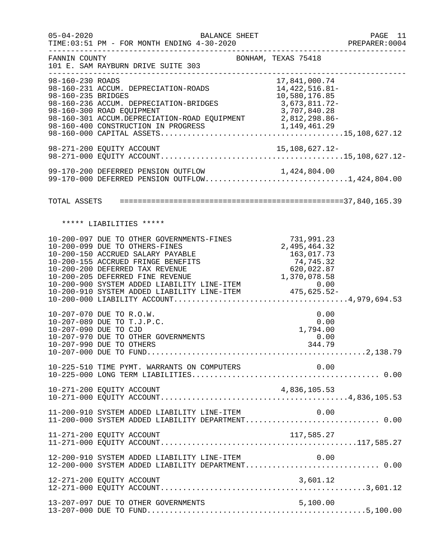| $05 - 04 - 2020$                       | BALANCE SHEET<br>TIME:03:51 PM - FOR MONTH ENDING 4-30-2020                                                                                                                                                                                                                                                                                                |                                                | PAGE 11<br>PREPARER: 0004 |
|----------------------------------------|------------------------------------------------------------------------------------------------------------------------------------------------------------------------------------------------------------------------------------------------------------------------------------------------------------------------------------------------------------|------------------------------------------------|---------------------------|
| FANNIN COUNTY                          | BONHAM, TEXAS 75418<br>101 E. SAM RAYBURN DRIVE SUITE 303                                                                                                                                                                                                                                                                                                  |                                                |                           |
| 98-160-230 ROADS<br>98-160-235 BRIDGES | 98-160-231 ACCUM. DEPRECIATION-ROADS 14,422,516.81-<br>98-160-236 ACCUM. DEPRECIATION-BRIDGES 3,673,811.72-<br>98-160-300 ROAD EQUIPMENT                                                                                                                                                                                                                   | 17,841,000.74<br>10,580,176.85<br>3,707,840.28 |                           |
|                                        |                                                                                                                                                                                                                                                                                                                                                            |                                                |                           |
|                                        | 99-170-200 DEFERRED PENSION OUTFLOW 1,424,804.00<br>99-170-000 DEFERRED PENSION OUTFLOW1,424,804.00                                                                                                                                                                                                                                                        |                                                |                           |
|                                        |                                                                                                                                                                                                                                                                                                                                                            |                                                |                           |
|                                        | ***** LIABILITIES *****                                                                                                                                                                                                                                                                                                                                    |                                                |                           |
|                                        | 10-200-097 DUE TO OTHER GOVERNMENTS-FINES<br>10-200-099 DUE TO OTHERS-FINES<br>10-200-150 ACCRUED SALARY PAYABLE<br>10-200-150 ACCRUED SALARY PAYABLE<br>10-200-155 ACCRUED FRINGE BENEFITS 10-200-200 DEFERRED TAX REVENUE 620,022.87<br>10-200-205 DEFERRED FINE REVENUE 620,022.87<br>10-200-900 SYSTEM ADDED LIABILITY LINE-ITEM 0.00<br>10-200-910 SY | 731,991.23<br>2,495,464.32<br>163,017.73       |                           |
|                                        | 10-207-070 DUE TO R.O.W.<br>10-207-089 DUE TO T.J.P.C.<br>10-207-090 DUE TO CJD<br>10-207-970 DUE TO OTHER GOVERNMENTS<br>10-207-990 DUE TO OTHERS                                                                                                                                                                                                         | 0.00<br>0.00<br>1,794.00<br>0.00<br>344.79     |                           |
|                                        | 10-225-510 TIME PYMT. WARRANTS ON COMPUTERS                                                                                                                                                                                                                                                                                                                | 0.00                                           |                           |
|                                        | 10-271-200 EQUITY ACCOUNT                                                                                                                                                                                                                                                                                                                                  | 4,836,105.53                                   |                           |
|                                        | 11-200-910 SYSTEM ADDED LIABILITY LINE-ITEM<br>11-200-000 SYSTEM ADDED LIABILITY DEPARTMENT 0.00                                                                                                                                                                                                                                                           | 0.00                                           |                           |
|                                        | 11-271-200 EQUITY ACCOUNT                                                                                                                                                                                                                                                                                                                                  | 117,585.27                                     |                           |
|                                        | 12-200-910 SYSTEM ADDED LIABILITY LINE-ITEM<br>12-200-000 SYSTEM ADDED LIABILITY DEPARTMENT 0.00                                                                                                                                                                                                                                                           | 0.00                                           |                           |
|                                        | 12-271-200 EQUITY ACCOUNT                                                                                                                                                                                                                                                                                                                                  | 3,601.12                                       |                           |
|                                        | 13-207-097 DUE TO OTHER GOVERNMENTS                                                                                                                                                                                                                                                                                                                        | 5,100.00                                       |                           |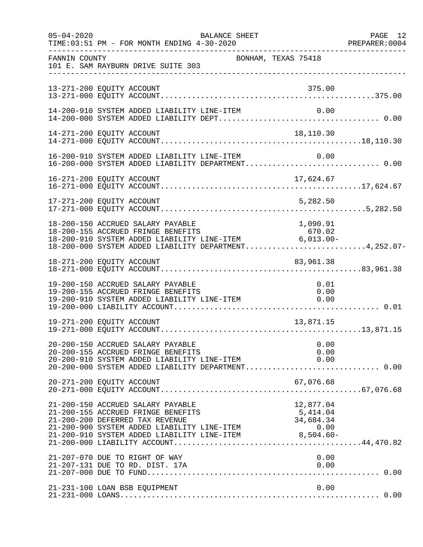| $05 - 04 - 2020$ | TIME: 03:51 PM - FOR MONTH ENDING 4-30-2020                                                                                                                                                                                                                                 | BALANCE SHEET |                     | PAGE 12<br>PREPARER: 0004 |
|------------------|-----------------------------------------------------------------------------------------------------------------------------------------------------------------------------------------------------------------------------------------------------------------------------|---------------|---------------------|---------------------------|
| FANNIN COUNTY    | 101 E. SAM RAYBURN DRIVE SUITE 303                                                                                                                                                                                                                                          |               | BONHAM, TEXAS 75418 |                           |
|                  | 13-271-200 EQUITY ACCOUNT                                                                                                                                                                                                                                                   |               | 375.00              |                           |
|                  | 14-200-910 SYSTEM ADDED LIABILITY LINE-ITEM                                                                                                                                                                                                                                 |               | 0.00                |                           |
|                  | 14-271-200 EQUITY ACCOUNT                                                                                                                                                                                                                                                   |               | 18,110.30           |                           |
|                  | 16-200-910 SYSTEM ADDED LIABILITY LINE-ITEM 0.00<br>16-200-000 SYSTEM ADDED LIABILITY DEPARTMENT0.00                                                                                                                                                                        |               |                     |                           |
|                  |                                                                                                                                                                                                                                                                             |               |                     |                           |
|                  | 17-271-200 EQUITY ACCOUNT                                                                                                                                                                                                                                                   |               | 5,282.50            |                           |
|                  | 18-200-150 ACCRUED SALARY PAYABLE<br>18-200-155 ACCRUED FRINGE BENEFITS 670.02<br>18-200-910 SYSTEM ADDED LIABILITY LINE-ITEM 6,013.00-<br>18-200-000 SYSTEM ADDED LIABILITY DEPARTMENT4,252.07-                                                                            |               | 1,090.91            |                           |
|                  | 18-271-200 EQUITY ACCOUNT                                                                                                                                                                                                                                                   |               | 83,961.38           |                           |
|                  | 19-200-150 ACCRUED SALARY PAYABLE<br>19-200-155 ACCRUED FRINGE BENEFITS<br>19-200-910 SYSTEM ADDED LIABILITY LINE-ITEM $0.00$                                                                                                                                               |               | 0.01                |                           |
|                  | 19-271-200 EQUITY ACCOUNT                                                                                                                                                                                                                                                   |               | 13,871.15           |                           |
|                  | 20-200-150 ACCRUED SALARY PAYABLE<br>20-200-155 ACCRUED FRINGE BENEFITS<br>20-200-910 SYSTEM ADDED LIABILITY LINE-ITEM $0.00$<br>20-200-000 SYSTEM ADDED LIABILITY DEPARTMENT0.00                                                                                           |               | 0.00<br>0.00        |                           |
|                  | 20-271-200 EQUITY ACCOUNT                                                                                                                                                                                                                                                   |               | 67,076.68           |                           |
|                  | 21-200-150 ACCRUED SALARY PAYABLE<br>21-200-155 ACCRUED SABANI FALABLE<br>21-200-155 ACCRUED FRINGE BENEFITS 5,414.04<br>21-200-200 DEFERRED TAX REVENUE 34,684.34<br>21-200-900 SYSTEM ADDED LIABILITY LINE-ITEM 0.00<br>21-200-910 SYSTEM ADDED LIABILITY LINE-ITEM 8,504 |               | 12,877.04           |                           |
|                  | 21-207-070 DUE TO RIGHT OF WAY<br>21-207-131 DUE TO RD. DIST. 17A                                                                                                                                                                                                           |               | 0.00<br>0.00        |                           |
|                  | 21-231-100 LOAN BSB EQUIPMENT                                                                                                                                                                                                                                               |               | 0.00                |                           |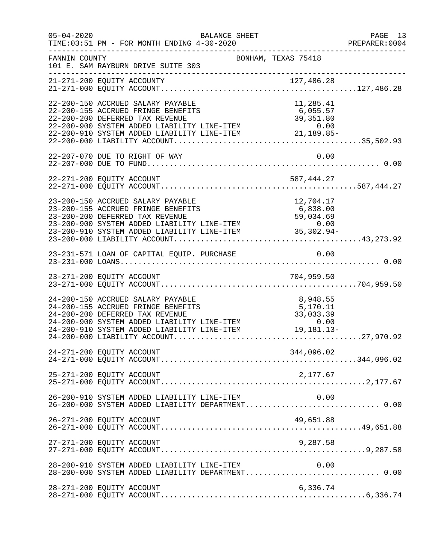| $05 - 04 - 2020$ | BALANCE SHEET<br>TIME: 03:51 PM - FOR MONTH ENDING 4-30-2020                                                                                                                                                                                                                  |                                                            | PAGE 13<br>PREPARER: 0004 |
|------------------|-------------------------------------------------------------------------------------------------------------------------------------------------------------------------------------------------------------------------------------------------------------------------------|------------------------------------------------------------|---------------------------|
| FANNIN COUNTY    | 101 E. SAM RAYBURN DRIVE SUITE 303                                                                                                                                                                                                                                            | -----------------------------------<br>BONHAM, TEXAS 75418 |                           |
|                  |                                                                                                                                                                                                                                                                               |                                                            |                           |
|                  | 22-200-150 ACCRUED SALARY PAYABLE<br>22-200-155 ACCRUED FRINGE BENEFITS<br>22-200-200 DEFERRED TAX REVENUE<br>22-200-900 SYSTEM ADDED LIABILITY LINE-ITEM<br>22-200-910 SYSTEM ADDED LIABILITY LINE-ITEM<br>22-200-910 SYSTEM ADDED LIABILITY LINE-ITEM<br>22-200-000 LIABILI | 11,285.41                                                  |                           |
|                  | 22-207-070 DUE TO RIGHT OF WAY                                                                                                                                                                                                                                                | 0.00                                                       |                           |
|                  |                                                                                                                                                                                                                                                                               |                                                            |                           |
|                  | 23-200-150 ACCRUED SALARY PAYABLE<br>23-200-155 ACCRUED FRINGE BENEFITS<br>23-200-200 DEFERRED TAX REVENUE<br>23-200-900 SYSTEM ADDED LIABILITY LINE-ITEM<br>23-200-910 SYSTEM ADDED LIABILITY LINE-ITEM<br>23-200-910 SYSTEM ADDED LIABILITY LINE-ITEM<br>23-200-000 LIABILI | 12,704.17                                                  |                           |
|                  |                                                                                                                                                                                                                                                                               |                                                            |                           |
|                  |                                                                                                                                                                                                                                                                               |                                                            |                           |
|                  | 24-200-150 ACCRUED SALARY PAYABLE<br>24-200-155 ACCRUED FRINGE BENEFITS<br>24-200-200 DEFERRED TAX REVENUE<br>24-200-900 SYSTEM ADDED LIABILITY LINE-ITEM 0.00<br>24-200-910 SYSTEM ADDED LIABILITY LINE-ITEM 19,181.13                                                       | 8,948.55<br>5,170.11<br>33,033.39<br>19,181.13-            |                           |
|                  | 24-271-200 EQUITY ACCOUNT                                                                                                                                                                                                                                                     | 344,096.02                                                 |                           |
|                  | 25-271-200 EQUITY ACCOUNT                                                                                                                                                                                                                                                     | 2,177.67                                                   |                           |
|                  | 26-200-910 SYSTEM ADDED LIABILITY LINE-ITEM<br>26-200-000 SYSTEM ADDED LIABILITY DEPARTMENT 0.00                                                                                                                                                                              | 0.00                                                       |                           |
|                  | 26-271-200 EQUITY ACCOUNT                                                                                                                                                                                                                                                     | 49,651.88                                                  |                           |
|                  | 27-271-200 EQUITY ACCOUNT                                                                                                                                                                                                                                                     | 9,287.58                                                   |                           |
|                  | 28-200-910 SYSTEM ADDED LIABILITY LINE-ITEM<br>28-200-000 SYSTEM ADDED LIABILITY DEPARTMENT 0.00                                                                                                                                                                              | 0.00                                                       |                           |
|                  | 28-271-200 EQUITY ACCOUNT                                                                                                                                                                                                                                                     | 6,336.74                                                   |                           |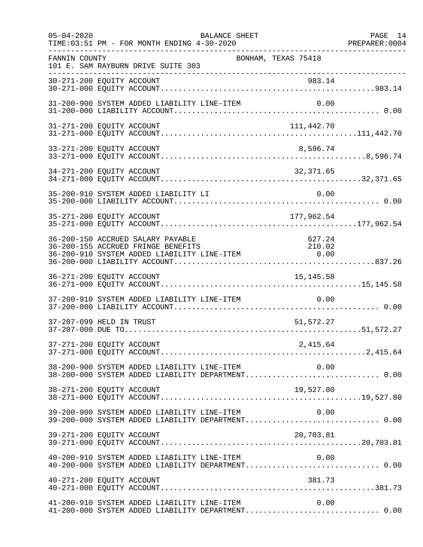| $05 - 04 - 2020$ | <b>BALANCE SHEET</b><br>TIME: 03:51 PM - FOR MONTH ENDING 4-30-2020                                                                                                      | -------------------- | PAGE 14<br>PREPARER: 0004 |
|------------------|--------------------------------------------------------------------------------------------------------------------------------------------------------------------------|----------------------|---------------------------|
| FANNIN COUNTY    | BONHAM, TEXAS 75418<br>101 E. SAM RAYBURN DRIVE SUITE 303                                                                                                                |                      |                           |
|                  | ------------------------------------                                                                                                                                     |                      |                           |
|                  | 31-200-900 SYSTEM ADDED LIABILITY LINE-ITEM                                                                                                                              |                      |                           |
|                  | 31-271-200 EQUITY ACCOUNT                                                                                                                                                | 111,442.70           |                           |
|                  | 33-271-200 EQUITY ACCOUNT                                                                                                                                                | 8,596.74             |                           |
|                  | 34-271-200 EQUITY ACCOUNT                                                                                                                                                | 32,371.65            |                           |
|                  | 35-200-910 SYSTEM ADDED LIABILITY LI                                                                                                                                     | 0.00                 |                           |
|                  | 35-271-200 EQUITY ACCOUNT                                                                                                                                                | 177,962.54           |                           |
|                  | 36-200-150 ACCRUED SALARY PAYABLE<br>36-200-155 ACCRUED FRINGE BENEFITS<br>210.02 36-200-155 ACCRUED FRINGE BENEFITS<br>36-200-910 SYSTEM ADDED LIABILITY LINE-ITEM 0.00 | 627.24<br>210.02     |                           |
|                  | 36-271-200 EQUITY ACCOUNT                                                                                                                                                | 15, 145.58           |                           |
|                  | 37-200-910 SYSTEM ADDED LIABILITY LINE-ITEM                                                                                                                              | 0.00                 |                           |
|                  | 37-207-099 HELD IN TRUST                                                                                                                                                 | 51,572.27            |                           |
|                  |                                                                                                                                                                          |                      |                           |
|                  | 0.00 SYSTEM ADDED LIABILITY LINE-ITEM 0.00<br>38-200-000 SYSTEM ADDED LIABILITY DEPARTMENT0.00                                                                           |                      |                           |
|                  | 38-271-200 EQUITY ACCOUNT                                                                                                                                                | 19,527.80            |                           |
|                  | 39-200-900 SYSTEM ADDED LIABILITY LINE-ITEM                                                                                                                              | 0.00                 |                           |
|                  | 39-271-200 EQUITY ACCOUNT                                                                                                                                                | 20,703.81            |                           |
|                  |                                                                                                                                                                          |                      |                           |
|                  | 40-271-200 EQUITY ACCOUNT                                                                                                                                                | 381.73               |                           |
|                  | 41-200-910 SYSTEM ADDED LIABILITY LINE-ITEM<br>41-200-000 SYSTEM ADDED LIABILITY DEPARTMENT 0.00                                                                         | 0.00                 |                           |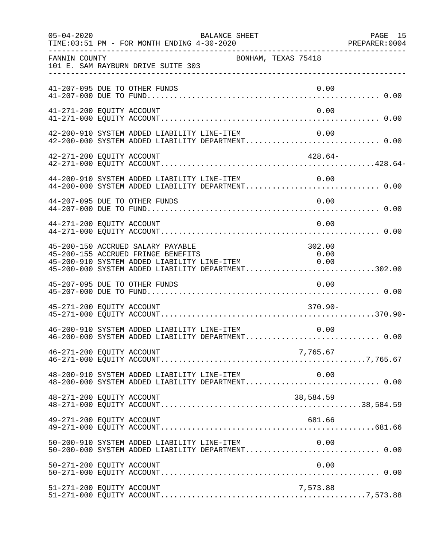| $05 - 04 - 2020$          | TIME: 03:51 PM - FOR MONTH ENDING 4-30-2020                                                                                                                                  | BALANCE SHEET       |                                                                   | PAGE 15 |
|---------------------------|------------------------------------------------------------------------------------------------------------------------------------------------------------------------------|---------------------|-------------------------------------------------------------------|---------|
| FANNIN COUNTY             | 101 E. SAM RAYBURN DRIVE SUITE 303                                                                                                                                           | BONHAM, TEXAS 75418 |                                                                   |         |
|                           | 41-207-095 DUE TO OTHER FUNDS                                                                                                                                                |                     | 0.00                                                              |         |
| 41-271-200 EQUITY ACCOUNT |                                                                                                                                                                              |                     | 0.00                                                              |         |
|                           | 42-200-910 SYSTEM ADDED LIABILITY LINE-ITEM<br>42-200-000 SYSTEM ADDED LIABILITY DEPARTMENT 0.00                                                                             |                     | 0.00                                                              |         |
| 42-271-200 EQUITY ACCOUNT |                                                                                                                                                                              |                     | $428.64-$                                                         |         |
|                           | $44-200-910$ SYSTEM ADDED LIABILITY LINE-ITEM $0.00$<br>$44-200-000$ SYSTEM ADDED LIABILITY DEPARTMENT0.00                                                                   |                     |                                                                   |         |
|                           | 44-207-095 DUE TO OTHER FUNDS                                                                                                                                                |                     | 0.00                                                              |         |
| 44-271-200 EQUITY ACCOUNT |                                                                                                                                                                              |                     | 0.00                                                              |         |
|                           | 45-200-150 ACCRUED SALARY PAYABLE<br>45-200-155 ACCRUED FRINGE BENEFITS<br>45-200-910 SYSTEM ADDED LIABILITY LINE-ITEM<br>45-200-000 SYSTEM ADDED LIABILITY DEPARTMENT302.00 |                     | 302.00<br>$\begin{array}{c} 0\, .\, 00 \\ 0\, .\, 00 \end{array}$ |         |
|                           | 45-207-095 DUE TO OTHER FUNDS                                                                                                                                                |                     | 0.00                                                              |         |
| 45-271-200 EQUITY ACCOUNT |                                                                                                                                                                              |                     | $370.90 -$                                                        |         |
|                           | 46-200-910 SYSTEM ADDED LIABILITY LINE-ITEM                                                                                                                                  |                     | 0.00                                                              |         |
| 46-271-200 EQUITY ACCOUNT |                                                                                                                                                                              |                     | 7,765.67                                                          |         |
|                           | $48-200-910$ SYSTEM ADDED LIABILITY LINE-ITEM $0.00$<br>$48-200-000$ SYSTEM ADDED LIABILITY DEPARTMENT0.00                                                                   |                     |                                                                   |         |
| 48-271-200 EQUITY ACCOUNT |                                                                                                                                                                              |                     | 38,584.59                                                         |         |
| 49-271-200 EQUITY ACCOUNT |                                                                                                                                                                              |                     | 681.66                                                            |         |
|                           | 50-200-910 SYSTEM ADDED LIABILITY LINE-ITEM 0.00<br>50-200-000 SYSTEM ADDED LIABILITY DEPARTMENT 0.00                                                                        |                     |                                                                   |         |
| 50-271-200 EQUITY ACCOUNT |                                                                                                                                                                              |                     | 0.00                                                              |         |
| 51-271-200 EQUITY ACCOUNT |                                                                                                                                                                              |                     | 7,573.88                                                          |         |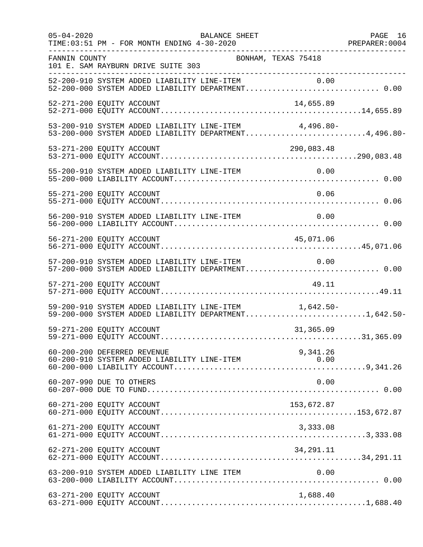| $05 - 04 - 2020$ | BALANCE SHEET<br>PAGE 16<br>PREPARER:0004<br>------------------<br>TIME: 03:51 PM - FOR MONTH ENDING 4-30-2020 |  |
|------------------|----------------------------------------------------------------------------------------------------------------|--|
| FANNIN COUNTY    | BONHAM, TEXAS 75418<br>101 E. SAM RAYBURN DRIVE SUITE 303                                                      |  |
|                  | 52-200-910 SYSTEM ADDED LIABILITY LINE-ITEM 0.00<br>52-200-000 SYSTEM ADDED LIABILITY DEPARTMENT 0.00          |  |
|                  | 52-271-200 EQUITY ACCOUNT<br>14,655.89                                                                         |  |
|                  | 53-200-910 SYSTEM ADDED LIABILITY LINE-ITEM 4,496.80-<br>53-200-000 SYSTEM ADDED LIABILITY DEPARTMENT4,496.80- |  |
|                  | 290,083.48                                                                                                     |  |
|                  |                                                                                                                |  |
|                  | 55-271-200 EQUITY ACCOUNT<br>0.06                                                                              |  |
|                  | 56-200-910 SYSTEM ADDED LIABILITY LINE-ITEM<br>0.00                                                            |  |
|                  | 45,071.06<br>56-271-200 EQUITY ACCOUNT                                                                         |  |
|                  | 57-200-910 SYSTEM ADDED LIABILITY LINE-ITEM 0.00                                                               |  |
|                  | 57-271-200 EQUITY ACCOUNT<br>49.11                                                                             |  |
|                  | 59-200-910 SYSTEM ADDED LIABILITY LINE-ITEM 1,642.50-<br>59-200-000 SYSTEM ADDED LIABILITY DEPARTMENT1,642.50- |  |
|                  | 59-271-200 EQUITY ACCOUNT<br>31,365.09                                                                         |  |
|                  | 60-200-200 DEFERRED REVENUE<br>9,341.26<br>60-200-910 SYSTEM ADDED LIABILITY LINE-ITEM<br>0.00                 |  |
|                  | 60-207-990 DUE TO OTHERS<br>0.00                                                                               |  |
|                  | 60-271-200 EQUITY ACCOUNT<br>153,672.87                                                                        |  |
|                  | 61-271-200 EQUITY ACCOUNT<br>3,333.08                                                                          |  |
|                  | 34, 291. 11<br>62-271-200 EQUITY ACCOUNT                                                                       |  |
|                  | 63-200-910 SYSTEM ADDED LIABILITY LINE ITEM<br>0.00                                                            |  |
|                  | 63-271-200 EQUITY ACCOUNT<br>1,688.40                                                                          |  |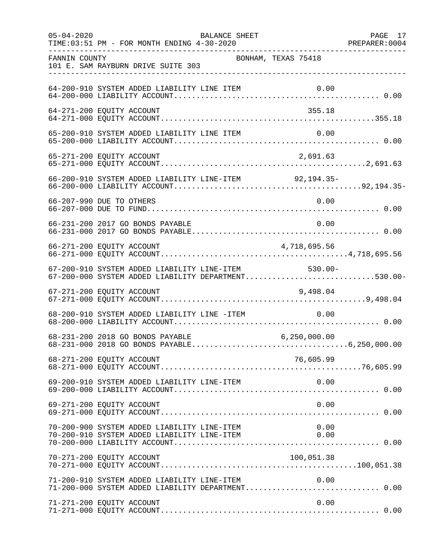| $05 - 04 - 2020$ | BALANCE SHEET<br>TIME: 03:51 PM - FOR MONTH ENDING 4-30-2020                                               |                     | PAGE 17 |
|------------------|------------------------------------------------------------------------------------------------------------|---------------------|---------|
| FANNIN COUNTY    | 101 E. SAM RAYBURN DRIVE SUITE 303                                                                         | BONHAM, TEXAS 75418 |         |
|                  | 64-200-910 SYSTEM ADDED LIABILITY LINE ITEM                                                                |                     |         |
|                  | 64-271-200 EQUITY ACCOUNT                                                                                  | 355.18              |         |
|                  | 65-200-910 SYSTEM ADDED LIABILITY LINE ITEM                                                                | 0.00                |         |
|                  | 65-271-200 EQUITY ACCOUNT                                                                                  | 2,691.63            |         |
|                  | 66-200-910 SYSTEM ADDED LIABILITY LINE-ITEM 92,194.35-                                                     |                     |         |
|                  | 66-207-990 DUE TO OTHERS                                                                                   | 0.00                |         |
|                  | 66-231-200 2017 GO BONDS PAYABLE                                                                           | 0.00                |         |
|                  |                                                                                                            |                     |         |
|                  | 67-200-910 SYSTEM ADDED LIABILITY LINE-ITEM 530.00-<br>67-200-000 SYSTEM ADDED LIABILITY DEPARTMENT530.00- |                     |         |
|                  | 67-271-200 EQUITY ACCOUNT                                                                                  | 9,498.04            |         |
|                  | 68-200-910 SYSTEM ADDED LIABILITY LINE -ITEM 0.00                                                          |                     |         |
|                  | 68-231-200 2018 GO BONDS PAYABLE                                                                           | 6, 250, 000.00      |         |
|                  | 68-271-200 EQUITY ACCOUNT                                                                                  | 76,605.99           |         |
|                  | 69-200-910 SYSTEM ADDED LIABILITY LINE-ITEM                                                                | 0.00                |         |
|                  | 69-271-200 EQUITY ACCOUNT                                                                                  | 0.00                |         |
|                  | 70-200-900 SYSTEM ADDED LIABILITY LINE-ITEM<br>70-200-910 SYSTEM ADDED LIABILITY LINE-ITEM                 | 0.00<br>0.00        |         |
|                  | 70-271-200 EQUITY ACCOUNT                                                                                  | 100,051.38          |         |
|                  | 71-200-910 SYSTEM ADDED LIABILITY LINE-ITEM                                                                | 0.00                |         |
|                  | 71-271-200 EQUITY ACCOUNT                                                                                  | 0.00                |         |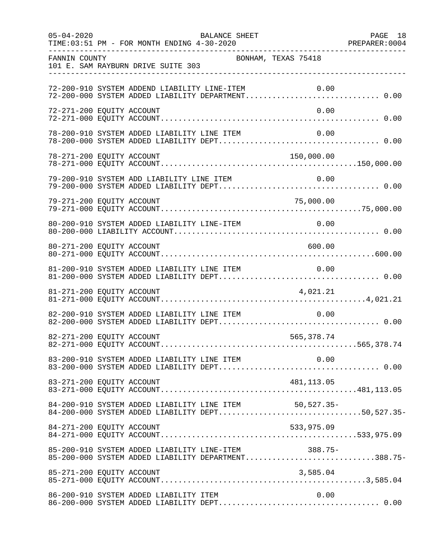| $05 - 04 - 2020$          | TIME: 03:51 PM - FOR MONTH ENDING 4-30-2020                                                                | BALANCE SHEET       | 28 PREPARER:0004 | PAGE 18 |
|---------------------------|------------------------------------------------------------------------------------------------------------|---------------------|------------------|---------|
| FANNIN COUNTY             | 101 E. SAM RAYBURN DRIVE SUITE 303                                                                         | BONHAM, TEXAS 75418 |                  |         |
|                           | 72-200-910 SYSTEM ADDEND LIABILITY LINE-ITEM<br>72-200-000 SYSTEM ADDED LIABILITY DEPARTMENT 0.00          |                     | 0.00             |         |
| 72-271-200 EQUITY ACCOUNT |                                                                                                            |                     | 0.00             |         |
|                           | 78-200-910 SYSTEM ADDED LIABILITY LINE ITEM                                                                |                     | 0.00             |         |
|                           |                                                                                                            |                     | 150,000.00       |         |
|                           | 79-200-910 SYSTEM ADD LIABILITY LINE ITEM                                                                  |                     | 0.00             |         |
| 79-271-200 EQUITY ACCOUNT |                                                                                                            |                     | 75,000.00        |         |
|                           | 80-200-910 SYSTEM ADDED LIABILITY LINE-ITEM                                                                |                     | 0.00             |         |
| 80-271-200 EQUITY ACCOUNT |                                                                                                            |                     | 600.00           |         |
|                           | 81-200-910 SYSTEM ADDED LIABILITY LINE ITEM                                                                |                     | 0.00             |         |
| 81-271-200 EQUITY ACCOUNT |                                                                                                            |                     | 4,021.21         |         |
|                           | 82-200-910 SYSTEM ADDED LIABILITY LINE ITEM                                                                |                     | 0.00             |         |
| 82-271-200 EQUITY ACCOUNT |                                                                                                            |                     | 565,378.74       |         |
|                           |                                                                                                            |                     |                  |         |
|                           |                                                                                                            |                     |                  |         |
|                           | 84-200-910 SYSTEM ADDED LIABILITY LINE ITEM 50,527.35-<br>84-200-000 SYSTEM ADDED LIABILITY DEPT50,527.35- |                     |                  |         |
| 84-271-200 EQUITY ACCOUNT |                                                                                                            |                     | 533,975.09       |         |
|                           | 85-200-910 SYSTEM ADDED LIABILITY LINE-ITEM 388.75-<br>85-200-000 SYSTEM ADDED LIABILITY DEPARTMENT388.75- |                     |                  |         |
|                           |                                                                                                            |                     |                  |         |
|                           | 86-200-910 SYSTEM ADDED LIABILITY ITEM                                                                     |                     | 0.00             |         |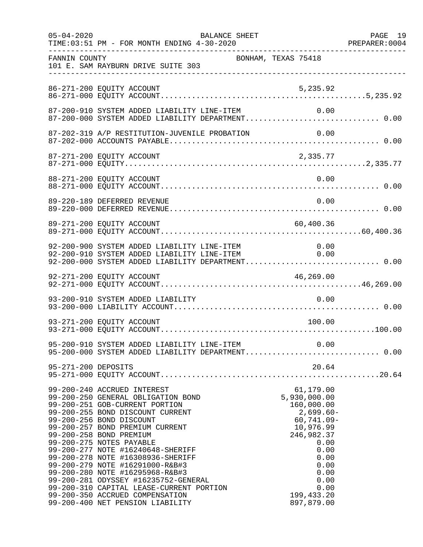| $05 - 04 - 2020$    | BALANCE SHEET<br>TIME: 03:51 PM - FOR MONTH ENDING 4-30-2020                                                                                                                                                                                                                                                                                                                                                                                                                                                                                                             |                                                                                                                                                                                          | PAGE 19 |
|---------------------|--------------------------------------------------------------------------------------------------------------------------------------------------------------------------------------------------------------------------------------------------------------------------------------------------------------------------------------------------------------------------------------------------------------------------------------------------------------------------------------------------------------------------------------------------------------------------|------------------------------------------------------------------------------------------------------------------------------------------------------------------------------------------|---------|
| FANNIN COUNTY       | 101 E. SAM RAYBURN DRIVE SUITE 303<br>___________________________________                                                                                                                                                                                                                                                                                                                                                                                                                                                                                                | BONHAM, TEXAS 75418                                                                                                                                                                      |         |
|                     | 86-271-200 EQUITY ACCOUNT                                                                                                                                                                                                                                                                                                                                                                                                                                                                                                                                                | 5,235.92                                                                                                                                                                                 |         |
|                     | 87-200-910 SYSTEM ADDED LIABILITY LINE-ITEM<br>87-200-000 SYSTEM ADDED LIABILITY DEPARTMENT 0.00                                                                                                                                                                                                                                                                                                                                                                                                                                                                         | 0.00                                                                                                                                                                                     |         |
|                     | 87-202-319 A/P RESTITUTION-JUVENILE PROBATION                                                                                                                                                                                                                                                                                                                                                                                                                                                                                                                            | 0.00                                                                                                                                                                                     |         |
|                     | 87-271-200 EQUITY ACCOUNT                                                                                                                                                                                                                                                                                                                                                                                                                                                                                                                                                | 2,335.77                                                                                                                                                                                 |         |
|                     | 88-271-200 EQUITY ACCOUNT                                                                                                                                                                                                                                                                                                                                                                                                                                                                                                                                                | 0.00                                                                                                                                                                                     |         |
|                     | 89-220-189 DEFERRED REVENUE                                                                                                                                                                                                                                                                                                                                                                                                                                                                                                                                              | 0.00                                                                                                                                                                                     |         |
|                     | 89-271-200 EQUITY ACCOUNT                                                                                                                                                                                                                                                                                                                                                                                                                                                                                                                                                | 60,400.36                                                                                                                                                                                |         |
|                     | 92-200-900 SYSTEM ADDED LIABILITY LINE-ITEM 0.00<br>92-200-910 SYSTEM ADDED LIABILITY LINE-ITEM 0.00<br>92-200-000 SYSTEM ADDED LIABILITY DEPARTMENT 0.00                                                                                                                                                                                                                                                                                                                                                                                                                |                                                                                                                                                                                          |         |
|                     | 92-271-200 EQUITY ACCOUNT                                                                                                                                                                                                                                                                                                                                                                                                                                                                                                                                                | 46, 269.00                                                                                                                                                                               |         |
|                     | 93-200-910 SYSTEM ADDED LIABILITY                                                                                                                                                                                                                                                                                                                                                                                                                                                                                                                                        | 0.00                                                                                                                                                                                     |         |
|                     | 93-271-200 EQUITY ACCOUNT                                                                                                                                                                                                                                                                                                                                                                                                                                                                                                                                                | 100.00                                                                                                                                                                                   |         |
|                     | 95-200-910 SYSTEM ADDED LIABILITY LINE-ITEM 0.00<br>95-200-000 SYSTEM ADDED LIABILITY DEPARTMENT 0.00                                                                                                                                                                                                                                                                                                                                                                                                                                                                    |                                                                                                                                                                                          |         |
| 95-271-200 DEPOSITS |                                                                                                                                                                                                                                                                                                                                                                                                                                                                                                                                                                          | 20.64                                                                                                                                                                                    |         |
|                     | 99-200-240 ACCRUED INTEREST<br>99-200-250 GENERAL OBLIGATION BOND<br>99-200-251 GOB-CURRENT PORTION<br>99-200-255 BOND DISCOUNT CURRENT<br>99-200-256 BOND DISCOUNT<br>99-200-257 BOND PREMIUM CURRENT<br>99-200-258 BOND PREMIUM<br>99-200-275 NOTES PAYABLE<br>99-200-277 NOTE #16240648-SHERIFF<br>99-200-278 NOTE #16308936-SHERIFF<br>99-200-279 NOTE #16291000-R&B#3<br>99-200-280 NOTE #16295968-R&B#3<br>99-200-281 ODYSSEY #16235752-GENERAL<br>99-200-310 CAPITAL LEASE-CURRENT PORTION<br>99-200-350 ACCRUED COMPENSATION<br>99-200-400 NET PENSION LIABILITY | 61,179.00<br>5,930,000.00<br>160,000.00<br>$2,699.60-$<br>$60, 741.09 -$<br>10,976.99<br>246,982.37<br>0.00<br>0.00<br>0.00<br>0.00<br>0.00<br>0.00<br>0.00<br>199, 433.20<br>897,879.00 |         |